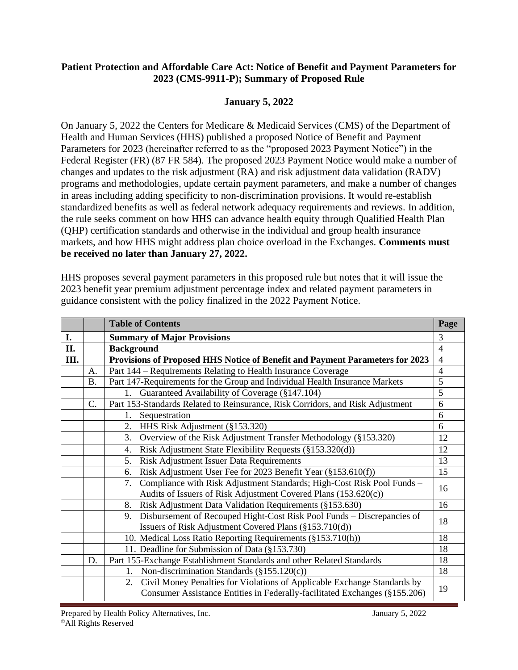#### **Patient Protection and Affordable Care Act: Notice of Benefit and Payment Parameters for 2023 (CMS-9911-P); Summary of Proposed Rule**

### **January 5, 2022**

On January 5, 2022 the Centers for Medicare & Medicaid Services (CMS) of the Department of Health and Human Services (HHS) published a proposed Notice of Benefit and Payment Parameters for 2023 (hereinafter referred to as the "proposed 2023 Payment Notice") in the Federal Register (FR) (87 FR 584). The proposed 2023 Payment Notice would make a number of changes and updates to the risk adjustment (RA) and risk adjustment data validation (RADV) programs and methodologies, update certain payment parameters, and make a number of changes in areas including adding specificity to non-discrimination provisions. It would re-establish standardized benefits as well as federal network adequacy requirements and reviews. In addition, the rule seeks comment on how HHS can advance health equity through Qualified Health Plan (QHP) certification standards and otherwise in the individual and group health insurance markets, and how HHS might address plan choice overload in the Exchanges. **Comments must be received no later than January 27, 2022.**

HHS proposes several payment parameters in this proposed rule but notes that it will issue the 2023 benefit year premium adjustment percentage index and related payment parameters in guidance consistent with the policy finalized in the 2022 Payment Notice.

|     |           | <b>Table of Contents</b>                                                                                                                                     | Page           |
|-----|-----------|--------------------------------------------------------------------------------------------------------------------------------------------------------------|----------------|
| I.  |           | <b>Summary of Major Provisions</b>                                                                                                                           | 3              |
| II. |           | <b>Background</b>                                                                                                                                            | $\overline{4}$ |
| Ш.  |           | Provisions of Proposed HHS Notice of Benefit and Payment Parameters for 2023                                                                                 | $\overline{4}$ |
|     | А.        | Part 144 – Requirements Relating to Health Insurance Coverage                                                                                                | 4              |
|     | <b>B.</b> | Part 147-Requirements for the Group and Individual Health Insurance Markets                                                                                  | 5              |
|     |           | Guaranteed Availability of Coverage (§147.104)<br>1.                                                                                                         | 5              |
|     | C.        | Part 153-Standards Related to Reinsurance, Risk Corridors, and Risk Adjustment                                                                               | 6              |
|     |           | Sequestration<br>1.                                                                                                                                          | 6              |
|     |           | HHS Risk Adjustment (§153.320)<br>2.                                                                                                                         | 6              |
|     |           | Overview of the Risk Adjustment Transfer Methodology (§153.320)<br>3.                                                                                        | 12             |
|     |           | Risk Adjustment State Flexibility Requests (§153.320(d))<br>4.                                                                                               | 12             |
|     |           | Risk Adjustment Issuer Data Requirements<br>5.                                                                                                               | 13             |
|     |           | Risk Adjustment User Fee for 2023 Benefit Year (§153.610(f))<br>6.                                                                                           | 15             |
|     |           | Compliance with Risk Adjustment Standards; High-Cost Risk Pool Funds -<br>7.                                                                                 | 16             |
|     |           | Audits of Issuers of Risk Adjustment Covered Plans (153.620(c))                                                                                              |                |
|     |           | Risk Adjustment Data Validation Requirements (§153.630)<br>8.                                                                                                | 16             |
|     |           | Disbursement of Recouped Hight-Cost Risk Pool Funds - Discrepancies of<br>9.                                                                                 | 18             |
|     |           | Issuers of Risk Adjustment Covered Plans (§153.710(d))                                                                                                       |                |
|     |           | 10. Medical Loss Ratio Reporting Requirements (§153.710(h))                                                                                                  | 18             |
|     |           | 11. Deadline for Submission of Data (§153.730)                                                                                                               | 18             |
|     | D.        | Part 155-Exchange Establishment Standards and other Related Standards                                                                                        | 18             |
|     |           | Non-discrimination Standards $(\S155.120(c))$<br>1.                                                                                                          | 18             |
|     |           | Civil Money Penalties for Violations of Applicable Exchange Standards by<br>2.<br>Consumer Assistance Entities in Federally-facilitated Exchanges (§155.206) | 19             |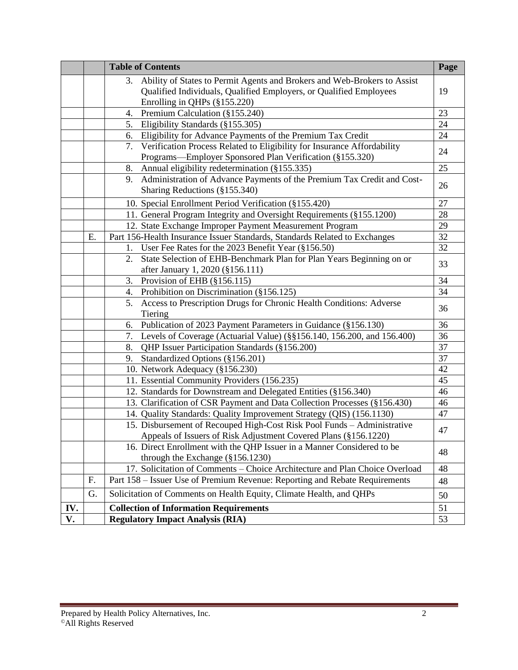|     |    | <b>Table of Contents</b>                                                                                                                                                             | Page |
|-----|----|--------------------------------------------------------------------------------------------------------------------------------------------------------------------------------------|------|
|     |    | Ability of States to Permit Agents and Brokers and Web-Brokers to Assist<br>3.<br>Qualified Individuals, Qualified Employers, or Qualified Employees<br>Enrolling in QHPs (§155.220) | 19   |
|     |    | Premium Calculation (§155.240)<br>4.                                                                                                                                                 | 23   |
|     |    | Eligibility Standards (§155.305)<br>5.                                                                                                                                               | 24   |
|     |    | Eligibility for Advance Payments of the Premium Tax Credit<br>6.                                                                                                                     | 24   |
|     |    | Verification Process Related to Eligibility for Insurance Affordability<br>7.<br>Programs—Employer Sponsored Plan Verification (§155.320)                                            | 24   |
|     |    | Annual eligibility redetermination (§155.335)<br>8.                                                                                                                                  | 25   |
|     |    | Administration of Advance Payments of the Premium Tax Credit and Cost-<br>9.<br>Sharing Reductions (§155.340)                                                                        | 26   |
|     |    | 10. Special Enrollment Period Verification (§155.420)                                                                                                                                | 27   |
|     |    | 11. General Program Integrity and Oversight Requirements (§155.1200)                                                                                                                 | 28   |
|     |    | 12. State Exchange Improper Payment Measurement Program                                                                                                                              | 29   |
|     | Ε. | Part 156-Health Insurance Issuer Standards, Standards Related to Exchanges                                                                                                           | 32   |
|     |    | User Fee Rates for the 2023 Benefit Year (§156.50)<br>1.                                                                                                                             | 32   |
|     |    | State Selection of EHB-Benchmark Plan for Plan Years Beginning on or<br>2.<br>after January 1, 2020 (§156.111)                                                                       | 33   |
|     |    | Provision of EHB (§156.115)<br>3.                                                                                                                                                    | 34   |
|     |    | Prohibition on Discrimination (§156.125)<br>4.                                                                                                                                       | 34   |
|     |    | Access to Prescription Drugs for Chronic Health Conditions: Adverse<br>5.<br>Tiering                                                                                                 | 36   |
|     |    | Publication of 2023 Payment Parameters in Guidance (§156.130)<br>6.                                                                                                                  | 36   |
|     |    | Levels of Coverage (Actuarial Value) (§§156.140, 156.200, and 156.400)<br>7.                                                                                                         | 36   |
|     |    | QHP Issuer Participation Standards (§156.200)<br>8.                                                                                                                                  | 37   |
|     |    | Standardized Options (§156.201)<br>9.                                                                                                                                                | 37   |
|     |    | 10. Network Adequacy (§156.230)                                                                                                                                                      | 42   |
|     |    | 11. Essential Community Providers (156.235)                                                                                                                                          | 45   |
|     |    | 12. Standards for Downstream and Delegated Entities (§156.340)                                                                                                                       | 46   |
|     |    | 13. Clarification of CSR Payment and Data Collection Processes (§156.430)                                                                                                            | 46   |
|     |    | 14. Quality Standards: Quality Improvement Strategy (QIS) (156.1130)                                                                                                                 | 47   |
|     |    | 15. Disbursement of Recouped High-Cost Risk Pool Funds - Administrative                                                                                                              | 47   |
|     |    | Appeals of Issuers of Risk Adjustment Covered Plans (§156.1220)                                                                                                                      |      |
|     |    | 16. Direct Enrollment with the QHP Issuer in a Manner Considered to be<br>through the Exchange $(\S156.1230)$                                                                        | 48   |
|     |    | 17. Solicitation of Comments - Choice Architecture and Plan Choice Overload                                                                                                          | 48   |
|     | F. | Part 158 – Issuer Use of Premium Revenue: Reporting and Rebate Requirements                                                                                                          | 48   |
|     | G. | Solicitation of Comments on Health Equity, Climate Health, and QHPs                                                                                                                  | 50   |
| IV. |    | <b>Collection of Information Requirements</b>                                                                                                                                        | 51   |
| V.  |    | <b>Regulatory Impact Analysis (RIA)</b>                                                                                                                                              | 53   |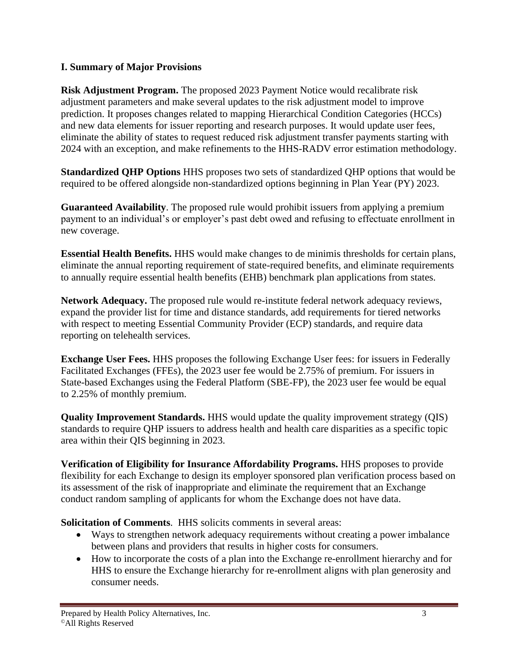#### **I. Summary of Major Provisions**

**Risk Adjustment Program.** The proposed 2023 Payment Notice would recalibrate risk adjustment parameters and make several updates to the risk adjustment model to improve prediction. It proposes changes related to mapping Hierarchical Condition Categories (HCCs) and new data elements for issuer reporting and research purposes. It would update user fees, eliminate the ability of states to request reduced risk adjustment transfer payments starting with 2024 with an exception, and make refinements to the HHS-RADV error estimation methodology.

**Standardized QHP Options** HHS proposes two sets of standardized QHP options that would be required to be offered alongside non-standardized options beginning in Plan Year (PY) 2023.

**Guaranteed Availability**. The proposed rule would prohibit issuers from applying a premium payment to an individual's or employer's past debt owed and refusing to effectuate enrollment in new coverage.

**Essential Health Benefits.** HHS would make changes to de minimis thresholds for certain plans, eliminate the annual reporting requirement of state-required benefits, and eliminate requirements to annually require essential health benefits (EHB) benchmark plan applications from states.

**Network Adequacy.** The proposed rule would re-institute federal network adequacy reviews, expand the provider list for time and distance standards, add requirements for tiered networks with respect to meeting Essential Community Provider (ECP) standards, and require data reporting on telehealth services.

**Exchange User Fees.** HHS proposes the following Exchange User fees: for issuers in Federally Facilitated Exchanges (FFEs), the 2023 user fee would be 2.75% of premium. For issuers in State-based Exchanges using the Federal Platform (SBE-FP), the 2023 user fee would be equal to 2.25% of monthly premium.

**Quality Improvement Standards.** HHS would update the quality improvement strategy (QIS) standards to require QHP issuers to address health and health care disparities as a specific topic area within their QIS beginning in 2023.

**Verification of Eligibility for Insurance Affordability Programs.** HHS proposes to provide flexibility for each Exchange to design its employer sponsored plan verification process based on its assessment of the risk of inappropriate and eliminate the requirement that an Exchange conduct random sampling of applicants for whom the Exchange does not have data.

**Solicitation of Comments**. HHS solicits comments in several areas:

- Ways to strengthen network adequacy requirements without creating a power imbalance between plans and providers that results in higher costs for consumers.
- How to incorporate the costs of a plan into the Exchange re-enrollment hierarchy and for HHS to ensure the Exchange hierarchy for re-enrollment aligns with plan generosity and consumer needs.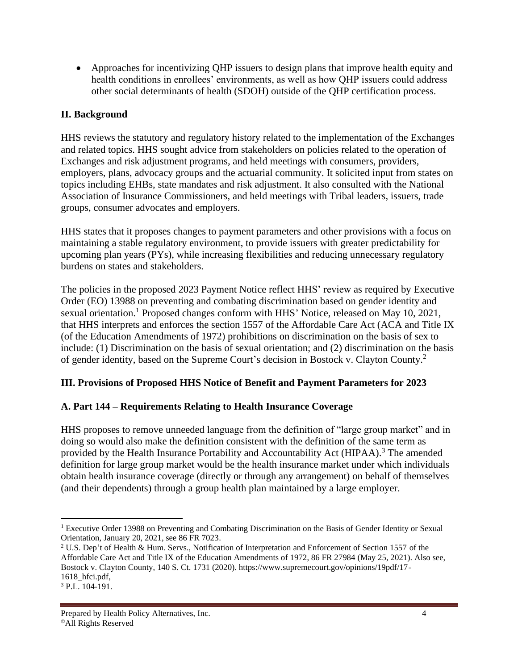• Approaches for incentivizing OHP issuers to design plans that improve health equity and health conditions in enrollees' environments, as well as how QHP issuers could address other social determinants of health (SDOH) outside of the QHP certification process.

### **II. Background**

HHS reviews the statutory and regulatory history related to the implementation of the Exchanges and related topics. HHS sought advice from stakeholders on policies related to the operation of Exchanges and risk adjustment programs, and held meetings with consumers, providers, employers, plans, advocacy groups and the actuarial community. It solicited input from states on topics including EHBs, state mandates and risk adjustment. It also consulted with the National Association of Insurance Commissioners, and held meetings with Tribal leaders, issuers, trade groups, consumer advocates and employers.

HHS states that it proposes changes to payment parameters and other provisions with a focus on maintaining a stable regulatory environment, to provide issuers with greater predictability for upcoming plan years (PYs), while increasing flexibilities and reducing unnecessary regulatory burdens on states and stakeholders.

The policies in the proposed 2023 Payment Notice reflect HHS' review as required by Executive Order (EO) 13988 on preventing and combating discrimination based on gender identity and sexual orientation.<sup>1</sup> Proposed changes conform with HHS' Notice, released on May 10, 2021, that HHS interprets and enforces the section 1557 of the Affordable Care Act (ACA and Title IX (of the Education Amendments of 1972) prohibitions on discrimination on the basis of sex to include: (1) Discrimination on the basis of sexual orientation; and (2) discrimination on the basis of gender identity, based on the Supreme Court's decision in Bostock v. Clayton County.<sup>2</sup>

#### **III. Provisions of Proposed HHS Notice of Benefit and Payment Parameters for 2023**

#### **A. Part 144 – Requirements Relating to Health Insurance Coverage**

HHS proposes to remove unneeded language from the definition of "large group market" and in doing so would also make the definition consistent with the definition of the same term as provided by the Health Insurance Portability and Accountability Act (HIPAA).<sup>3</sup> The amended definition for large group market would be the health insurance market under which individuals obtain health insurance coverage (directly or through any arrangement) on behalf of themselves (and their dependents) through a group health plan maintained by a large employer.

<sup>1</sup> Executive Order 13988 on Preventing and Combating Discrimination on the Basis of Gender Identity or Sexual Orientation, January 20, 2021, see 86 FR 7023.

<sup>2</sup> U.S. Dep't of Health & Hum. Servs., Notification of Interpretation and Enforcement of Section 1557 of the Affordable Care Act and Title IX of the Education Amendments of 1972, 86 FR 27984 (May 25, 2021). Also see, Bostock v. Clayton County, 140 S. Ct. 1731 (2020). https://www.supremecourt.gov/opinions/19pdf/17- 1618\_hfci.pdf,

<sup>3</sup> P.L. 104-191.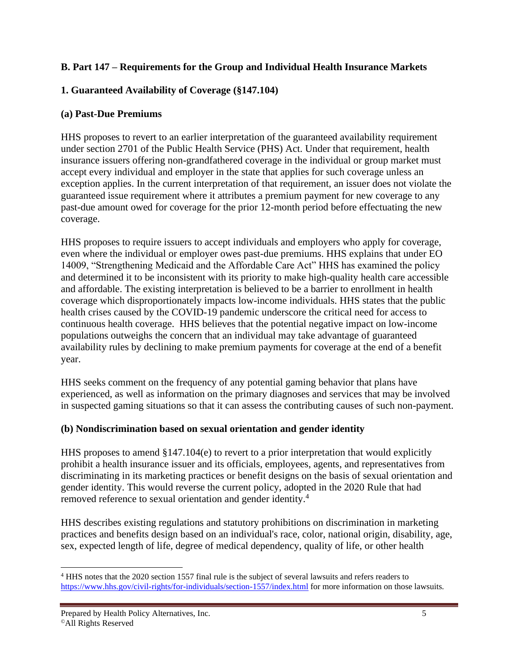#### **B. Part 147 – Requirements for the Group and Individual Health Insurance Markets**

### **1. Guaranteed Availability of Coverage (§147.104)**

#### **(a) Past-Due Premiums**

HHS proposes to revert to an earlier interpretation of the guaranteed availability requirement under section 2701 of the Public Health Service (PHS) Act. Under that requirement, health insurance issuers offering non-grandfathered coverage in the individual or group market must accept every individual and employer in the state that applies for such coverage unless an exception applies. In the current interpretation of that requirement, an issuer does not violate the guaranteed issue requirement where it attributes a premium payment for new coverage to any past-due amount owed for coverage for the prior 12-month period before effectuating the new coverage.

HHS proposes to require issuers to accept individuals and employers who apply for coverage, even where the individual or employer owes past-due premiums. HHS explains that under EO 14009, "Strengthening Medicaid and the Affordable Care Act" HHS has examined the policy and determined it to be inconsistent with its priority to make high-quality health care accessible and affordable. The existing interpretation is believed to be a barrier to enrollment in health coverage which disproportionately impacts low-income individuals. HHS states that the public health crises caused by the COVID-19 pandemic underscore the critical need for access to continuous health coverage. HHS believes that the potential negative impact on low-income populations outweighs the concern that an individual may take advantage of guaranteed availability rules by declining to make premium payments for coverage at the end of a benefit year.

HHS seeks comment on the frequency of any potential gaming behavior that plans have experienced, as well as information on the primary diagnoses and services that may be involved in suspected gaming situations so that it can assess the contributing causes of such non-payment.

#### **(b) Nondiscrimination based on sexual orientation and gender identity**

HHS proposes to amend  $\S 147.104(e)$  to revert to a prior interpretation that would explicitly prohibit a health insurance issuer and its officials, employees, agents, and representatives from discriminating in its marketing practices or benefit designs on the basis of sexual orientation and gender identity. This would reverse the current policy, adopted in the 2020 Rule that had removed reference to sexual orientation and gender identity.<sup>4</sup>

HHS describes existing regulations and statutory prohibitions on discrimination in marketing practices and benefits design based on an individual's race, color, national origin, disability, age, sex, expected length of life, degree of medical dependency, quality of life, or other health

<sup>4</sup> HHS notes that the 2020 section 1557 final rule is the subject of several lawsuits and refers readers to <https://www.hhs.gov/civil-rights/for-individuals/section-1557/index.html> for more information on those lawsuits.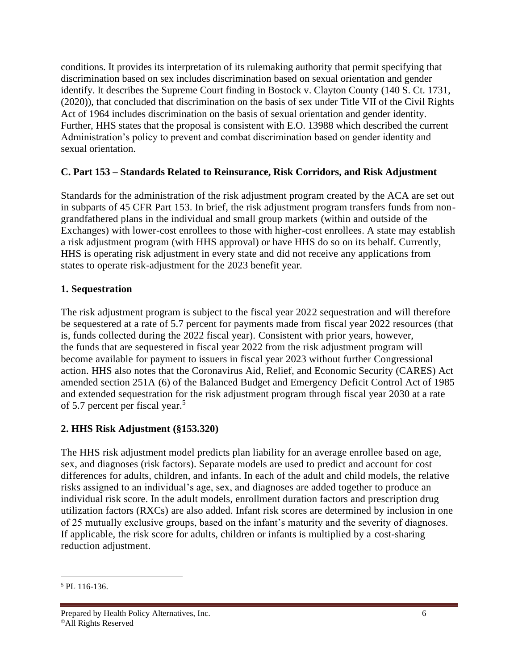conditions. It provides its interpretation of its rulemaking authority that permit specifying that discrimination based on sex includes discrimination based on sexual orientation and gender identify. It describes the Supreme Court finding in Bostock v. Clayton County (140 S. Ct. 1731, (2020)), that concluded that discrimination on the basis of sex under Title VII of the Civil Rights Act of 1964 includes discrimination on the basis of sexual orientation and gender identity. Further, HHS states that the proposal is consistent with E.O. 13988 which described the current Administration's policy to prevent and combat discrimination based on gender identity and sexual orientation.

#### **C. Part 153 – Standards Related to Reinsurance, Risk Corridors, and Risk Adjustment**

Standards for the administration of the risk adjustment program created by the ACA are set out in subparts of 45 CFR Part 153. In brief, the risk adjustment program transfers funds from nongrandfathered plans in the individual and small group markets (within and outside of the Exchanges) with lower-cost enrollees to those with higher-cost enrollees. A state may establish a risk adjustment program (with HHS approval) or have HHS do so on its behalf. Currently, HHS is operating risk adjustment in every state and did not receive any applications from states to operate risk-adjustment for the 2023 benefit year.

#### **1. Sequestration**

The risk adjustment program is subject to the fiscal year 2022 sequestration and will therefore be sequestered at a rate of 5.7 percent for payments made from fiscal year 2022 resources (that is, funds collected during the 2022 fiscal year). Consistent with prior years, however, the funds that are sequestered in fiscal year 2022 from the risk adjustment program will become available for payment to issuers in fiscal year 2023 without further Congressional action. HHS also notes that the Coronavirus Aid, Relief, and Economic Security (CARES) Act amended section 251A (6) of the Balanced Budget and Emergency Deficit Control Act of 1985 and extended sequestration for the risk adjustment program through fiscal year 2030 at a rate of 5.7 percent per fiscal year.<sup>5</sup>

## **2. HHS Risk Adjustment (§153.320)**

The HHS risk adjustment model predicts plan liability for an average enrollee based on age, sex, and diagnoses (risk factors). Separate models are used to predict and account for cost differences for adults, children, and infants. In each of the adult and child models, the relative risks assigned to an individual's age, sex, and diagnoses are added together to produce an individual risk score. In the adult models, enrollment duration factors and prescription drug utilization factors (RXCs) are also added. Infant risk scores are determined by inclusion in one of 25 mutually exclusive groups, based on the infant's maturity and the severity of diagnoses. If applicable, the risk score for adults, children or infants is multiplied by a cost-sharing reduction adjustment.

<sup>5</sup> PL 116-136.

Prepared by Health Policy Alternatives, Inc. 6 ©All Rights Reserved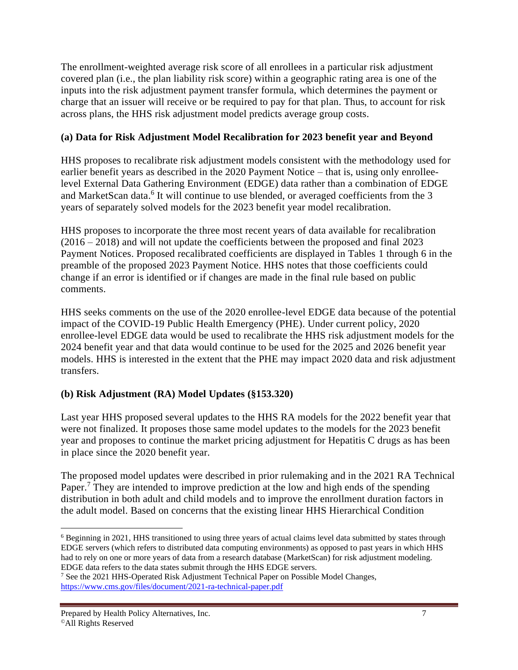The enrollment-weighted average risk score of all enrollees in a particular risk adjustment covered plan (i.e., the plan liability risk score) within a geographic rating area is one of the inputs into the risk adjustment payment transfer formula, which determines the payment or charge that an issuer will receive or be required to pay for that plan. Thus, to account for risk across plans, the HHS risk adjustment model predicts average group costs.

#### **(a) Data for Risk Adjustment Model Recalibration for 2023 benefit year and Beyond**

HHS proposes to recalibrate risk adjustment models consistent with the methodology used for earlier benefit years as described in the 2020 Payment Notice – that is, using only enrolleelevel External Data Gathering Environment (EDGE) data rather than a combination of EDGE and MarketScan data.<sup>6</sup> It will continue to use blended, or averaged coefficients from the 3 years of separately solved models for the 2023 benefit year model recalibration.

HHS proposes to incorporate the three most recent years of data available for recalibration (2016 – 2018) and will not update the coefficients between the proposed and final 2023 Payment Notices. Proposed recalibrated coefficients are displayed in Tables 1 through 6 in the preamble of the proposed 2023 Payment Notice. HHS notes that those coefficients could change if an error is identified or if changes are made in the final rule based on public comments.

HHS seeks comments on the use of the 2020 enrollee-level EDGE data because of the potential impact of the COVID-19 Public Health Emergency (PHE). Under current policy, 2020 enrollee-level EDGE data would be used to recalibrate the HHS risk adjustment models for the 2024 benefit year and that data would continue to be used for the 2025 and 2026 benefit year models. HHS is interested in the extent that the PHE may impact 2020 data and risk adjustment transfers.

## **(b) Risk Adjustment (RA) Model Updates (§153.320)**

Last year HHS proposed several updates to the HHS RA models for the 2022 benefit year that were not finalized. It proposes those same model updates to the models for the 2023 benefit year and proposes to continue the market pricing adjustment for Hepatitis C drugs as has been in place since the 2020 benefit year.

The proposed model updates were described in prior rulemaking and in the 2021 RA Technical Paper.<sup>7</sup> They are intended to improve prediction at the low and high ends of the spending distribution in both adult and child models and to improve the enrollment duration factors in the adult model. Based on concerns that the existing linear HHS Hierarchical Condition

<sup>6</sup> Beginning in 2021, HHS transitioned to using three years of actual claims level data submitted by states through EDGE servers (which refers to distributed data computing environments) as opposed to past years in which HHS had to rely on one or more years of data from a research database (MarketScan) for risk adjustment modeling. EDGE data refers to the data states submit through the HHS EDGE servers.

<sup>7</sup> See the 2021 HHS-Operated Risk Adjustment Technical Paper on Possible Model Changes, <https://www.cms.gov/files/document/2021-ra-technical-paper.pdf>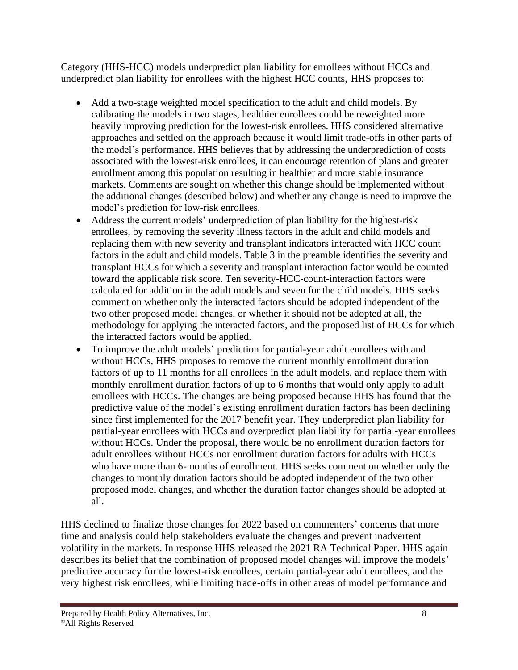Category (HHS-HCC) models underpredict plan liability for enrollees without HCCs and underpredict plan liability for enrollees with the highest HCC counts, HHS proposes to:

- Add a two-stage weighted model specification to the adult and child models. By calibrating the models in two stages, healthier enrollees could be reweighted more heavily improving prediction for the lowest-risk enrollees. HHS considered alternative approaches and settled on the approach because it would limit trade-offs in other parts of the model's performance. HHS believes that by addressing the underprediction of costs associated with the lowest-risk enrollees, it can encourage retention of plans and greater enrollment among this population resulting in healthier and more stable insurance markets. Comments are sought on whether this change should be implemented without the additional changes (described below) and whether any change is need to improve the model's prediction for low-risk enrollees.
- Address the current models' underprediction of plan liability for the highest-risk enrollees, by removing the severity illness factors in the adult and child models and replacing them with new severity and transplant indicators interacted with HCC count factors in the adult and child models. Table 3 in the preamble identifies the severity and transplant HCCs for which a severity and transplant interaction factor would be counted toward the applicable risk score. Ten severity-HCC-count-interaction factors were calculated for addition in the adult models and seven for the child models. HHS seeks comment on whether only the interacted factors should be adopted independent of the two other proposed model changes, or whether it should not be adopted at all, the methodology for applying the interacted factors, and the proposed list of HCCs for which the interacted factors would be applied.
- To improve the adult models' prediction for partial-year adult enrollees with and without HCCs, HHS proposes to remove the current monthly enrollment duration factors of up to 11 months for all enrollees in the adult models, and replace them with monthly enrollment duration factors of up to 6 months that would only apply to adult enrollees with HCCs. The changes are being proposed because HHS has found that the predictive value of the model's existing enrollment duration factors has been declining since first implemented for the 2017 benefit year. They underpredict plan liability for partial-year enrollees with HCCs and overpredict plan liability for partial-year enrollees without HCCs. Under the proposal, there would be no enrollment duration factors for adult enrollees without HCCs nor enrollment duration factors for adults with HCCs who have more than 6-months of enrollment. HHS seeks comment on whether only the changes to monthly duration factors should be adopted independent of the two other proposed model changes, and whether the duration factor changes should be adopted at all.

HHS declined to finalize those changes for 2022 based on commenters' concerns that more time and analysis could help stakeholders evaluate the changes and prevent inadvertent volatility in the markets. In response HHS released the 2021 RA Technical Paper. HHS again describes its belief that the combination of proposed model changes will improve the models' predictive accuracy for the lowest-risk enrollees, certain partial-year adult enrollees, and the very highest risk enrollees, while limiting trade-offs in other areas of model performance and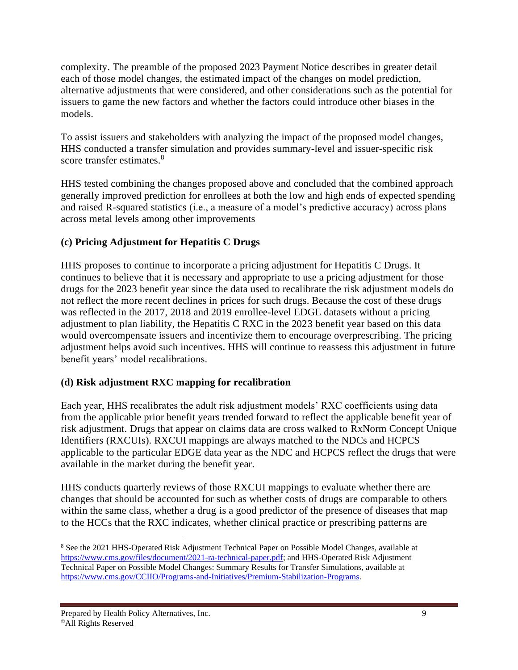complexity. The preamble of the proposed 2023 Payment Notice describes in greater detail each of those model changes, the estimated impact of the changes on model prediction, alternative adjustments that were considered, and other considerations such as the potential for issuers to game the new factors and whether the factors could introduce other biases in the models.

To assist issuers and stakeholders with analyzing the impact of the proposed model changes, HHS conducted a transfer simulation and provides summary-level and issuer-specific risk score transfer estimates.<sup>8</sup>

HHS tested combining the changes proposed above and concluded that the combined approach generally improved prediction for enrollees at both the low and high ends of expected spending and raised R-squared statistics (i.e., a measure of a model's predictive accuracy) across plans across metal levels among other improvements

# **(c) Pricing Adjustment for Hepatitis C Drugs**

HHS proposes to continue to incorporate a pricing adjustment for Hepatitis C Drugs. It continues to believe that it is necessary and appropriate to use a pricing adjustment for those drugs for the 2023 benefit year since the data used to recalibrate the risk adjustment models do not reflect the more recent declines in prices for such drugs. Because the cost of these drugs was reflected in the 2017, 2018 and 2019 enrollee-level EDGE datasets without a pricing adjustment to plan liability, the Hepatitis C RXC in the 2023 benefit year based on this data would overcompensate issuers and incentivize them to encourage overprescribing. The pricing adjustment helps avoid such incentives. HHS will continue to reassess this adjustment in future benefit years' model recalibrations.

## **(d) Risk adjustment RXC mapping for recalibration**

Each year, HHS recalibrates the adult risk adjustment models' RXC coefficients using data from the applicable prior benefit years trended forward to reflect the applicable benefit year of risk adjustment. Drugs that appear on claims data are cross walked to RxNorm Concept Unique Identifiers (RXCUIs). RXCUI mappings are always matched to the NDCs and HCPCS applicable to the particular EDGE data year as the NDC and HCPCS reflect the drugs that were available in the market during the benefit year.

HHS conducts quarterly reviews of those RXCUI mappings to evaluate whether there are changes that should be accounted for such as whether costs of drugs are comparable to others within the same class, whether a drug is a good predictor of the presence of diseases that map to the HCCs that the RXC indicates, whether clinical practice or prescribing patterns are

<sup>8</sup> See the 2021 HHS-Operated Risk Adjustment Technical Paper on Possible Model Changes, available at [https://www.cms.gov/files/document/2021-ra-technical-paper.pdf;](https://www.cms.gov/files/document/2021-ra-technical-paper.pdf) and HHS-Operated Risk Adjustment Technical Paper on Possible Model Changes: Summary Results for Transfer Simulations, available at [https://www.cms.gov/CCIIO/Programs-and-Initiatives/Premium-Stabilization-Programs.](https://www.cms.gov/CCIIO/Programs-and-Initiatives/Premium-Stabilization-Programs)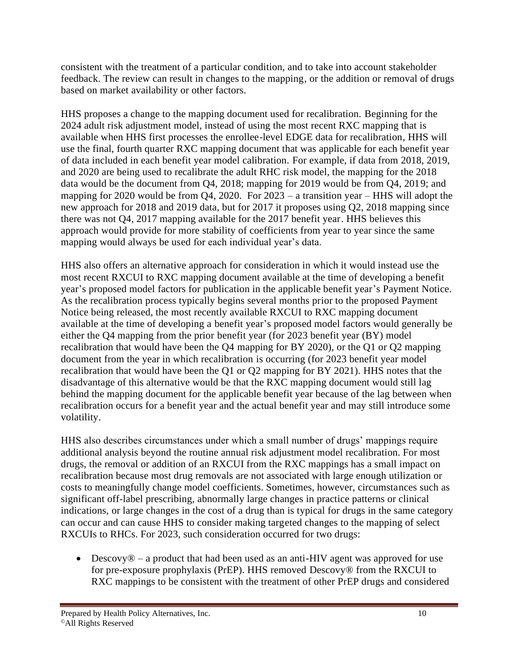consistent with the treatment of a particular condition, and to take into account stakeholder feedback. The review can result in changes to the mapping, or the addition or removal of drugs based on market availability or other factors.

HHS proposes a change to the mapping document used for recalibration. Beginning for the 2024 adult risk adjustment model, instead of using the most recent RXC mapping that is available when HHS first processes the enrollee-level EDGE data for recalibration, HHS will use the final, fourth quarter RXC mapping document that was applicable for each benefit year of data included in each benefit year model calibration. For example, if data from 2018, 2019, and 2020 are being used to recalibrate the adult RHC risk model, the mapping for the 2018 data would be the document from Q4, 2018; mapping for 2019 would be from Q4, 2019; and mapping for 2020 would be from Q4, 2020. For  $2023 - a$  transition year – HHS will adopt the new approach for 2018 and 2019 data, but for 2017 it proposes using Q2, 2018 mapping since there was not Q4, 2017 mapping available for the 2017 benefit year. HHS believes this approach would provide for more stability of coefficients from year to year since the same mapping would always be used for each individual year's data.

HHS also offers an alternative approach for consideration in which it would instead use the most recent RXCUI to RXC mapping document available at the time of developing a benefit year's proposed model factors for publication in the applicable benefit year's Payment Notice. As the recalibration process typically begins several months prior to the proposed Payment Notice being released, the most recently available RXCUI to RXC mapping document available at the time of developing a benefit year's proposed model factors would generally be either the Q4 mapping from the prior benefit year (for 2023 benefit year (BY) model recalibration that would have been the Q4 mapping for BY 2020), or the Q1 or Q2 mapping document from the year in which recalibration is occurring (for 2023 benefit year model recalibration that would have been the Q1 or Q2 mapping for BY 2021). HHS notes that the disadvantage of this alternative would be that the RXC mapping document would still lag behind the mapping document for the applicable benefit year because of the lag between when recalibration occurs for a benefit year and the actual benefit year and may still introduce some volatility.

HHS also describes circumstances under which a small number of drugs' mappings require additional analysis beyond the routine annual risk adjustment model recalibration. For most drugs, the removal or addition of an RXCUI from the RXC mappings has a small impact on recalibration because most drug removals are not associated with large enough utilization or costs to meaningfully change model coefficients. Sometimes, however, circumstances such as significant off-label prescribing, abnormally large changes in practice patterns or clinical indications, or large changes in the cost of a drug than is typical for drugs in the same category can occur and can cause HHS to consider making targeted changes to the mapping of select RXCUIs to RHCs. For 2023, such consideration occurred for two drugs:

• Descovy<sup>®</sup> – a product that had been used as an anti-HIV agent was approved for use for pre-exposure prophylaxis (PrEP). HHS removed Descovy® from the RXCUI to RXC mappings to be consistent with the treatment of other PrEP drugs and considered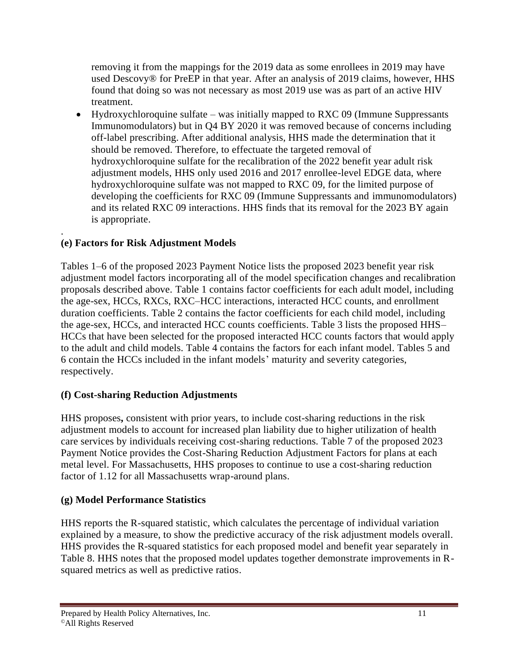removing it from the mappings for the 2019 data as some enrollees in 2019 may have used Descovy® for PreEP in that year. After an analysis of 2019 claims, however, HHS found that doing so was not necessary as most 2019 use was as part of an active HIV treatment.

• Hydroxychloroquine sulfate – was initially mapped to RXC 09 (Immune Suppressants Immunomodulators) but in Q4 BY 2020 it was removed because of concerns including off-label prescribing. After additional analysis, HHS made the determination that it should be removed. Therefore, to effectuate the targeted removal of hydroxychloroquine sulfate for the recalibration of the 2022 benefit year adult risk adjustment models, HHS only used 2016 and 2017 enrollee-level EDGE data, where hydroxychloroquine sulfate was not mapped to RXC 09, for the limited purpose of developing the coefficients for RXC 09 (Immune Suppressants and immunomodulators) and its related RXC 09 interactions. HHS finds that its removal for the 2023 BY again is appropriate.

#### . **(e) Factors for Risk Adjustment Models**

Tables 1–6 of the proposed 2023 Payment Notice lists the proposed 2023 benefit year risk adjustment model factors incorporating all of the model specification changes and recalibration proposals described above. Table 1 contains factor coefficients for each adult model, including the age-sex, HCCs, RXCs, RXC–HCC interactions, interacted HCC counts, and enrollment duration coefficients. Table 2 contains the factor coefficients for each child model, including the age-sex, HCCs, and interacted HCC counts coefficients. Table 3 lists the proposed HHS– HCCs that have been selected for the proposed interacted HCC counts factors that would apply to the adult and child models. Table 4 contains the factors for each infant model. Tables 5 and 6 contain the HCCs included in the infant models' maturity and severity categories, respectively.

## **(f) Cost-sharing Reduction Adjustments**

HHS proposes**,** consistent with prior years, to include cost-sharing reductions in the risk adjustment models to account for increased plan liability due to higher utilization of health care services by individuals receiving cost-sharing reductions. Table 7 of the proposed 2023 Payment Notice provides the Cost-Sharing Reduction Adjustment Factors for plans at each metal level. For Massachusetts, HHS proposes to continue to use a cost-sharing reduction factor of 1.12 for all Massachusetts wrap-around plans.

## **(g) Model Performance Statistics**

HHS reports the R-squared statistic, which calculates the percentage of individual variation explained by a measure, to show the predictive accuracy of the risk adjustment models overall. HHS provides the R-squared statistics for each proposed model and benefit year separately in Table 8. HHS notes that the proposed model updates together demonstrate improvements in Rsquared metrics as well as predictive ratios.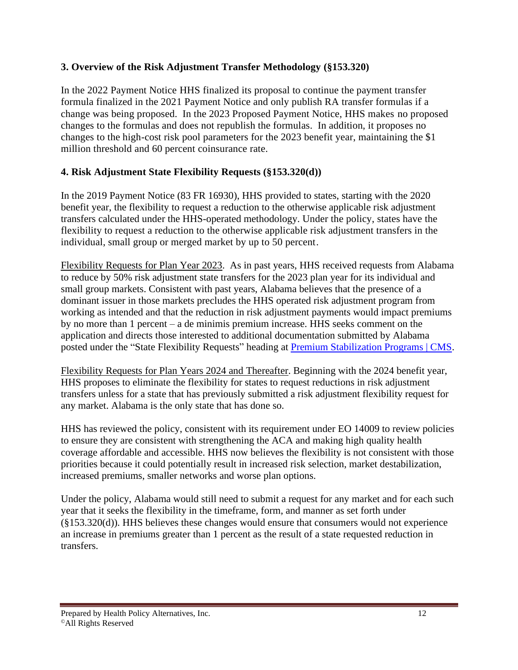#### **3. Overview of the Risk Adjustment Transfer Methodology (§153.320)**

In the 2022 Payment Notice HHS finalized its proposal to continue the payment transfer formula finalized in the 2021 Payment Notice and only publish RA transfer formulas if a change was being proposed. In the 2023 Proposed Payment Notice, HHS makes no proposed changes to the formulas and does not republish the formulas. In addition, it proposes no changes to the high-cost risk pool parameters for the 2023 benefit year, maintaining the \$1 million threshold and 60 percent coinsurance rate.

#### **4. Risk Adjustment State Flexibility Requests (§153.320(d))**

In the 2019 Payment Notice (83 FR 16930), HHS provided to states, starting with the 2020 benefit year, the flexibility to request a reduction to the otherwise applicable risk adjustment transfers calculated under the HHS-operated methodology. Under the policy, states have the flexibility to request a reduction to the otherwise applicable risk adjustment transfers in the individual, small group or merged market by up to 50 percent.

Flexibility Requests for Plan Year 2023. As in past years, HHS received requests from Alabama to reduce by 50% risk adjustment state transfers for the 2023 plan year for its individual and small group markets. Consistent with past years, Alabama believes that the presence of a dominant issuer in those markets precludes the HHS operated risk adjustment program from working as intended and that the reduction in risk adjustment payments would impact premiums by no more than 1 percent – a de minimis premium increase. HHS seeks comment on the application and directs those interested to additional documentation submitted by Alabama posted under the "State Flexibility Requests" heading at [Premium Stabilization Programs | CMS.](https://www.cms.gov/cciio/programs-and-initiatives/premium-stabilization-programs)

Flexibility Requests for Plan Years 2024 and Thereafter. Beginning with the 2024 benefit year, HHS proposes to eliminate the flexibility for states to request reductions in risk adjustment transfers unless for a state that has previously submitted a risk adjustment flexibility request for any market. Alabama is the only state that has done so.

HHS has reviewed the policy, consistent with its requirement under EO 14009 to review policies to ensure they are consistent with strengthening the ACA and making high quality health coverage affordable and accessible. HHS now believes the flexibility is not consistent with those priorities because it could potentially result in increased risk selection, market destabilization, increased premiums, smaller networks and worse plan options.

Under the policy, Alabama would still need to submit a request for any market and for each such year that it seeks the flexibility in the timeframe, form, and manner as set forth under  $(\S 153.320(d))$ . HHS believes these changes would ensure that consumers would not experience an increase in premiums greater than 1 percent as the result of a state requested reduction in transfers.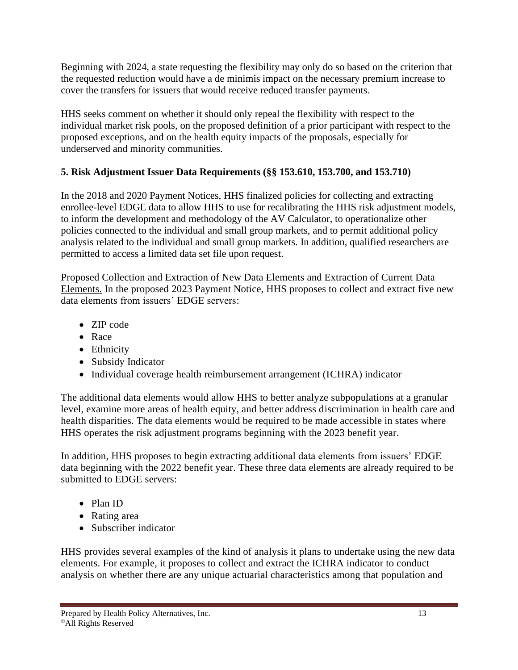Beginning with 2024, a state requesting the flexibility may only do so based on the criterion that the requested reduction would have a de minimis impact on the necessary premium increase to cover the transfers for issuers that would receive reduced transfer payments.

HHS seeks comment on whether it should only repeal the flexibility with respect to the individual market risk pools, on the proposed definition of a prior participant with respect to the proposed exceptions, and on the health equity impacts of the proposals, especially for underserved and minority communities.

# **5. Risk Adjustment Issuer Data Requirements (§§ 153.610, 153.700, and 153.710)**

In the 2018 and 2020 Payment Notices, HHS finalized policies for collecting and extracting enrollee-level EDGE data to allow HHS to use for recalibrating the HHS risk adjustment models, to inform the development and methodology of the AV Calculator, to operationalize other policies connected to the individual and small group markets, and to permit additional policy analysis related to the individual and small group markets. In addition, qualified researchers are permitted to access a limited data set file upon request.

Proposed Collection and Extraction of New Data Elements and Extraction of Current Data Elements. In the proposed 2023 Payment Notice, HHS proposes to collect and extract five new data elements from issuers' EDGE servers:

- ZIP code
- Race
- Ethnicity
- Subsidy Indicator
- Individual coverage health reimbursement arrangement (ICHRA) indicator

The additional data elements would allow HHS to better analyze subpopulations at a granular level, examine more areas of health equity, and better address discrimination in health care and health disparities. The data elements would be required to be made accessible in states where HHS operates the risk adjustment programs beginning with the 2023 benefit year.

In addition, HHS proposes to begin extracting additional data elements from issuers' EDGE data beginning with the 2022 benefit year. These three data elements are already required to be submitted to EDGE servers:

- Plan ID
- Rating area
- Subscriber indicator

HHS provides several examples of the kind of analysis it plans to undertake using the new data elements. For example, it proposes to collect and extract the ICHRA indicator to conduct analysis on whether there are any unique actuarial characteristics among that population and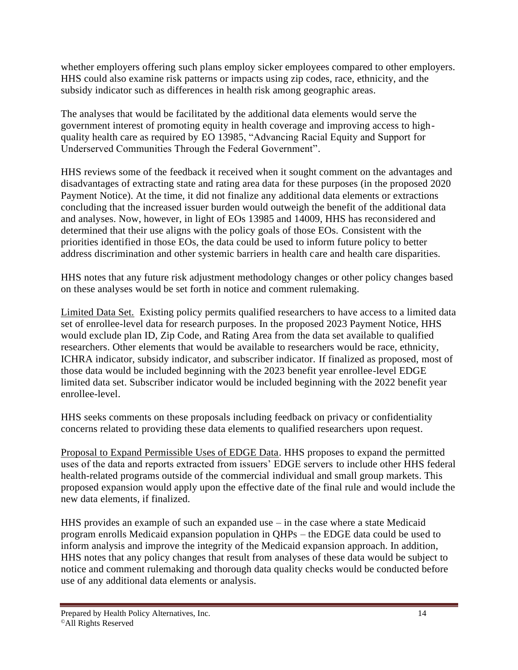whether employers offering such plans employ sicker employees compared to other employers. HHS could also examine risk patterns or impacts using zip codes, race, ethnicity, and the subsidy indicator such as differences in health risk among geographic areas.

The analyses that would be facilitated by the additional data elements would serve the government interest of promoting equity in health coverage and improving access to highquality health care as required by EO 13985, "Advancing Racial Equity and Support for Underserved Communities Through the Federal Government".

HHS reviews some of the feedback it received when it sought comment on the advantages and disadvantages of extracting state and rating area data for these purposes (in the proposed 2020 Payment Notice). At the time, it did not finalize any additional data elements or extractions concluding that the increased issuer burden would outweigh the benefit of the additional data and analyses. Now, however, in light of EOs 13985 and 14009, HHS has reconsidered and determined that their use aligns with the policy goals of those EOs. Consistent with the priorities identified in those EOs, the data could be used to inform future policy to better address discrimination and other systemic barriers in health care and health care disparities.

HHS notes that any future risk adjustment methodology changes or other policy changes based on these analyses would be set forth in notice and comment rulemaking.

Limited Data Set. Existing policy permits qualified researchers to have access to a limited data set of enrollee-level data for research purposes. In the proposed 2023 Payment Notice, HHS would exclude plan ID, Zip Code, and Rating Area from the data set available to qualified researchers. Other elements that would be available to researchers would be race, ethnicity, ICHRA indicator, subsidy indicator, and subscriber indicator. If finalized as proposed, most of those data would be included beginning with the 2023 benefit year enrollee-level EDGE limited data set. Subscriber indicator would be included beginning with the 2022 benefit year enrollee-level.

HHS seeks comments on these proposals including feedback on privacy or confidentiality concerns related to providing these data elements to qualified researchers upon request.

Proposal to Expand Permissible Uses of EDGE Data. HHS proposes to expand the permitted uses of the data and reports extracted from issuers' EDGE servers to include other HHS federal health-related programs outside of the commercial individual and small group markets. This proposed expansion would apply upon the effective date of the final rule and would include the new data elements, if finalized.

HHS provides an example of such an expanded use – in the case where a state Medicaid program enrolls Medicaid expansion population in QHPs – the EDGE data could be used to inform analysis and improve the integrity of the Medicaid expansion approach. In addition, HHS notes that any policy changes that result from analyses of these data would be subject to notice and comment rulemaking and thorough data quality checks would be conducted before use of any additional data elements or analysis.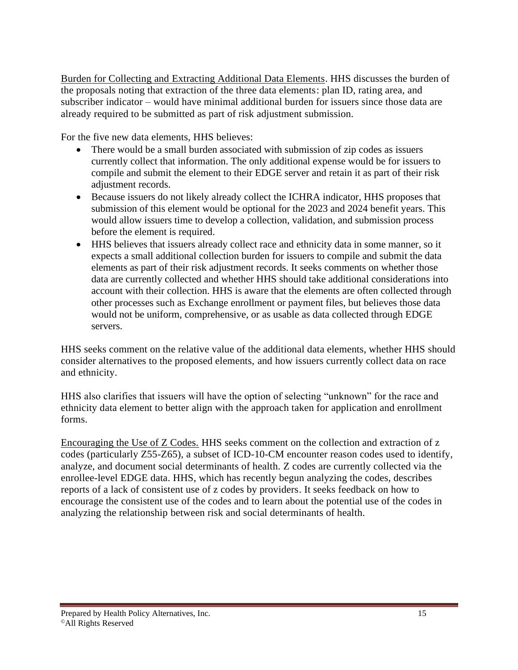Burden for Collecting and Extracting Additional Data Elements. HHS discusses the burden of the proposals noting that extraction of the three data elements: plan ID, rating area, and subscriber indicator – would have minimal additional burden for issuers since those data are already required to be submitted as part of risk adjustment submission.

For the five new data elements, HHS believes:

- There would be a small burden associated with submission of zip codes as issuers currently collect that information. The only additional expense would be for issuers to compile and submit the element to their EDGE server and retain it as part of their risk adjustment records.
- Because issuers do not likely already collect the ICHRA indicator, HHS proposes that submission of this element would be optional for the 2023 and 2024 benefit years. This would allow issuers time to develop a collection, validation, and submission process before the element is required.
- HHS believes that issuers already collect race and ethnicity data in some manner, so it expects a small additional collection burden for issuers to compile and submit the data elements as part of their risk adjustment records. It seeks comments on whether those data are currently collected and whether HHS should take additional considerations into account with their collection. HHS is aware that the elements are often collected through other processes such as Exchange enrollment or payment files, but believes those data would not be uniform, comprehensive, or as usable as data collected through EDGE servers.

HHS seeks comment on the relative value of the additional data elements, whether HHS should consider alternatives to the proposed elements, and how issuers currently collect data on race and ethnicity.

HHS also clarifies that issuers will have the option of selecting "unknown" for the race and ethnicity data element to better align with the approach taken for application and enrollment forms.

Encouraging the Use of Z Codes. HHS seeks comment on the collection and extraction of z codes (particularly Z55-Z65), a subset of ICD-10-CM encounter reason codes used to identify, analyze, and document social determinants of health. Z codes are currently collected via the enrollee-level EDGE data. HHS, which has recently begun analyzing the codes, describes reports of a lack of consistent use of z codes by providers. It seeks feedback on how to encourage the consistent use of the codes and to learn about the potential use of the codes in analyzing the relationship between risk and social determinants of health.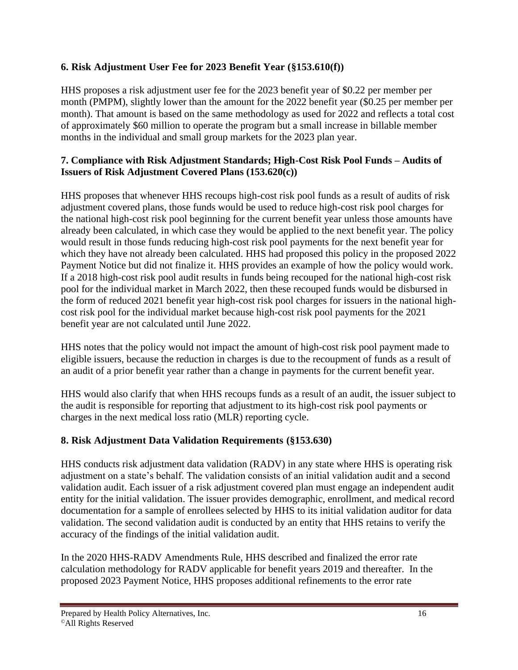### **6. Risk Adjustment User Fee for 2023 Benefit Year (§153.610(f))**

HHS proposes a risk adjustment user fee for the 2023 benefit year of \$0.22 per member per month (PMPM), slightly lower than the amount for the 2022 benefit year (\$0.25 per member per month). That amount is based on the same methodology as used for 2022 and reflects a total cost of approximately \$60 million to operate the program but a small increase in billable member months in the individual and small group markets for the 2023 plan year.

#### **7. Compliance with Risk Adjustment Standards; High-Cost Risk Pool Funds – Audits of Issuers of Risk Adjustment Covered Plans (153.620(c))**

HHS proposes that whenever HHS recoups high-cost risk pool funds as a result of audits of risk adjustment covered plans, those funds would be used to reduce high-cost risk pool charges for the national high-cost risk pool beginning for the current benefit year unless those amounts have already been calculated, in which case they would be applied to the next benefit year. The policy would result in those funds reducing high-cost risk pool payments for the next benefit year for which they have not already been calculated. HHS had proposed this policy in the proposed 2022 Payment Notice but did not finalize it. HHS provides an example of how the policy would work. If a 2018 high-cost risk pool audit results in funds being recouped for the national high-cost risk pool for the individual market in March 2022, then these recouped funds would be disbursed in the form of reduced 2021 benefit year high-cost risk pool charges for issuers in the national highcost risk pool for the individual market because high-cost risk pool payments for the 2021 benefit year are not calculated until June 2022.

HHS notes that the policy would not impact the amount of high-cost risk pool payment made to eligible issuers, because the reduction in charges is due to the recoupment of funds as a result of an audit of a prior benefit year rather than a change in payments for the current benefit year.

HHS would also clarify that when HHS recoups funds as a result of an audit, the issuer subject to the audit is responsible for reporting that adjustment to its high-cost risk pool payments or charges in the next medical loss ratio (MLR) reporting cycle.

## **8. Risk Adjustment Data Validation Requirements (§153.630)**

HHS conducts risk adjustment data validation (RADV) in any state where HHS is operating risk adjustment on a state's behalf. The validation consists of an initial validation audit and a second validation audit. Each issuer of a risk adjustment covered plan must engage an independent audit entity for the initial validation. The issuer provides demographic, enrollment, and medical record documentation for a sample of enrollees selected by HHS to its initial validation auditor for data validation. The second validation audit is conducted by an entity that HHS retains to verify the accuracy of the findings of the initial validation audit.

In the 2020 HHS-RADV Amendments Rule, HHS described and finalized the error rate calculation methodology for RADV applicable for benefit years 2019 and thereafter. In the proposed 2023 Payment Notice, HHS proposes additional refinements to the error rate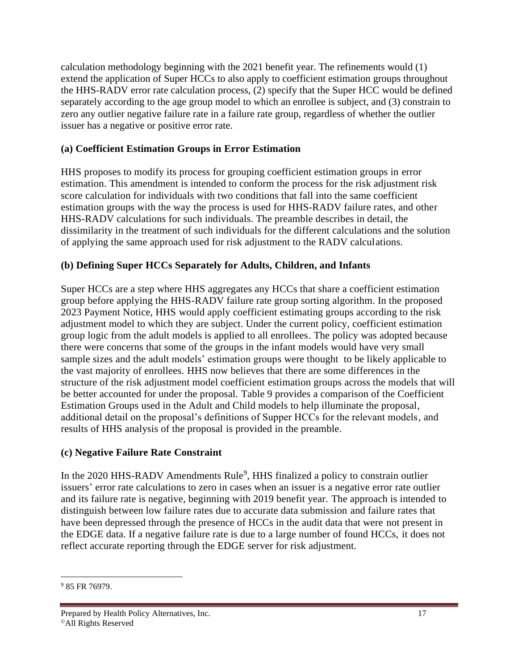calculation methodology beginning with the 2021 benefit year. The refinements would (1) extend the application of Super HCCs to also apply to coefficient estimation groups throughout the HHS-RADV error rate calculation process, (2) specify that the Super HCC would be defined separately according to the age group model to which an enrollee is subject, and (3) constrain to zero any outlier negative failure rate in a failure rate group, regardless of whether the outlier issuer has a negative or positive error rate.

#### **(a) Coefficient Estimation Groups in Error Estimation**

HHS proposes to modify its process for grouping coefficient estimation groups in error estimation. This amendment is intended to conform the process for the risk adjustment risk score calculation for individuals with two conditions that fall into the same coefficient estimation groups with the way the process is used for HHS-RADV failure rates, and other HHS-RADV calculations for such individuals. The preamble describes in detail, the dissimilarity in the treatment of such individuals for the different calculations and the solution of applying the same approach used for risk adjustment to the RADV calculations.

### **(b) Defining Super HCCs Separately for Adults, Children, and Infants**

Super HCCs are a step where HHS aggregates any HCCs that share a coefficient estimation group before applying the HHS-RADV failure rate group sorting algorithm. In the proposed 2023 Payment Notice, HHS would apply coefficient estimating groups according to the risk adjustment model to which they are subject. Under the current policy, coefficient estimation group logic from the adult models is applied to all enrollees. The policy was adopted because there were concerns that some of the groups in the infant models would have very small sample sizes and the adult models' estimation groups were thought to be likely applicable to the vast majority of enrollees. HHS now believes that there are some differences in the structure of the risk adjustment model coefficient estimation groups across the models that will be better accounted for under the proposal. Table 9 provides a comparison of the Coefficient Estimation Groups used in the Adult and Child models to help illuminate the proposal, additional detail on the proposal's definitions of Supper HCCs for the relevant models, and results of HHS analysis of the proposal is provided in the preamble.

#### **(c) Negative Failure Rate Constraint**

In the 2020 HHS-RADV Amendments Rule<sup>9</sup>, HHS finalized a policy to constrain outlier issuers' error rate calculations to zero in cases when an issuer is a negative error rate outlier and its failure rate is negative, beginning with 2019 benefit year. The approach is intended to distinguish between low failure rates due to accurate data submission and failure rates that have been depressed through the presence of HCCs in the audit data that were not present in the EDGE data. If a negative failure rate is due to a large number of found HCCs, it does not reflect accurate reporting through the EDGE server for risk adjustment.

<sup>&</sup>lt;sup>9</sup> 85 FR 76979.

Prepared by Health Policy Alternatives, Inc. 17 ©All Rights Reserved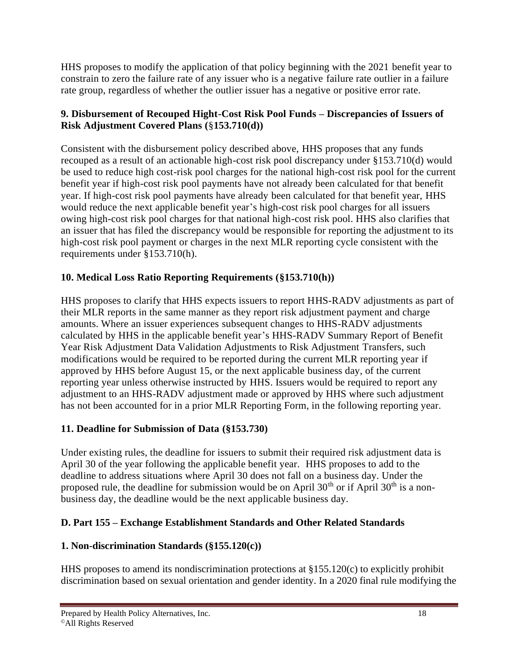HHS proposes to modify the application of that policy beginning with the 2021 benefit year to constrain to zero the failure rate of any issuer who is a negative failure rate outlier in a failure rate group, regardless of whether the outlier issuer has a negative or positive error rate.

#### **9. Disbursement of Recouped Hight-Cost Risk Pool Funds – Discrepancies of Issuers of Risk Adjustment Covered Plans (**§**153.710(d))**

Consistent with the disbursement policy described above, HHS proposes that any funds recouped as a result of an actionable high-cost risk pool discrepancy under §153.710(d) would be used to reduce high cost-risk pool charges for the national high-cost risk pool for the current benefit year if high-cost risk pool payments have not already been calculated for that benefit year. If high-cost risk pool payments have already been calculated for that benefit year, HHS would reduce the next applicable benefit year's high-cost risk pool charges for all issuers owing high-cost risk pool charges for that national high-cost risk pool. HHS also clarifies that an issuer that has filed the discrepancy would be responsible for reporting the adjustment to its high-cost risk pool payment or charges in the next MLR reporting cycle consistent with the requirements under §153.710(h).

## **10. Medical Loss Ratio Reporting Requirements (§153.710(h))**

HHS proposes to clarify that HHS expects issuers to report HHS-RADV adjustments as part of their MLR reports in the same manner as they report risk adjustment payment and charge amounts. Where an issuer experiences subsequent changes to HHS-RADV adjustments calculated by HHS in the applicable benefit year's HHS-RADV Summary Report of Benefit Year Risk Adjustment Data Validation Adjustments to Risk Adjustment Transfers, such modifications would be required to be reported during the current MLR reporting year if approved by HHS before August 15, or the next applicable business day, of the current reporting year unless otherwise instructed by HHS. Issuers would be required to report any adjustment to an HHS-RADV adjustment made or approved by HHS where such adjustment has not been accounted for in a prior MLR Reporting Form, in the following reporting year.

## **11. Deadline for Submission of Data (§153.730)**

Under existing rules, the deadline for issuers to submit their required risk adjustment data is April 30 of the year following the applicable benefit year. HHS proposes to add to the deadline to address situations where April 30 does not fall on a business day. Under the proposed rule, the deadline for submission would be on April  $30<sup>th</sup>$  or if April  $30<sup>th</sup>$  is a nonbusiness day, the deadline would be the next applicable business day.

# **D. Part 155 – Exchange Establishment Standards and Other Related Standards**

# **1. Non-discrimination Standards (§155.120(c))**

HHS proposes to amend its nondiscrimination protections at  $\S 155.120(c)$  to explicitly prohibit discrimination based on sexual orientation and gender identity. In a 2020 final rule modifying the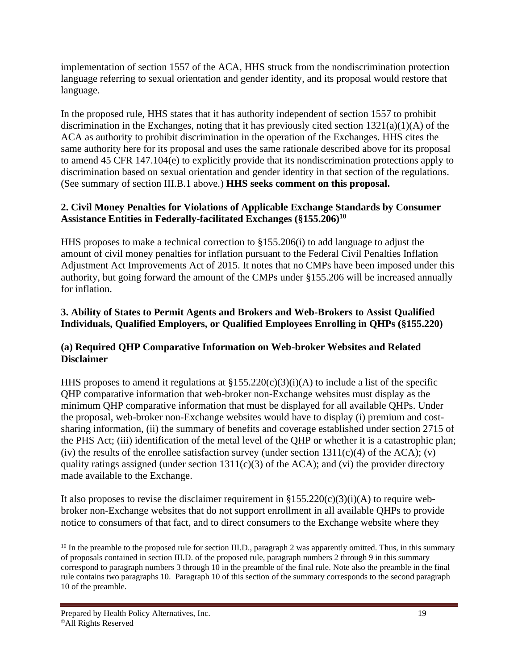implementation of section 1557 of the ACA, HHS struck from the nondiscrimination protection language referring to sexual orientation and gender identity, and its proposal would restore that language.

In the proposed rule, HHS states that it has authority independent of section 1557 to prohibit discrimination in the Exchanges, noting that it has previously cited section 1321(a)(1)(A) of the ACA as authority to prohibit discrimination in the operation of the Exchanges. HHS cites the same authority here for its proposal and uses the same rationale described above for its proposal to amend 45 CFR 147.104(e) to explicitly provide that its nondiscrimination protections apply to discrimination based on sexual orientation and gender identity in that section of the regulations. (See summary of section III.B.1 above.) **HHS seeks comment on this proposal.**

#### **2. Civil Money Penalties for Violations of Applicable Exchange Standards by Consumer Assistance Entities in Federally-facilitated Exchanges (§155.206)<sup>10</sup>**

HHS proposes to make a technical correction to §155.206(i) to add language to adjust the amount of civil money penalties for inflation pursuant to the Federal Civil Penalties Inflation Adjustment Act Improvements Act of 2015. It notes that no CMPs have been imposed under this authority, but going forward the amount of the CMPs under §155.206 will be increased annually for inflation.

#### **3. Ability of States to Permit Agents and Brokers and Web-Brokers to Assist Qualified Individuals, Qualified Employers, or Qualified Employees Enrolling in QHPs (§155.220)**

#### **(a) Required QHP Comparative Information on Web-broker Websites and Related Disclaimer**

HHS proposes to amend it regulations at  $\S 155.220(c)(3)(i)(A)$  to include a list of the specific QHP comparative information that web-broker non-Exchange websites must display as the minimum QHP comparative information that must be displayed for all available QHPs. Under the proposal, web-broker non-Exchange websites would have to display (i) premium and costsharing information, (ii) the summary of benefits and coverage established under section 2715 of the PHS Act; (iii) identification of the metal level of the QHP or whether it is a catastrophic plan; (iv) the results of the enrollee satisfaction survey (under section  $1311(c)(4)$  of the ACA); (v) quality ratings assigned (under section  $1311(c)(3)$  of the ACA); and (vi) the provider directory made available to the Exchange.

It also proposes to revise the disclaimer requirement in  $\S 155.220(c)(3)(i)(A)$  to require webbroker non-Exchange websites that do not support enrollment in all available QHPs to provide notice to consumers of that fact, and to direct consumers to the Exchange website where they

<sup>&</sup>lt;sup>10</sup> In the preamble to the proposed rule for section III.D., paragraph 2 was apparently omitted. Thus, in this summary of proposals contained in section III.D. of the proposed rule, paragraph numbers 2 through 9 in this summary correspond to paragraph numbers 3 through 10 in the preamble of the final rule. Note also the preamble in the final rule contains two paragraphs 10. Paragraph 10 of this section of the summary corresponds to the second paragraph 10 of the preamble.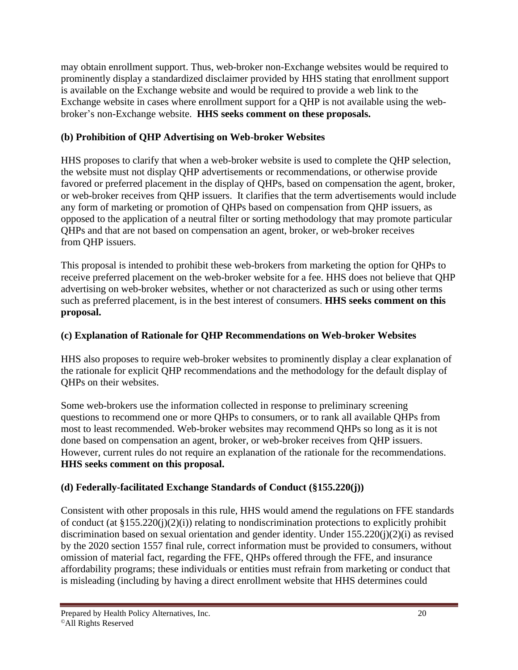may obtain enrollment support. Thus, web-broker non-Exchange websites would be required to prominently display a standardized disclaimer provided by HHS stating that enrollment support is available on the Exchange website and would be required to provide a web link to the Exchange website in cases where enrollment support for a QHP is not available using the webbroker's non-Exchange website. **HHS seeks comment on these proposals.**

### **(b) Prohibition of QHP Advertising on Web-broker Websites**

HHS proposes to clarify that when a web-broker website is used to complete the QHP selection, the website must not display QHP advertisements or recommendations, or otherwise provide favored or preferred placement in the display of QHPs, based on compensation the agent, broker, or web-broker receives from QHP issuers. It clarifies that the term advertisements would include any form of marketing or promotion of QHPs based on compensation from QHP issuers, as opposed to the application of a neutral filter or sorting methodology that may promote particular QHPs and that are not based on compensation an agent, broker, or web-broker receives from QHP issuers.

This proposal is intended to prohibit these web-brokers from marketing the option for QHPs to receive preferred placement on the web-broker website for a fee. HHS does not believe that QHP advertising on web-broker websites, whether or not characterized as such or using other terms such as preferred placement, is in the best interest of consumers. **HHS seeks comment on this proposal.**

## **(c) Explanation of Rationale for QHP Recommendations on Web-broker Websites**

HHS also proposes to require web-broker websites to prominently display a clear explanation of the rationale for explicit QHP recommendations and the methodology for the default display of QHPs on their websites.

Some web-brokers use the information collected in response to preliminary screening questions to recommend one or more QHPs to consumers, or to rank all available QHPs from most to least recommended. Web-broker websites may recommend QHPs so long as it is not done based on compensation an agent, broker, or web-broker receives from QHP issuers. However, current rules do not require an explanation of the rationale for the recommendations. **HHS seeks comment on this proposal.**

# **(d) Federally-facilitated Exchange Standards of Conduct (§155.220(j))**

Consistent with other proposals in this rule, HHS would amend the regulations on FFE standards of conduct (at  $\S 155.220(i)(2)(i)$ ) relating to nondiscrimination protections to explicitly prohibit discrimination based on sexual orientation and gender identity. Under 155.220(j)(2)(i) as revised by the 2020 section 1557 final rule, correct information must be provided to consumers, without omission of material fact, regarding the FFE, QHPs offered through the FFE, and insurance affordability programs; these individuals or entities must refrain from marketing or conduct that is misleading (including by having a direct enrollment website that HHS determines could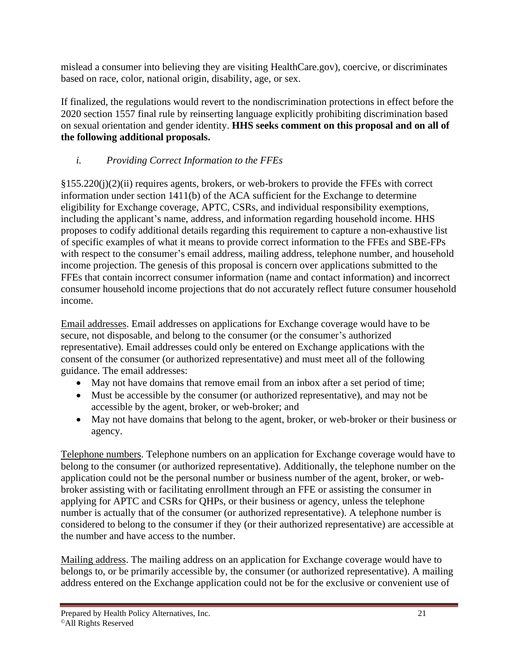mislead a consumer into believing they are visiting HealthCare.gov), coercive, or discriminates based on race, color, national origin, disability, age, or sex.

If finalized, the regulations would revert to the nondiscrimination protections in effect before the 2020 section 1557 final rule by reinserting language explicitly prohibiting discrimination based on sexual orientation and gender identity. **HHS seeks comment on this proposal and on all of the following additional proposals.**

# *i. Providing Correct Information to the FFEs*

§155.220(j)(2)(ii) requires agents, brokers, or web-brokers to provide the FFEs with correct information under section 1411(b) of the ACA sufficient for the Exchange to determine eligibility for Exchange coverage, APTC, CSRs, and individual responsibility exemptions, including the applicant's name, address, and information regarding household income. HHS proposes to codify additional details regarding this requirement to capture a non-exhaustive list of specific examples of what it means to provide correct information to the FFEs and SBE-FPs with respect to the consumer's email address, mailing address, telephone number, and household income projection. The genesis of this proposal is concern over applications submitted to the FFEs that contain incorrect consumer information (name and contact information) and incorrect consumer household income projections that do not accurately reflect future consumer household income.

Email addresses. Email addresses on applications for Exchange coverage would have to be secure, not disposable, and belong to the consumer (or the consumer's authorized representative). Email addresses could only be entered on Exchange applications with the consent of the consumer (or authorized representative) and must meet all of the following guidance. The email addresses:

- May not have domains that remove email from an inbox after a set period of time;
- Must be accessible by the consumer (or authorized representative), and may not be accessible by the agent, broker, or web-broker; and
- May not have domains that belong to the agent, broker, or web-broker or their business or agency.

Telephone numbers. Telephone numbers on an application for Exchange coverage would have to belong to the consumer (or authorized representative). Additionally, the telephone number on the application could not be the personal number or business number of the agent, broker, or webbroker assisting with or facilitating enrollment through an FFE or assisting the consumer in applying for APTC and CSRs for QHPs, or their business or agency, unless the telephone number is actually that of the consumer (or authorized representative). A telephone number is considered to belong to the consumer if they (or their authorized representative) are accessible at the number and have access to the number.

Mailing address. The mailing address on an application for Exchange coverage would have to belongs to, or be primarily accessible by, the consumer (or authorized representative). A mailing address entered on the Exchange application could not be for the exclusive or convenient use of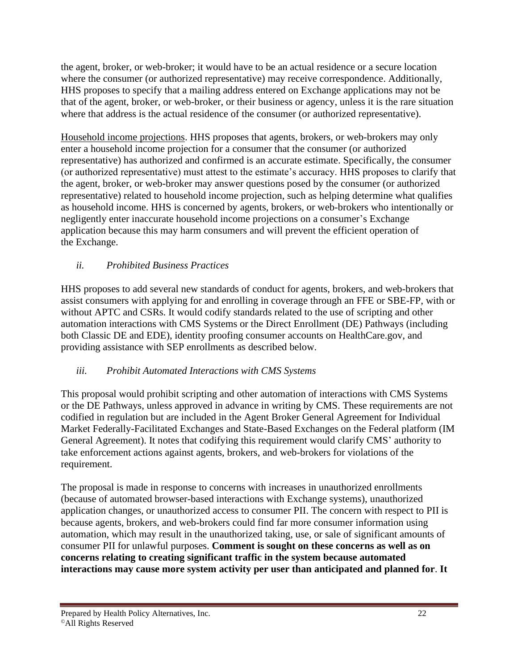the agent, broker, or web-broker; it would have to be an actual residence or a secure location where the consumer (or authorized representative) may receive correspondence. Additionally, HHS proposes to specify that a mailing address entered on Exchange applications may not be that of the agent, broker, or web-broker, or their business or agency, unless it is the rare situation where that address is the actual residence of the consumer (or authorized representative).

Household income projections. HHS proposes that agents, brokers, or web-brokers may only enter a household income projection for a consumer that the consumer (or authorized representative) has authorized and confirmed is an accurate estimate. Specifically, the consumer (or authorized representative) must attest to the estimate's accuracy. HHS proposes to clarify that the agent, broker, or web-broker may answer questions posed by the consumer (or authorized representative) related to household income projection, such as helping determine what qualifies as household income. HHS is concerned by agents, brokers, or web-brokers who intentionally or negligently enter inaccurate household income projections on a consumer's Exchange application because this may harm consumers and will prevent the efficient operation of the Exchange.

### *ii. Prohibited Business Practices*

HHS proposes to add several new standards of conduct for agents, brokers, and web-brokers that assist consumers with applying for and enrolling in coverage through an FFE or SBE-FP, with or without APTC and CSRs. It would codify standards related to the use of scripting and other automation interactions with CMS Systems or the Direct Enrollment (DE) Pathways (including both Classic DE and EDE), identity proofing consumer accounts on HealthCare.gov, and providing assistance with SEP enrollments as described below.

#### *iii. Prohibit Automated Interactions with CMS Systems*

This proposal would prohibit scripting and other automation of interactions with CMS Systems or the DE Pathways, unless approved in advance in writing by CMS. These requirements are not codified in regulation but are included in the Agent Broker General Agreement for Individual Market Federally-Facilitated Exchanges and State-Based Exchanges on the Federal platform (IM General Agreement). It notes that codifying this requirement would clarify CMS' authority to take enforcement actions against agents, brokers, and web-brokers for violations of the requirement.

The proposal is made in response to concerns with increases in unauthorized enrollments (because of automated browser-based interactions with Exchange systems), unauthorized application changes, or unauthorized access to consumer PII. The concern with respect to PII is because agents, brokers, and web-brokers could find far more consumer information using automation, which may result in the unauthorized taking, use, or sale of significant amounts of consumer PII for unlawful purposes. **Comment is sought on these concerns as well as on concerns relating to creating significant traffic in the system because automated interactions may cause more system activity per user than anticipated and planned for**. **It**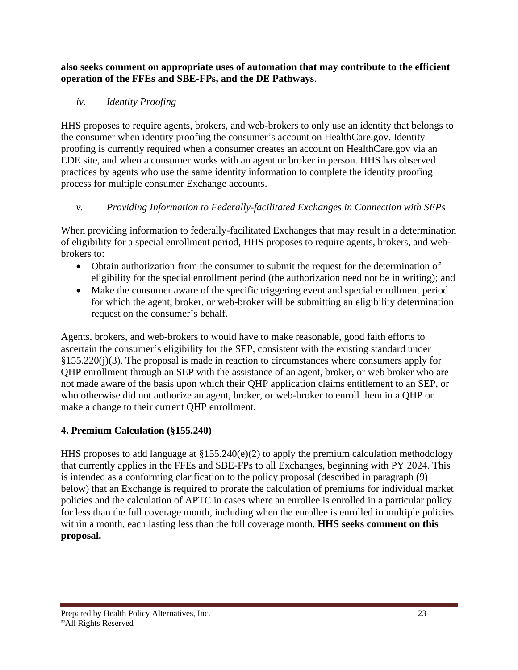**also seeks comment on appropriate uses of automation that may contribute to the efficient operation of the FFEs and SBE-FPs, and the DE Pathways**.

## *iv. Identity Proofing*

HHS proposes to require agents, brokers, and web-brokers to only use an identity that belongs to the consumer when identity proofing the consumer's account on HealthCare.gov. Identity proofing is currently required when a consumer creates an account on HealthCare.gov via an EDE site, and when a consumer works with an agent or broker in person. HHS has observed practices by agents who use the same identity information to complete the identity proofing process for multiple consumer Exchange accounts.

# *v. Providing Information to Federally-facilitated Exchanges in Connection with SEPs*

When providing information to federally-facilitated Exchanges that may result in a determination of eligibility for a special enrollment period, HHS proposes to require agents, brokers, and webbrokers to:

- Obtain authorization from the consumer to submit the request for the determination of eligibility for the special enrollment period (the authorization need not be in writing); and
- Make the consumer aware of the specific triggering event and special enrollment period for which the agent, broker, or web-broker will be submitting an eligibility determination request on the consumer's behalf.

Agents, brokers, and web-brokers to would have to make reasonable, good faith efforts to ascertain the consumer's eligibility for the SEP, consistent with the existing standard under §155.220(j)(3). The proposal is made in reaction to circumstances where consumers apply for QHP enrollment through an SEP with the assistance of an agent, broker, or web broker who are not made aware of the basis upon which their QHP application claims entitlement to an SEP, or who otherwise did not authorize an agent, broker, or web-broker to enroll them in a QHP or make a change to their current QHP enrollment.

## **4. Premium Calculation (§155.240)**

HHS proposes to add language at §155.240(e)(2) to apply the premium calculation methodology that currently applies in the FFEs and SBE-FPs to all Exchanges, beginning with PY 2024. This is intended as a conforming clarification to the policy proposal (described in paragraph (9) below) that an Exchange is required to prorate the calculation of premiums for individual market policies and the calculation of APTC in cases where an enrollee is enrolled in a particular policy for less than the full coverage month, including when the enrollee is enrolled in multiple policies within a month, each lasting less than the full coverage month. **HHS seeks comment on this proposal.**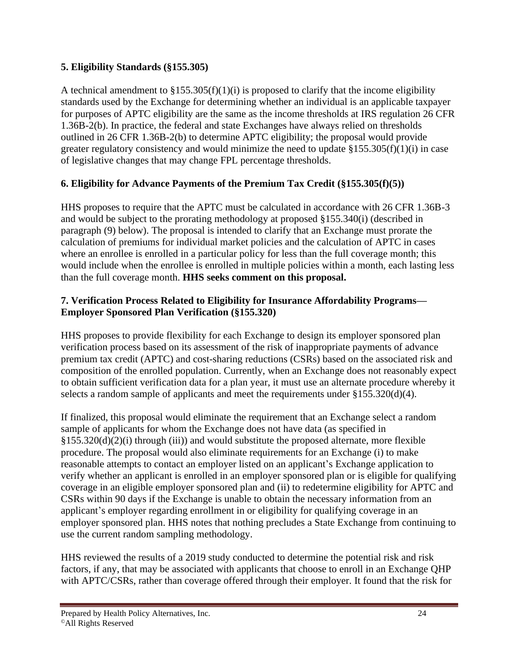#### **5. Eligibility Standards (§155.305)**

A technical amendment to  $\S 155.305(f)(1)(i)$  is proposed to clarify that the income eligibility standards used by the Exchange for determining whether an individual is an applicable taxpayer for purposes of APTC eligibility are the same as the income thresholds at IRS regulation 26 CFR 1.36B-2(b). In practice, the federal and state Exchanges have always relied on thresholds outlined in 26 CFR 1.36B-2(b) to determine APTC eligibility; the proposal would provide greater regulatory consistency and would minimize the need to update  $§155.305(f)(1)(i)$  in case of legislative changes that may change FPL percentage thresholds.

## **6. Eligibility for Advance Payments of the Premium Tax Credit (§155.305(f)(5))**

HHS proposes to require that the APTC must be calculated in accordance with 26 CFR 1.36B-3 and would be subject to the prorating methodology at proposed §155.340(i) (described in paragraph (9) below). The proposal is intended to clarify that an Exchange must prorate the calculation of premiums for individual market policies and the calculation of APTC in cases where an enrollee is enrolled in a particular policy for less than the full coverage month; this would include when the enrollee is enrolled in multiple policies within a month, each lasting less than the full coverage month. **HHS seeks comment on this proposal.**

#### **7. Verification Process Related to Eligibility for Insurance Affordability Programs— Employer Sponsored Plan Verification (§155.320)**

HHS proposes to provide flexibility for each Exchange to design its employer sponsored plan verification process based on its assessment of the risk of inappropriate payments of advance premium tax credit (APTC) and cost-sharing reductions (CSRs) based on the associated risk and composition of the enrolled population. Currently, when an Exchange does not reasonably expect to obtain sufficient verification data for a plan year, it must use an alternate procedure whereby it selects a random sample of applicants and meet the requirements under §155.320(d)(4).

If finalized, this proposal would eliminate the requirement that an Exchange select a random sample of applicants for whom the Exchange does not have data (as specified in  $§155.320(d)(2)(i)$  through (iii)) and would substitute the proposed alternate, more flexible procedure. The proposal would also eliminate requirements for an Exchange (i) to make reasonable attempts to contact an employer listed on an applicant's Exchange application to verify whether an applicant is enrolled in an employer sponsored plan or is eligible for qualifying coverage in an eligible employer sponsored plan and (ii) to redetermine eligibility for APTC and CSRs within 90 days if the Exchange is unable to obtain the necessary information from an applicant's employer regarding enrollment in or eligibility for qualifying coverage in an employer sponsored plan. HHS notes that nothing precludes a State Exchange from continuing to use the current random sampling methodology.

HHS reviewed the results of a 2019 study conducted to determine the potential risk and risk factors, if any, that may be associated with applicants that choose to enroll in an Exchange QHP with APTC/CSRs, rather than coverage offered through their employer. It found that the risk for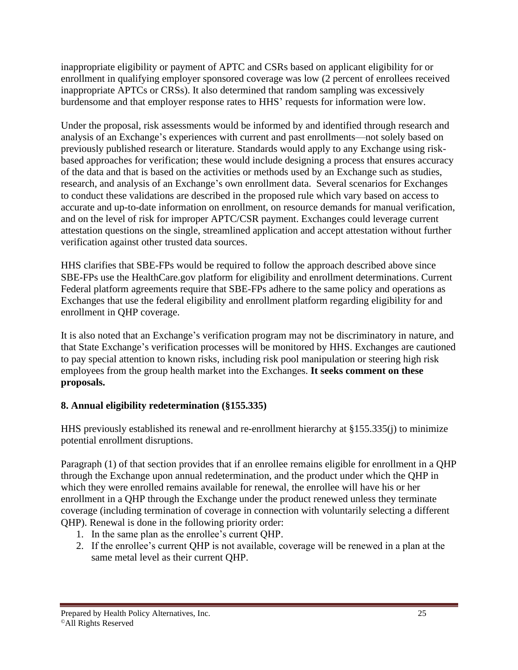inappropriate eligibility or payment of APTC and CSRs based on applicant eligibility for or enrollment in qualifying employer sponsored coverage was low (2 percent of enrollees received inappropriate APTCs or CRSs). It also determined that random sampling was excessively burdensome and that employer response rates to HHS' requests for information were low.

Under the proposal, risk assessments would be informed by and identified through research and analysis of an Exchange's experiences with current and past enrollments—not solely based on previously published research or literature. Standards would apply to any Exchange using riskbased approaches for verification; these would include designing a process that ensures accuracy of the data and that is based on the activities or methods used by an Exchange such as studies, research, and analysis of an Exchange's own enrollment data. Several scenarios for Exchanges to conduct these validations are described in the proposed rule which vary based on access to accurate and up-to-date information on enrollment, on resource demands for manual verification, and on the level of risk for improper APTC/CSR payment. Exchanges could leverage current attestation questions on the single, streamlined application and accept attestation without further verification against other trusted data sources.

HHS clarifies that SBE-FPs would be required to follow the approach described above since SBE-FPs use the HealthCare.gov platform for eligibility and enrollment determinations. Current Federal platform agreements require that SBE-FPs adhere to the same policy and operations as Exchanges that use the federal eligibility and enrollment platform regarding eligibility for and enrollment in QHP coverage.

It is also noted that an Exchange's verification program may not be discriminatory in nature, and that State Exchange's verification processes will be monitored by HHS. Exchanges are cautioned to pay special attention to known risks, including risk pool manipulation or steering high risk employees from the group health market into the Exchanges. **It seeks comment on these proposals.**

## **8. Annual eligibility redetermination (§155.335)**

HHS previously established its renewal and re-enrollment hierarchy at §155.335(j) to minimize potential enrollment disruptions.

Paragraph (1) of that section provides that if an enrollee remains eligible for enrollment in a QHP through the Exchange upon annual redetermination, and the product under which the QHP in which they were enrolled remains available for renewal, the enrollee will have his or her enrollment in a QHP through the Exchange under the product renewed unless they terminate coverage (including termination of coverage in connection with voluntarily selecting a different QHP). Renewal is done in the following priority order:

- 1. In the same plan as the enrollee's current QHP.
- 2. If the enrollee's current QHP is not available, coverage will be renewed in a plan at the same metal level as their current QHP.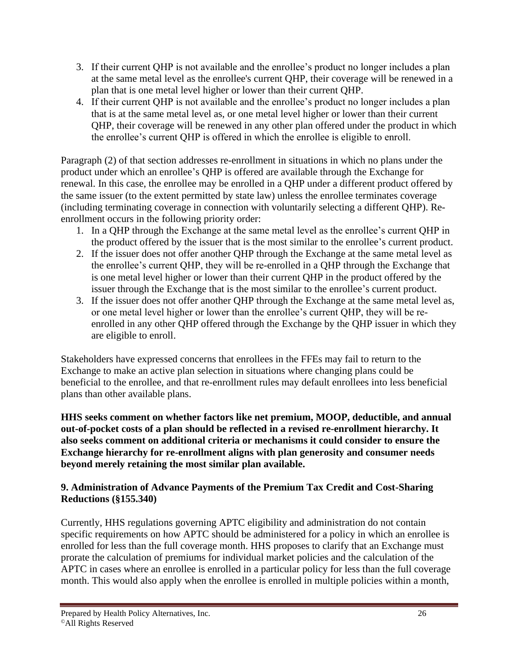- 3. If their current QHP is not available and the enrollee's product no longer includes a plan at the same metal level as the enrollee's current QHP, their coverage will be renewed in a plan that is one metal level higher or lower than their current QHP.
- 4. If their current QHP is not available and the enrollee's product no longer includes a plan that is at the same metal level as, or one metal level higher or lower than their current QHP, their coverage will be renewed in any other plan offered under the product in which the enrollee's current QHP is offered in which the enrollee is eligible to enroll.

Paragraph (2) of that section addresses re-enrollment in situations in which no plans under the product under which an enrollee's QHP is offered are available through the Exchange for renewal. In this case, the enrollee may be enrolled in a QHP under a different product offered by the same issuer (to the extent permitted by state law) unless the enrollee terminates coverage (including terminating coverage in connection with voluntarily selecting a different QHP). Reenrollment occurs in the following priority order:

- 1. In a QHP through the Exchange at the same metal level as the enrollee's current QHP in the product offered by the issuer that is the most similar to the enrollee's current product.
- 2. If the issuer does not offer another QHP through the Exchange at the same metal level as the enrollee's current QHP, they will be re-enrolled in a QHP through the Exchange that is one metal level higher or lower than their current QHP in the product offered by the issuer through the Exchange that is the most similar to the enrollee's current product.
- 3. If the issuer does not offer another QHP through the Exchange at the same metal level as, or one metal level higher or lower than the enrollee's current QHP, they will be reenrolled in any other QHP offered through the Exchange by the QHP issuer in which they are eligible to enroll.

Stakeholders have expressed concerns that enrollees in the FFEs may fail to return to the Exchange to make an active plan selection in situations where changing plans could be beneficial to the enrollee, and that re-enrollment rules may default enrollees into less beneficial plans than other available plans.

**HHS seeks comment on whether factors like net premium, MOOP, deductible, and annual out-of-pocket costs of a plan should be reflected in a revised re-enrollment hierarchy. It also seeks comment on additional criteria or mechanisms it could consider to ensure the Exchange hierarchy for re-enrollment aligns with plan generosity and consumer needs beyond merely retaining the most similar plan available.**

### **9. Administration of Advance Payments of the Premium Tax Credit and Cost-Sharing Reductions (§155.340)**

Currently, HHS regulations governing APTC eligibility and administration do not contain specific requirements on how APTC should be administered for a policy in which an enrollee is enrolled for less than the full coverage month. HHS proposes to clarify that an Exchange must prorate the calculation of premiums for individual market policies and the calculation of the APTC in cases where an enrollee is enrolled in a particular policy for less than the full coverage month. This would also apply when the enrollee is enrolled in multiple policies within a month,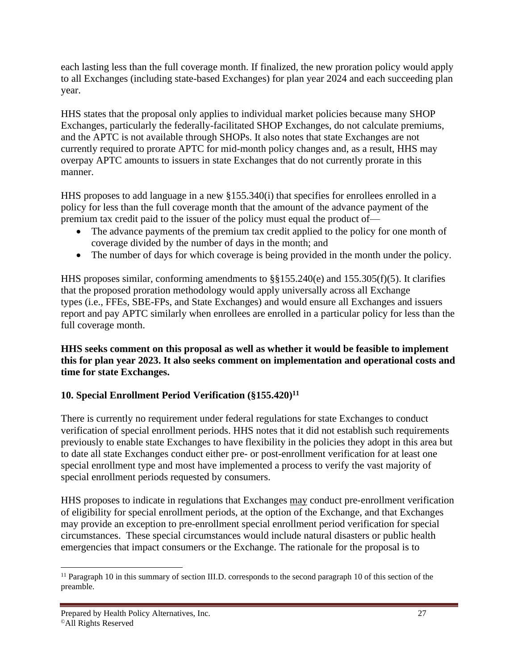each lasting less than the full coverage month. If finalized, the new proration policy would apply to all Exchanges (including state-based Exchanges) for plan year 2024 and each succeeding plan year.

HHS states that the proposal only applies to individual market policies because many SHOP Exchanges, particularly the federally-facilitated SHOP Exchanges, do not calculate premiums, and the APTC is not available through SHOPs. It also notes that state Exchanges are not currently required to prorate APTC for mid-month policy changes and, as a result, HHS may overpay APTC amounts to issuers in state Exchanges that do not currently prorate in this manner.

HHS proposes to add language in a new §155.340(i) that specifies for enrollees enrolled in a policy for less than the full coverage month that the amount of the advance payment of the premium tax credit paid to the issuer of the policy must equal the product of—

- The advance payments of the premium tax credit applied to the policy for one month of coverage divided by the number of days in the month; and
- The number of days for which coverage is being provided in the month under the policy.

HHS proposes similar, conforming amendments to §§155.240(e) and 155.305(f)(5). It clarifies that the proposed proration methodology would apply universally across all Exchange types (i.e., FFEs, SBE-FPs, and State Exchanges) and would ensure all Exchanges and issuers report and pay APTC similarly when enrollees are enrolled in a particular policy for less than the full coverage month.

**HHS seeks comment on this proposal as well as whether it would be feasible to implement this for plan year 2023. It also seeks comment on implementation and operational costs and time for state Exchanges.**

## **10. Special Enrollment Period Verification (§155.420)<sup>11</sup>**

There is currently no requirement under federal regulations for state Exchanges to conduct verification of special enrollment periods. HHS notes that it did not establish such requirements previously to enable state Exchanges to have flexibility in the policies they adopt in this area but to date all state Exchanges conduct either pre- or post-enrollment verification for at least one special enrollment type and most have implemented a process to verify the vast majority of special enrollment periods requested by consumers.

HHS proposes to indicate in regulations that Exchanges may conduct pre-enrollment verification of eligibility for special enrollment periods, at the option of the Exchange, and that Exchanges may provide an exception to pre-enrollment special enrollment period verification for special circumstances. These special circumstances would include natural disasters or public health emergencies that impact consumers or the Exchange. The rationale for the proposal is to

<sup>&</sup>lt;sup>11</sup> Paragraph 10 in this summary of section III.D. corresponds to the second paragraph 10 of this section of the preamble.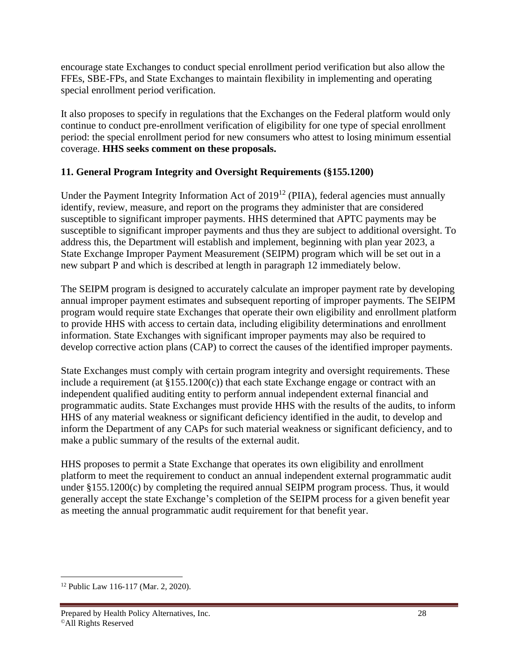encourage state Exchanges to conduct special enrollment period verification but also allow the FFEs, SBE-FPs, and State Exchanges to maintain flexibility in implementing and operating special enrollment period verification.

It also proposes to specify in regulations that the Exchanges on the Federal platform would only continue to conduct pre-enrollment verification of eligibility for one type of special enrollment period: the special enrollment period for new consumers who attest to losing minimum essential coverage. **HHS seeks comment on these proposals.**

### **11. General Program Integrity and Oversight Requirements (§155.1200)**

Under the Payment Integrity Information Act of  $2019^{12}$  (PIIA), federal agencies must annually identify, review, measure, and report on the programs they administer that are considered susceptible to significant improper payments. HHS determined that APTC payments may be susceptible to significant improper payments and thus they are subject to additional oversight. To address this, the Department will establish and implement, beginning with plan year 2023, a State Exchange Improper Payment Measurement (SEIPM) program which will be set out in a new subpart P and which is described at length in paragraph 12 immediately below.

The SEIPM program is designed to accurately calculate an improper payment rate by developing annual improper payment estimates and subsequent reporting of improper payments. The SEIPM program would require state Exchanges that operate their own eligibility and enrollment platform to provide HHS with access to certain data, including eligibility determinations and enrollment information. State Exchanges with significant improper payments may also be required to develop corrective action plans (CAP) to correct the causes of the identified improper payments.

State Exchanges must comply with certain program integrity and oversight requirements. These include a requirement (at  $\S 155.1200(c)$ ) that each state Exchange engage or contract with an independent qualified auditing entity to perform annual independent external financial and programmatic audits. State Exchanges must provide HHS with the results of the audits, to inform HHS of any material weakness or significant deficiency identified in the audit, to develop and inform the Department of any CAPs for such material weakness or significant deficiency, and to make a public summary of the results of the external audit.

HHS proposes to permit a State Exchange that operates its own eligibility and enrollment platform to meet the requirement to conduct an annual independent external programmatic audit under §155.1200(c) by completing the required annual SEIPM program process. Thus, it would generally accept the state Exchange's completion of the SEIPM process for a given benefit year as meeting the annual programmatic audit requirement for that benefit year.

<sup>12</sup> Public Law 116-117 (Mar. 2, 2020).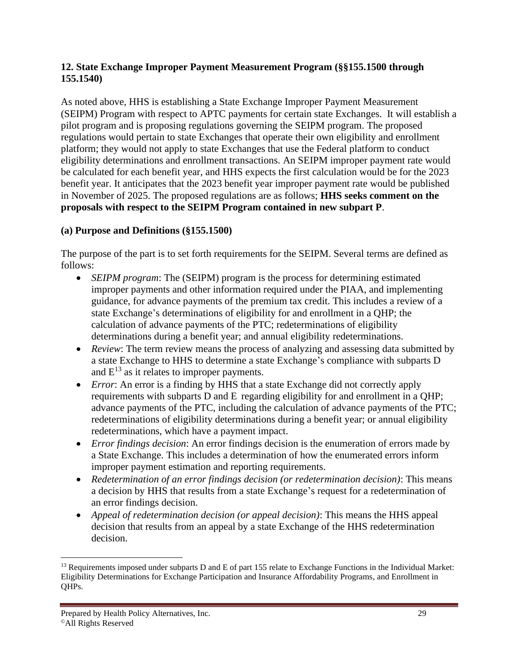#### **12. State Exchange Improper Payment Measurement Program (§§155.1500 through 155.1540)**

As noted above, HHS is establishing a State Exchange Improper Payment Measurement (SEIPM) Program with respect to APTC payments for certain state Exchanges. It will establish a pilot program and is proposing regulations governing the SEIPM program. The proposed regulations would pertain to state Exchanges that operate their own eligibility and enrollment platform; they would not apply to state Exchanges that use the Federal platform to conduct eligibility determinations and enrollment transactions. An SEIPM improper payment rate would be calculated for each benefit year, and HHS expects the first calculation would be for the 2023 benefit year. It anticipates that the 2023 benefit year improper payment rate would be published in November of 2025. The proposed regulations are as follows; **HHS seeks comment on the proposals with respect to the SEIPM Program contained in new subpart P**.

#### **(a) Purpose and Definitions (§155.1500)**

The purpose of the part is to set forth requirements for the SEIPM. Several terms are defined as follows:

- *SEIPM program*: The (SEIPM) program is the process for determining estimated improper payments and other information required under the PIAA, and implementing guidance, for advance payments of the premium tax credit. This includes a review of a state Exchange's determinations of eligibility for and enrollment in a QHP; the calculation of advance payments of the PTC; redeterminations of eligibility determinations during a benefit year; and annual eligibility redeterminations.
- *Review*: The term review means the process of analyzing and assessing data submitted by a state Exchange to HHS to determine a state Exchange's compliance with subparts D and  $E^{13}$  as it relates to improper payments.
- *Error*: An error is a finding by HHS that a state Exchange did not correctly apply requirements with subparts D and E regarding eligibility for and enrollment in a QHP; advance payments of the PTC, including the calculation of advance payments of the PTC; redeterminations of eligibility determinations during a benefit year; or annual eligibility redeterminations, which have a payment impact.
- *Error findings decision*: An error findings decision is the enumeration of errors made by a State Exchange. This includes a determination of how the enumerated errors inform improper payment estimation and reporting requirements.
- *Redetermination of an error findings decision (or redetermination decision)*: This means a decision by HHS that results from a state Exchange's request for a redetermination of an error findings decision.
- *Appeal of redetermination decision (or appeal decision)*: This means the HHS appeal decision that results from an appeal by a state Exchange of the HHS redetermination decision.

 $13$  Requirements imposed under subparts D and E of part 155 relate to Exchange Functions in the Individual Market: Eligibility Determinations for Exchange Participation and Insurance Affordability Programs, and Enrollment in QHPs.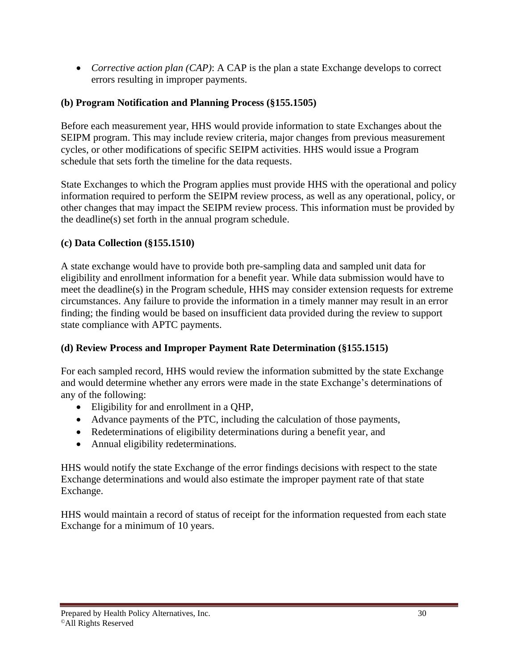• *Corrective action plan (CAP)*: A CAP is the plan a state Exchange develops to correct errors resulting in improper payments.

#### **(b) Program Notification and Planning Process (§155.1505)**

Before each measurement year, HHS would provide information to state Exchanges about the SEIPM program. This may include review criteria, major changes from previous measurement cycles, or other modifications of specific SEIPM activities. HHS would issue a Program schedule that sets forth the timeline for the data requests.

State Exchanges to which the Program applies must provide HHS with the operational and policy information required to perform the SEIPM review process, as well as any operational, policy, or other changes that may impact the SEIPM review process. This information must be provided by the deadline(s) set forth in the annual program schedule.

### **(c) Data Collection (§155.1510)**

A state exchange would have to provide both pre-sampling data and sampled unit data for eligibility and enrollment information for a benefit year. While data submission would have to meet the deadline(s) in the Program schedule, HHS may consider extension requests for extreme circumstances. Any failure to provide the information in a timely manner may result in an error finding; the finding would be based on insufficient data provided during the review to support state compliance with APTC payments.

## **(d) Review Process and Improper Payment Rate Determination (§155.1515)**

For each sampled record, HHS would review the information submitted by the state Exchange and would determine whether any errors were made in the state Exchange's determinations of any of the following:

- Eligibility for and enrollment in a QHP,
- Advance payments of the PTC, including the calculation of those payments,
- Redeterminations of eligibility determinations during a benefit year, and
- Annual eligibility redeterminations.

HHS would notify the state Exchange of the error findings decisions with respect to the state Exchange determinations and would also estimate the improper payment rate of that state Exchange.

HHS would maintain a record of status of receipt for the information requested from each state Exchange for a minimum of 10 years.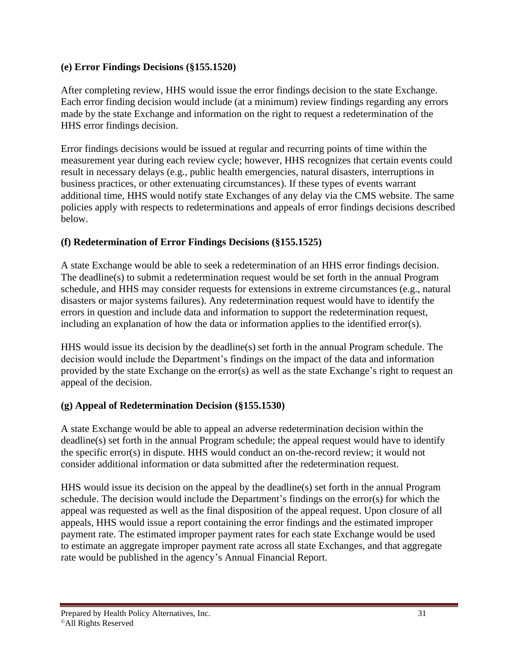#### **(e) Error Findings Decisions (§155.1520)**

After completing review, HHS would issue the error findings decision to the state Exchange. Each error finding decision would include (at a minimum) review findings regarding any errors made by the state Exchange and information on the right to request a redetermination of the HHS error findings decision.

Error findings decisions would be issued at regular and recurring points of time within the measurement year during each review cycle; however, HHS recognizes that certain events could result in necessary delays (e.g., public health emergencies, natural disasters, interruptions in business practices, or other extenuating circumstances). If these types of events warrant additional time, HHS would notify state Exchanges of any delay via the CMS website. The same policies apply with respects to redeterminations and appeals of error findings decisions described below.

#### **(f) Redetermination of Error Findings Decisions (§155.1525)**

A state Exchange would be able to seek a redetermination of an HHS error findings decision. The deadline(s) to submit a redetermination request would be set forth in the annual Program schedule, and HHS may consider requests for extensions in extreme circumstances (e.g., natural disasters or major systems failures). Any redetermination request would have to identify the errors in question and include data and information to support the redetermination request, including an explanation of how the data or information applies to the identified error(s).

HHS would issue its decision by the deadline(s) set forth in the annual Program schedule. The decision would include the Department's findings on the impact of the data and information provided by the state Exchange on the error(s) as well as the state Exchange's right to request an appeal of the decision.

#### **(g) Appeal of Redetermination Decision (§155.1530)**

A state Exchange would be able to appeal an adverse redetermination decision within the deadline(s) set forth in the annual Program schedule; the appeal request would have to identify the specific error(s) in dispute. HHS would conduct an on-the-record review; it would not consider additional information or data submitted after the redetermination request.

HHS would issue its decision on the appeal by the deadline(s) set forth in the annual Program schedule. The decision would include the Department's findings on the error(s) for which the appeal was requested as well as the final disposition of the appeal request. Upon closure of all appeals, HHS would issue a report containing the error findings and the estimated improper payment rate. The estimated improper payment rates for each state Exchange would be used to estimate an aggregate improper payment rate across all state Exchanges, and that aggregate rate would be published in the agency's Annual Financial Report.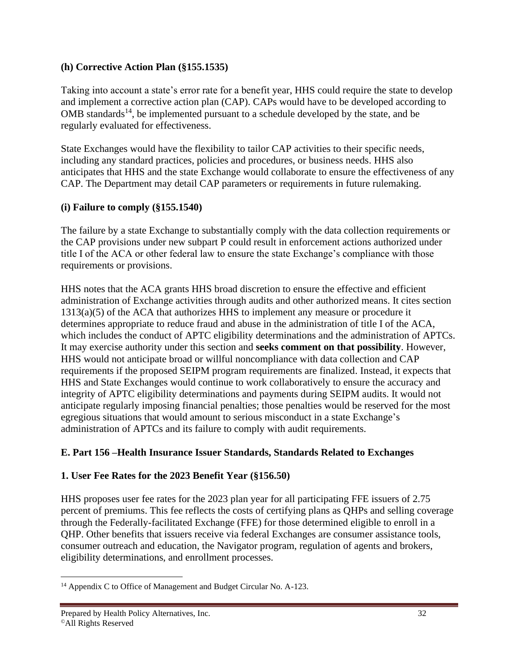#### **(h) Corrective Action Plan (§155.1535)**

Taking into account a state's error rate for a benefit year, HHS could require the state to develop and implement a corrective action plan (CAP). CAPs would have to be developed according to  $OMB$  standards<sup>14</sup>, be implemented pursuant to a schedule developed by the state, and be regularly evaluated for effectiveness.

State Exchanges would have the flexibility to tailor CAP activities to their specific needs, including any standard practices, policies and procedures, or business needs. HHS also anticipates that HHS and the state Exchange would collaborate to ensure the effectiveness of any CAP. The Department may detail CAP parameters or requirements in future rulemaking.

#### **(i) Failure to comply (§155.1540)**

The failure by a state Exchange to substantially comply with the data collection requirements or the CAP provisions under new subpart P could result in enforcement actions authorized under title I of the ACA or other federal law to ensure the state Exchange's compliance with those requirements or provisions.

HHS notes that the ACA grants HHS broad discretion to ensure the effective and efficient administration of Exchange activities through audits and other authorized means. It cites section 1313(a)(5) of the ACA that authorizes HHS to implement any measure or procedure it determines appropriate to reduce fraud and abuse in the administration of title I of the ACA, which includes the conduct of APTC eligibility determinations and the administration of APTCs. It may exercise authority under this section and **seeks comment on that possibility**. However, HHS would not anticipate broad or willful noncompliance with data collection and CAP requirements if the proposed SEIPM program requirements are finalized. Instead, it expects that HHS and State Exchanges would continue to work collaboratively to ensure the accuracy and integrity of APTC eligibility determinations and payments during SEIPM audits. It would not anticipate regularly imposing financial penalties; those penalties would be reserved for the most egregious situations that would amount to serious misconduct in a state Exchange's administration of APTCs and its failure to comply with audit requirements.

#### **E. Part 156 –Health Insurance Issuer Standards, Standards Related to Exchanges**

#### **1. User Fee Rates for the 2023 Benefit Year (§156.50)**

HHS proposes user fee rates for the 2023 plan year for all participating FFE issuers of 2.75 percent of premiums. This fee reflects the costs of certifying plans as QHPs and selling coverage through the Federally-facilitated Exchange (FFE) for those determined eligible to enroll in a QHP. Other benefits that issuers receive via federal Exchanges are consumer assistance tools, consumer outreach and education, the Navigator program, regulation of agents and brokers, eligibility determinations, and enrollment processes.

<sup>&</sup>lt;sup>14</sup> Appendix C to Office of Management and Budget Circular No. A-123.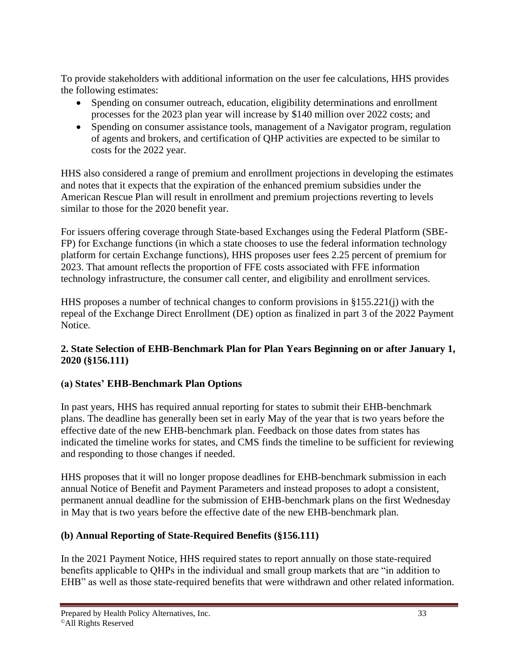To provide stakeholders with additional information on the user fee calculations, HHS provides the following estimates:

- Spending on consumer outreach, education, eligibility determinations and enrollment processes for the 2023 plan year will increase by \$140 million over 2022 costs; and
- Spending on consumer assistance tools, management of a Navigator program, regulation of agents and brokers, and certification of QHP activities are expected to be similar to costs for the 2022 year.

HHS also considered a range of premium and enrollment projections in developing the estimates and notes that it expects that the expiration of the enhanced premium subsidies under the American Rescue Plan will result in enrollment and premium projections reverting to levels similar to those for the 2020 benefit year.

For issuers offering coverage through State-based Exchanges using the Federal Platform (SBE-FP) for Exchange functions (in which a state chooses to use the federal information technology platform for certain Exchange functions), HHS proposes user fees 2.25 percent of premium for 2023. That amount reflects the proportion of FFE costs associated with FFE information technology infrastructure, the consumer call center, and eligibility and enrollment services.

HHS proposes a number of technical changes to conform provisions in §155.221(j) with the repeal of the Exchange Direct Enrollment (DE) option as finalized in part 3 of the 2022 Payment Notice.

#### **2. State Selection of EHB-Benchmark Plan for Plan Years Beginning on or after January 1, 2020 (§156.111)**

## **(a) States' EHB-Benchmark Plan Options**

In past years, HHS has required annual reporting for states to submit their EHB-benchmark plans. The deadline has generally been set in early May of the year that is two years before the effective date of the new EHB-benchmark plan. Feedback on those dates from states has indicated the timeline works for states, and CMS finds the timeline to be sufficient for reviewing and responding to those changes if needed.

HHS proposes that it will no longer propose deadlines for EHB-benchmark submission in each annual Notice of Benefit and Payment Parameters and instead proposes to adopt a consistent, permanent annual deadline for the submission of EHB-benchmark plans on the first Wednesday in May that is two years before the effective date of the new EHB-benchmark plan.

## **(b) Annual Reporting of State-Required Benefits (§156.111)**

In the 2021 Payment Notice, HHS required states to report annually on those state-required benefits applicable to QHPs in the individual and small group markets that are "in addition to EHB" as well as those state-required benefits that were withdrawn and other related information.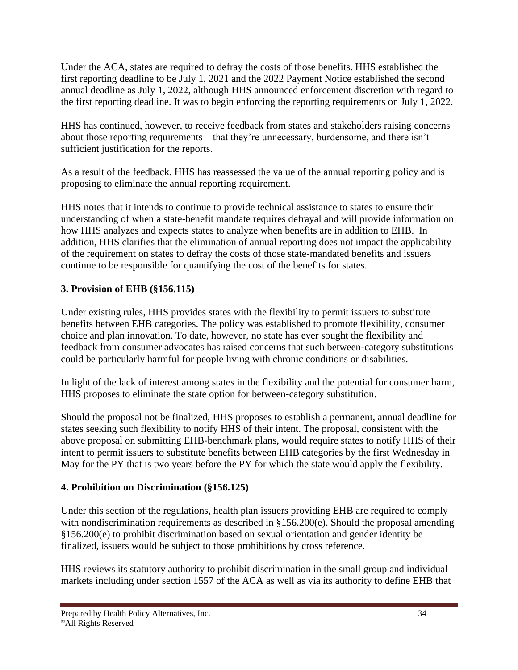Under the ACA, states are required to defray the costs of those benefits. HHS established the first reporting deadline to be July 1, 2021 and the 2022 Payment Notice established the second annual deadline as July 1, 2022, although HHS announced enforcement discretion with regard to the first reporting deadline. It was to begin enforcing the reporting requirements on July 1, 2022.

HHS has continued, however, to receive feedback from states and stakeholders raising concerns about those reporting requirements – that they're unnecessary, burdensome, and there isn't sufficient justification for the reports.

As a result of the feedback, HHS has reassessed the value of the annual reporting policy and is proposing to eliminate the annual reporting requirement.

HHS notes that it intends to continue to provide technical assistance to states to ensure their understanding of when a state-benefit mandate requires defrayal and will provide information on how HHS analyzes and expects states to analyze when benefits are in addition to EHB. In addition, HHS clarifies that the elimination of annual reporting does not impact the applicability of the requirement on states to defray the costs of those state-mandated benefits and issuers continue to be responsible for quantifying the cost of the benefits for states.

### **3. Provision of EHB (§156.115)**

Under existing rules, HHS provides states with the flexibility to permit issuers to substitute benefits between EHB categories. The policy was established to promote flexibility, consumer choice and plan innovation. To date, however, no state has ever sought the flexibility and feedback from consumer advocates has raised concerns that such between-category substitutions could be particularly harmful for people living with chronic conditions or disabilities.

In light of the lack of interest among states in the flexibility and the potential for consumer harm, HHS proposes to eliminate the state option for between-category substitution.

Should the proposal not be finalized, HHS proposes to establish a permanent, annual deadline for states seeking such flexibility to notify HHS of their intent. The proposal, consistent with the above proposal on submitting EHB-benchmark plans, would require states to notify HHS of their intent to permit issuers to substitute benefits between EHB categories by the first Wednesday in May for the PY that is two years before the PY for which the state would apply the flexibility.

## **4. Prohibition on Discrimination (§156.125)**

Under this section of the regulations, health plan issuers providing EHB are required to comply with nondiscrimination requirements as described in §156.200(e). Should the proposal amending §156.200(e) to prohibit discrimination based on sexual orientation and gender identity be finalized, issuers would be subject to those prohibitions by cross reference.

HHS reviews its statutory authority to prohibit discrimination in the small group and individual markets including under section 1557 of the ACA as well as via its authority to define EHB that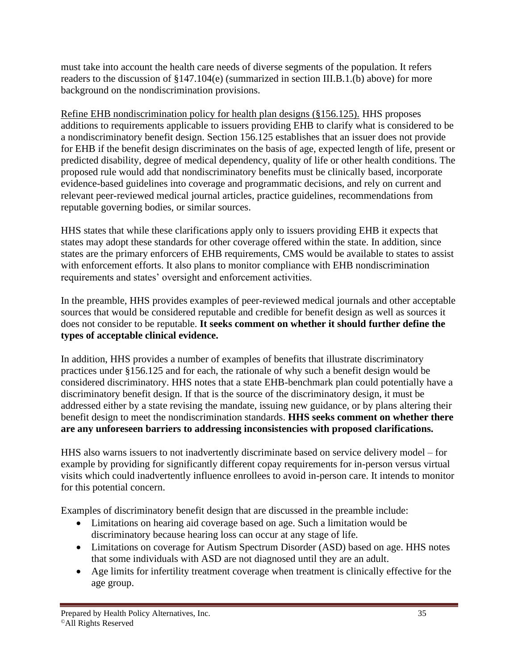must take into account the health care needs of diverse segments of the population. It refers readers to the discussion of §147.104(e) (summarized in section III.B.1.(b) above) for more background on the nondiscrimination provisions.

Refine EHB nondiscrimination policy for health plan designs (§156.125). HHS proposes additions to requirements applicable to issuers providing EHB to clarify what is considered to be a nondiscriminatory benefit design. Section 156.125 establishes that an issuer does not provide for EHB if the benefit design discriminates on the basis of age, expected length of life, present or predicted disability, degree of medical dependency, quality of life or other health conditions. The proposed rule would add that nondiscriminatory benefits must be clinically based, incorporate evidence-based guidelines into coverage and programmatic decisions, and rely on current and relevant peer-reviewed medical journal articles, practice guidelines, recommendations from reputable governing bodies, or similar sources.

HHS states that while these clarifications apply only to issuers providing EHB it expects that states may adopt these standards for other coverage offered within the state. In addition, since states are the primary enforcers of EHB requirements, CMS would be available to states to assist with enforcement efforts. It also plans to monitor compliance with EHB nondiscrimination requirements and states' oversight and enforcement activities.

In the preamble, HHS provides examples of peer-reviewed medical journals and other acceptable sources that would be considered reputable and credible for benefit design as well as sources it does not consider to be reputable. **It seeks comment on whether it should further define the types of acceptable clinical evidence.**

In addition, HHS provides a number of examples of benefits that illustrate discriminatory practices under §156.125 and for each, the rationale of why such a benefit design would be considered discriminatory. HHS notes that a state EHB-benchmark plan could potentially have a discriminatory benefit design. If that is the source of the discriminatory design, it must be addressed either by a state revising the mandate, issuing new guidance, or by plans altering their benefit design to meet the nondiscrimination standards. **HHS seeks comment on whether there are any unforeseen barriers to addressing inconsistencies with proposed clarifications.**

HHS also warns issuers to not inadvertently discriminate based on service delivery model – for example by providing for significantly different copay requirements for in-person versus virtual visits which could inadvertently influence enrollees to avoid in-person care. It intends to monitor for this potential concern.

Examples of discriminatory benefit design that are discussed in the preamble include:

- Limitations on hearing aid coverage based on age. Such a limitation would be discriminatory because hearing loss can occur at any stage of life.
- Limitations on coverage for Autism Spectrum Disorder (ASD) based on age. HHS notes that some individuals with ASD are not diagnosed until they are an adult.
- Age limits for infertility treatment coverage when treatment is clinically effective for the age group.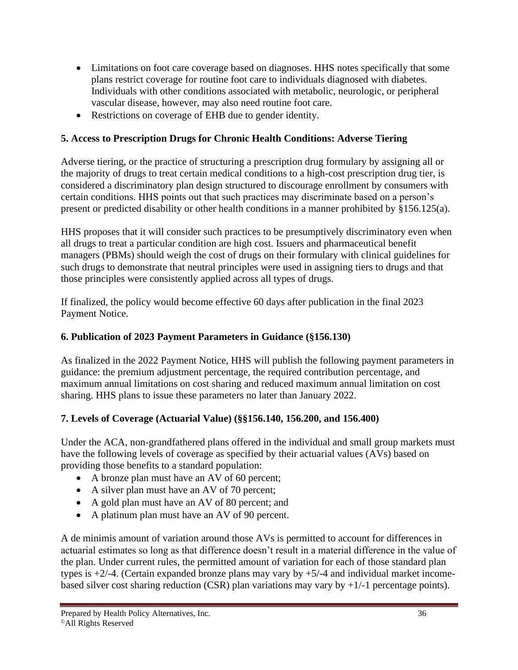- Limitations on foot care coverage based on diagnoses. HHS notes specifically that some plans restrict coverage for routine foot care to individuals diagnosed with diabetes. Individuals with other conditions associated with metabolic, neurologic, or peripheral vascular disease, however, may also need routine foot care.
- Restrictions on coverage of EHB due to gender identity.

## **5. Access to Prescription Drugs for Chronic Health Conditions: Adverse Tiering**

Adverse tiering, or the practice of structuring a prescription drug formulary by assigning all or the majority of drugs to treat certain medical conditions to a high-cost prescription drug tier, is considered a discriminatory plan design structured to discourage enrollment by consumers with certain conditions. HHS points out that such practices may discriminate based on a person's present or predicted disability or other health conditions in a manner prohibited by §156.125(a).

HHS proposes that it will consider such practices to be presumptively discriminatory even when all drugs to treat a particular condition are high cost. Issuers and pharmaceutical benefit managers (PBMs) should weigh the cost of drugs on their formulary with clinical guidelines for such drugs to demonstrate that neutral principles were used in assigning tiers to drugs and that those principles were consistently applied across all types of drugs.

If finalized, the policy would become effective 60 days after publication in the final 2023 Payment Notice.

#### **6. Publication of 2023 Payment Parameters in Guidance (§156.130)**

As finalized in the 2022 Payment Notice, HHS will publish the following payment parameters in guidance: the premium adjustment percentage, the required contribution percentage, and maximum annual limitations on cost sharing and reduced maximum annual limitation on cost sharing. HHS plans to issue these parameters no later than January 2022.

## **7. Levels of Coverage (Actuarial Value) (§§156.140, 156.200, and 156.400)**

Under the ACA, non-grandfathered plans offered in the individual and small group markets must have the following levels of coverage as specified by their actuarial values (AVs) based on providing those benefits to a standard population:

- A bronze plan must have an AV of 60 percent;
- A silver plan must have an AV of 70 percent;
- A gold plan must have an AV of 80 percent; and
- A platinum plan must have an AV of 90 percent.

A de minimis amount of variation around those AVs is permitted to account for differences in actuarial estimates so long as that difference doesn't result in a material difference in the value of the plan. Under current rules, the permitted amount of variation for each of those standard plan types is  $+2/-4$ . (Certain expanded bronze plans may vary by  $+5/-4$  and individual market incomebased silver cost sharing reduction (CSR) plan variations may vary by  $+1/-1$  percentage points).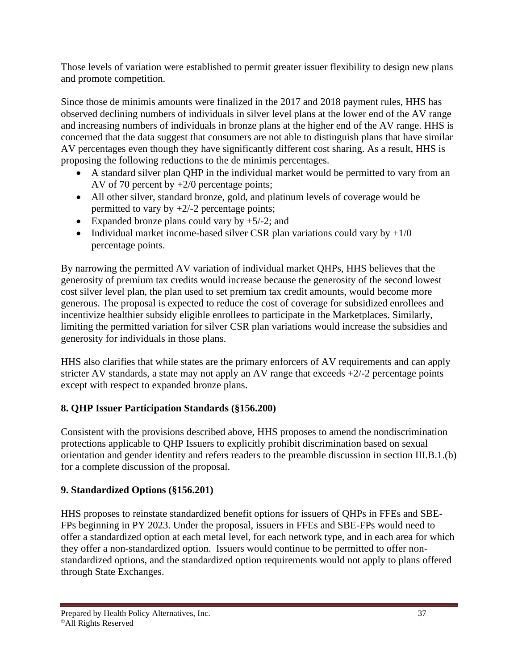Those levels of variation were established to permit greater issuer flexibility to design new plans and promote competition.

Since those de minimis amounts were finalized in the 2017 and 2018 payment rules, HHS has observed declining numbers of individuals in silver level plans at the lower end of the AV range and increasing numbers of individuals in bronze plans at the higher end of the AV range. HHS is concerned that the data suggest that consumers are not able to distinguish plans that have similar AV percentages even though they have significantly different cost sharing. As a result, HHS is proposing the following reductions to the de minimis percentages.

- A standard silver plan QHP in the individual market would be permitted to vary from an AV of 70 percent by +2/0 percentage points;
- All other silver, standard bronze, gold, and platinum levels of coverage would be permitted to vary by  $+2/-2$  percentage points;
- Expanded bronze plans could vary by  $+5/-2$ ; and
- Individual market income-based silver CSR plan variations could vary by  $+1/0$ percentage points.

By narrowing the permitted AV variation of individual market QHPs, HHS believes that the generosity of premium tax credits would increase because the generosity of the second lowest cost silver level plan, the plan used to set premium tax credit amounts, would become more generous. The proposal is expected to reduce the cost of coverage for subsidized enrollees and incentivize healthier subsidy eligible enrollees to participate in the Marketplaces. Similarly, limiting the permitted variation for silver CSR plan variations would increase the subsidies and generosity for individuals in those plans.

HHS also clarifies that while states are the primary enforcers of AV requirements and can apply stricter AV standards, a state may not apply an AV range that exceeds  $+2/-2$  percentage points except with respect to expanded bronze plans.

# **8. QHP Issuer Participation Standards (§156.200)**

Consistent with the provisions described above, HHS proposes to amend the nondiscrimination protections applicable to QHP Issuers to explicitly prohibit discrimination based on sexual orientation and gender identity and refers readers to the preamble discussion in section III.B.1.(b) for a complete discussion of the proposal.

## **9. Standardized Options (§156.201)**

HHS proposes to reinstate standardized benefit options for issuers of QHPs in FFEs and SBE-FPs beginning in PY 2023. Under the proposal, issuers in FFEs and SBE-FPs would need to offer a standardized option at each metal level, for each network type, and in each area for which they offer a non-standardized option. Issuers would continue to be permitted to offer nonstandardized options, and the standardized option requirements would not apply to plans offered through State Exchanges.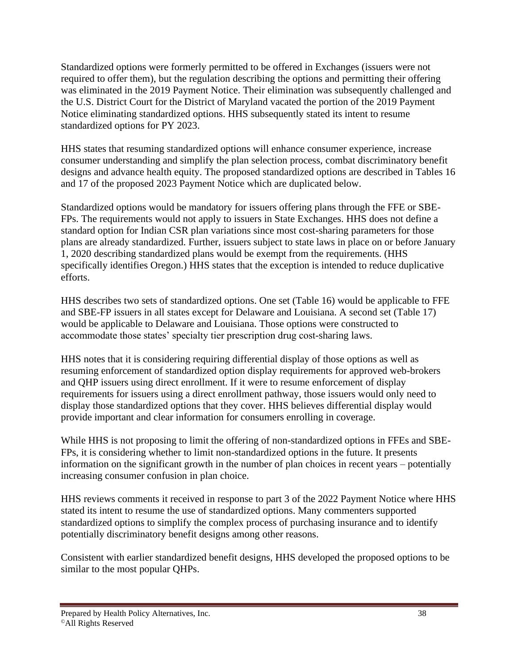Standardized options were formerly permitted to be offered in Exchanges (issuers were not required to offer them), but the regulation describing the options and permitting their offering was eliminated in the 2019 Payment Notice. Their elimination was subsequently challenged and the U.S. District Court for the District of Maryland vacated the portion of the 2019 Payment Notice eliminating standardized options. HHS subsequently stated its intent to resume standardized options for PY 2023.

HHS states that resuming standardized options will enhance consumer experience, increase consumer understanding and simplify the plan selection process, combat discriminatory benefit designs and advance health equity. The proposed standardized options are described in Tables 16 and 17 of the proposed 2023 Payment Notice which are duplicated below.

Standardized options would be mandatory for issuers offering plans through the FFE or SBE-FPs. The requirements would not apply to issuers in State Exchanges. HHS does not define a standard option for Indian CSR plan variations since most cost-sharing parameters for those plans are already standardized. Further, issuers subject to state laws in place on or before January 1, 2020 describing standardized plans would be exempt from the requirements. (HHS specifically identifies Oregon.) HHS states that the exception is intended to reduce duplicative efforts.

HHS describes two sets of standardized options. One set (Table 16) would be applicable to FFE and SBE-FP issuers in all states except for Delaware and Louisiana. A second set (Table 17) would be applicable to Delaware and Louisiana. Those options were constructed to accommodate those states' specialty tier prescription drug cost-sharing laws.

HHS notes that it is considering requiring differential display of those options as well as resuming enforcement of standardized option display requirements for approved web-brokers and QHP issuers using direct enrollment. If it were to resume enforcement of display requirements for issuers using a direct enrollment pathway, those issuers would only need to display those standardized options that they cover. HHS believes differential display would provide important and clear information for consumers enrolling in coverage.

While HHS is not proposing to limit the offering of non-standardized options in FFEs and SBE-FPs, it is considering whether to limit non-standardized options in the future. It presents information on the significant growth in the number of plan choices in recent years – potentially increasing consumer confusion in plan choice.

HHS reviews comments it received in response to part 3 of the 2022 Payment Notice where HHS stated its intent to resume the use of standardized options. Many commenters supported standardized options to simplify the complex process of purchasing insurance and to identify potentially discriminatory benefit designs among other reasons.

Consistent with earlier standardized benefit designs, HHS developed the proposed options to be similar to the most popular QHPs.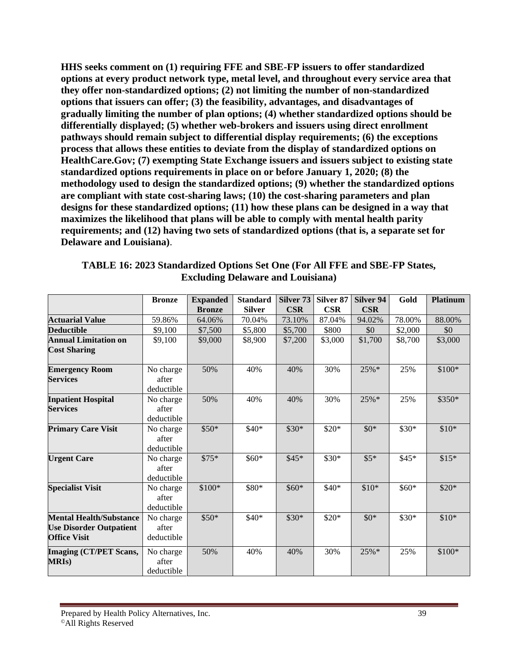**HHS seeks comment on (1) requiring FFE and SBE-FP issuers to offer standardized options at every product network type, metal level, and throughout every service area that they offer non-standardized options; (2) not limiting the number of non-standardized options that issuers can offer; (3) the feasibility, advantages, and disadvantages of gradually limiting the number of plan options; (4) whether standardized options should be differentially displayed; (5) whether web-brokers and issuers using direct enrollment pathways should remain subject to differential display requirements; (6) the exceptions process that allows these entities to deviate from the display of standardized options on HealthCare.Gov; (7) exempting State Exchange issuers and issuers subject to existing state standardized options requirements in place on or before January 1, 2020; (8) the methodology used to design the standardized options; (9) whether the standardized options are compliant with state cost-sharing laws; (10) the cost-sharing parameters and plan designs for these standardized options; (11) how these plans can be designed in a way that maximizes the likelihood that plans will be able to comply with mental health parity requirements; and (12) having two sets of standardized options (that is, a separate set for Delaware and Louisiana)**.

|                                                                                         | <b>Bronze</b>                    | <b>Expanded</b><br><b>Bronze</b> | <b>Standard</b><br><b>Silver</b> | Silver <sub>73</sub><br><b>CSR</b> | Silver <sub>87</sub><br><b>CSR</b> | Silver 94<br><b>CSR</b> | Gold    | <b>Platinum</b> |
|-----------------------------------------------------------------------------------------|----------------------------------|----------------------------------|----------------------------------|------------------------------------|------------------------------------|-------------------------|---------|-----------------|
| <b>Actuarial Value</b>                                                                  | 59.86%                           | 64.06%                           | 70.04%                           | 73.10%                             | 87.04%                             | 94.02%                  | 78.00%  | 88.00%          |
| <b>Deductible</b>                                                                       | \$9,100                          | \$7,500                          | \$5,800                          | \$5,700                            | \$800                              | \$0                     | \$2,000 | \$0             |
| <b>Annual Limitation on</b><br><b>Cost Sharing</b>                                      | \$9,100                          | \$9,000                          | \$8,900                          | \$7,200                            | \$3,000                            | \$1,700                 | \$8,700 | \$3,000         |
| <b>Emergency Room</b><br><b>Services</b>                                                | No charge<br>after<br>deductible | 50%                              | 40%                              | 40%                                | 30%                                | 25%*                    | 25%     | \$100*          |
| <b>Inpatient Hospital</b><br><b>Services</b>                                            | No charge<br>after<br>deductible | 50%                              | 40%                              | 40%                                | 30%                                | 25%*                    | 25%     | \$350*          |
| <b>Primary Care Visit</b>                                                               | No charge<br>after<br>deductible | $$50*$                           | \$40*                            | $$30*$                             | $$20*$                             | $$0*$                   | \$30*   | $$10*$          |
| <b>Urgent Care</b>                                                                      | No charge<br>after<br>deductible | $$75*$                           | \$60*                            | $$45*$                             | \$30*                              | $$5*$                   | $$45*$  | $$15*$          |
| <b>Specialist Visit</b>                                                                 | No charge<br>after<br>deductible | \$100*                           | \$80*                            | $$60*$                             | $$40*$                             | $$10*$                  | \$60*   | $$20*$          |
| <b>Mental Health/Substance</b><br><b>Use Disorder Outpatient</b><br><b>Office Visit</b> | No charge<br>after<br>deductible | $$50*$                           | $$40*$                           | $$30*$                             | $$20*$                             | $$0*$                   | \$30*   | $$10*$          |
| <b>Imaging (CT/PET Scans,</b><br><b>MRIs)</b>                                           | No charge<br>after<br>deductible | 50%                              | 40%                              | 40%                                | 30%                                | $25\%*$                 | 25%     | $$100*$         |

**TABLE 16: 2023 Standardized Options Set One (For All FFE and SBE-FP States, Excluding Delaware and Louisiana)**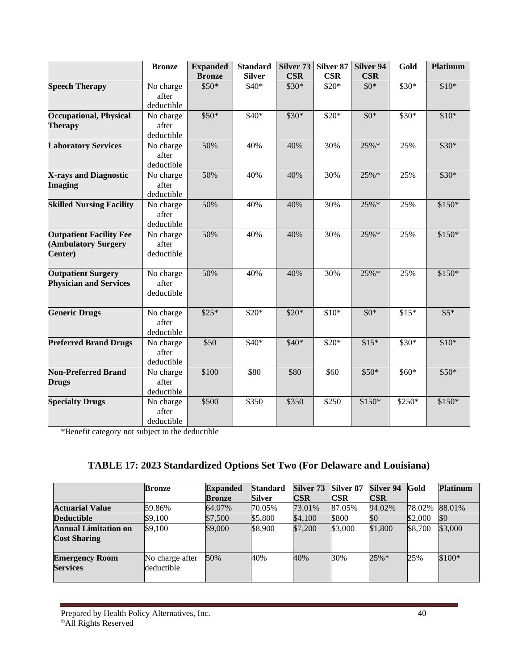|                                 | <b>Bronze</b>       | <b>Expanded</b> | <b>Standard</b> | Silver 73  | Silver 87  | Silver 94  | Gold   | <b>Platinum</b> |
|---------------------------------|---------------------|-----------------|-----------------|------------|------------|------------|--------|-----------------|
|                                 |                     | <b>Bronze</b>   | <b>Silver</b>   | <b>CSR</b> | <b>CSR</b> | <b>CSR</b> |        |                 |
| <b>Speech Therapy</b>           | No charge           | \$50*           | $$40*$          | $$30*$     | $$20*$     | $$0*$      | \$30*  | $$10*$          |
|                                 | after               |                 |                 |            |            |            |        |                 |
|                                 | deductible          |                 |                 |            |            |            |        |                 |
| <b>Occupational, Physical</b>   | No charge           | $$50*$          | $$40*$          | $$30*$     | $$20*$     | $$0*$      | $$30*$ | $$10*$          |
| <b>Therapy</b>                  | after               |                 |                 |            |            |            |        |                 |
|                                 | deductible          |                 |                 |            |            |            |        |                 |
| <b>Laboratory Services</b>      | No charge           | 50%             | 40%             | 40%        | 30%        | 25%*       | 25%    | $$30*$          |
|                                 | after<br>deductible |                 |                 |            |            |            |        |                 |
| X-rays and Diagnostic           | No charge           | 50%             | 40%             | 40%        | 30%        | 25%        | 25%    | $$30*$          |
| <b>Imaging</b>                  | after               |                 |                 |            |            |            |        |                 |
|                                 | deductible          |                 |                 |            |            |            |        |                 |
| <b>Skilled Nursing Facility</b> | No charge           | 50%             | 40%             | 40%        | 30%        | 25%*       | 25%    | $$150*$         |
|                                 | after               |                 |                 |            |            |            |        |                 |
|                                 | deductible          |                 |                 |            |            |            |        |                 |
| <b>Outpatient Facility Fee</b>  | No charge           | 50%             | 40%             | 40%        | 30%        | $25%$ *    | 25%    | $$150*$         |
| (Ambulatory Surgery             | after               |                 |                 |            |            |            |        |                 |
| Center)                         | deductible          |                 |                 |            |            |            |        |                 |
|                                 |                     |                 |                 |            |            |            |        |                 |
| <b>Outpatient Surgery</b>       | No charge           | 50%             | 40%             | 40%        | 30%        | 25%        | 25%    | $$150*$         |
| <b>Physician and Services</b>   | after               |                 |                 |            |            |            |        |                 |
|                                 | deductible          |                 |                 |            |            |            |        |                 |
|                                 |                     |                 |                 |            |            |            |        |                 |
| <b>Generic Drugs</b>            | No charge<br>after  | $$25*$          | $$20*$          | $$20*$     | $$10*$     | $$0*$      | $$15*$ | $$5*$           |
|                                 | deductible          |                 |                 |            |            |            |        |                 |
| <b>Preferred Brand Drugs</b>    | No charge           | \$50            | $$40*$          | $$40*$     | $$20*$     | $$15*$     | \$30*  | $$10*$          |
|                                 | after               |                 |                 |            |            |            |        |                 |
|                                 | deductible          |                 |                 |            |            |            |        |                 |
| <b>Non-Preferred Brand</b>      | No charge           | \$100           | \$80            | \$80       | \$60       | $$50*$     | \$60*  | $$50*$          |
| <b>Drugs</b>                    | after               |                 |                 |            |            |            |        |                 |
|                                 | deductible          |                 |                 |            |            |            |        |                 |
| <b>Specialty Drugs</b>          | No charge           | \$500           | \$350           | \$350      | \$250      | $$150*$    | \$250* | $$150*$         |
|                                 | after               |                 |                 |            |            |            |        |                 |
|                                 | deductible          |                 |                 |            |            |            |        |                 |

\*Benefit category not subject to the deductible

### **TABLE 17: 2023 Standardized Options Set Two (For Delaware and Louisiana)**

|                                                    | Bronze                        | <b>Expanded</b> | <b>Standard</b> | Silver 73 | Silver <sub>87</sub>      | Silver 94 | <b>Gold</b> | <b>Platinum</b> |
|----------------------------------------------------|-------------------------------|-----------------|-----------------|-----------|---------------------------|-----------|-------------|-----------------|
|                                                    |                               | Bronze          | Silver          | CSR       | $\overline{\textbf{CSR}}$ | CSR       |             |                 |
| <b>Actuarial Value</b>                             | 59.86%                        | 64.07%          | 70.05%          | 73.01%    | 87.05%                    | 94.02%    | 78.02%      | 88.01%          |
| Deductible                                         | \$9,100                       | \$7,500         | \$5,800         | \$4,100   | \$800                     | \$0       | \$2,000     | \$0             |
| <b>Annual Limitation on</b><br><b>Cost Sharing</b> | \$9,100                       | \$9,000         | \$8,900         | \$7,200   | \$3,000                   | \$1,800   | \$8,700     | \$3,000         |
| <b>Emergency Room</b><br><b>Services</b>           | No charge after<br>deductible | 50%             | 40%             | 40%       | 30%                       | $25\%*$   | 25%         | $$100*$         |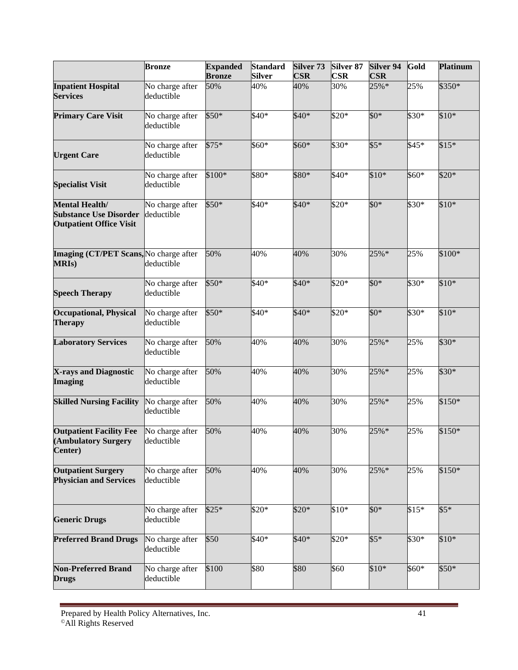|                                                                                          | <b>Bronze</b>                 | <b>Expanded</b><br><b>Bronze</b> | <b>Standard</b><br><b>Silver</b> | Silver <sub>73</sub><br><b>CSR</b> | Silver <sub>87</sub><br><b>CSR</b> | Silver 94<br><b>CSR</b> | Gold   | <b>Platinum</b> |
|------------------------------------------------------------------------------------------|-------------------------------|----------------------------------|----------------------------------|------------------------------------|------------------------------------|-------------------------|--------|-----------------|
| <b>Inpatient Hospital</b><br><b>Services</b>                                             | No charge after<br>deductible | 50%                              | 40%                              | 40%                                | 30%                                | 25%*                    | 25%    | \$350*          |
| <b>Primary Care Visit</b>                                                                | No charge after<br>deductible | \$50*                            | \$40*                            | \$40*                              | \$20*                              | \$0*                    | \$30*  | $$10*$          |
| <b>Urgent Care</b>                                                                       | No charge after<br>deductible | $$75*$                           | \$60*                            | \$60*                              | \$30*                              | $$5*$                   | $$45*$ | $$15*$          |
| <b>Specialist Visit</b>                                                                  | No charge after<br>deductible | \$100*                           | \$80*                            | \$80*                              | \$40*                              | $$10*$                  | \$60*  | \$20*           |
| <b>Mental Health/</b><br><b>Substance Use Disorder</b><br><b>Outpatient Office Visit</b> | No charge after<br>deductible | \$50*                            | \$40*                            | $$40*$                             | \$20*                              | $$0^*$                  | \$30*  | $$10*$          |
| Imaging (CT/PET Scans, No charge after<br><b>MRIs</b> )                                  | deductible                    | 50%                              | 40%                              | 40%                                | 30%                                | 25%*                    | 25%    | \$100*          |
| <b>Speech Therapy</b>                                                                    | No charge after<br>deductible | \$50*                            | \$40*                            | \$40*                              | \$20*                              | $$0^*$                  | \$30*  | $$10*$          |
| <b>Occupational, Physical</b><br><b>Therapy</b>                                          | No charge after<br>deductible | \$50*                            | \$40*                            | $$40*$                             | \$20*                              | \$0*                    | \$30*  | $$10*$          |
| <b>Laboratory Services</b>                                                               | No charge after<br>deductible | 50%                              | 40%                              | 40%                                | 30%                                | 25%*                    | 25%    | \$30*           |
| X-rays and Diagnostic<br><b>Imaging</b>                                                  | No charge after<br>deductible | 50%                              | 40%                              | 40%                                | 30%                                | 25%*                    | 25%    | \$30*           |
| <b>Skilled Nursing Facility</b>                                                          | No charge after<br>deductible | 50%                              | 40%                              | 40%                                | 30%                                | 25%*                    | 25%    | \$150*          |
| <b>Outpatient Facility Fee</b><br>(Ambulatory Surgery<br>Center)                         | No charge after<br>deductible | 50%                              | 40%                              | 40%                                | 30%                                | 25%*                    | 25%    | $$150*$         |
| <b>Outpatient Surgery</b><br><b>Physician and Services</b>                               | No charge after<br>deductible | 50%                              | 40%                              | 40%                                | 30%                                | $25%$ *                 | 25%    | $$150*$         |
| <b>Generic Drugs</b>                                                                     | No charge after<br>deductible | $$25*$                           | $$20*$                           | $$20*$                             | $$10*$                             | $$0^*$                  | $$15*$ | $$5*$           |
| <b>Preferred Brand Drugs</b>                                                             | No charge after<br>deductible | \$50                             | $$40*$                           | $$40*$                             | \$20*                              | $$5*$                   | $$30*$ | $$10*$          |
| <b>Non-Preferred Brand</b><br><b>Drugs</b>                                               | No charge after<br>deductible | \$100                            | \$80                             | \$80                               | \$60                               | $$10*$                  | \$60*  | $$50*$          |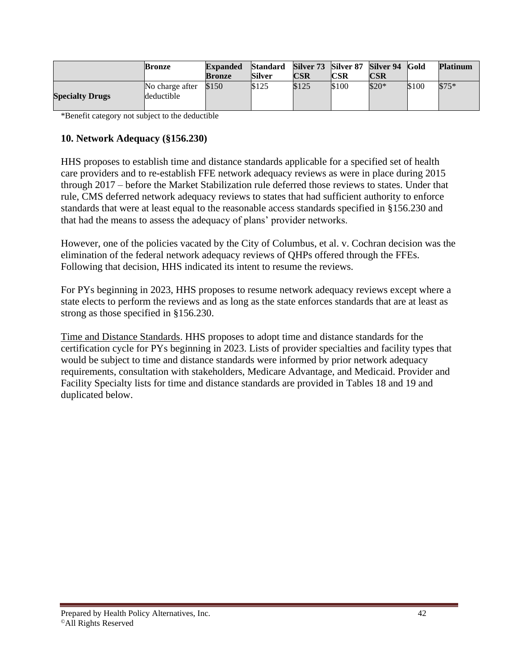|                        | <b>Bronze</b>                 | Expanded | <b>Standard</b> | Silver 73 Silver 87 Silver 94 |              |        | <b>Gold</b> | <b>Platinum</b> |
|------------------------|-------------------------------|----------|-----------------|-------------------------------|--------------|--------|-------------|-----------------|
|                        |                               | Bronze   | Silver          | CSR                           | CSR          | CSR    |             |                 |
| <b>Specialty Drugs</b> | No charge after<br>deductible | \$150    | \$125           | \$125                         | <b>S</b> 100 | $$20*$ | <b>S100</b> | $$75*$          |

\*Benefit category not subject to the deductible

#### **10. Network Adequacy (§156.230)**

HHS proposes to establish time and distance standards applicable for a specified set of health care providers and to re-establish FFE network adequacy reviews as were in place during 2015 through 2017 – before the Market Stabilization rule deferred those reviews to states. Under that rule, CMS deferred network adequacy reviews to states that had sufficient authority to enforce standards that were at least equal to the reasonable access standards specified in §156.230 and that had the means to assess the adequacy of plans' provider networks.

However, one of the policies vacated by the City of Columbus, et al. v. Cochran decision was the elimination of the federal network adequacy reviews of QHPs offered through the FFEs. Following that decision, HHS indicated its intent to resume the reviews.

For PYs beginning in 2023, HHS proposes to resume network adequacy reviews except where a state elects to perform the reviews and as long as the state enforces standards that are at least as strong as those specified in §156.230.

Time and Distance Standards. HHS proposes to adopt time and distance standards for the certification cycle for PYs beginning in 2023. Lists of provider specialties and facility types that would be subject to time and distance standards were informed by prior network adequacy requirements, consultation with stakeholders, Medicare Advantage, and Medicaid. Provider and Facility Specialty lists for time and distance standards are provided in Tables 18 and 19 and duplicated below.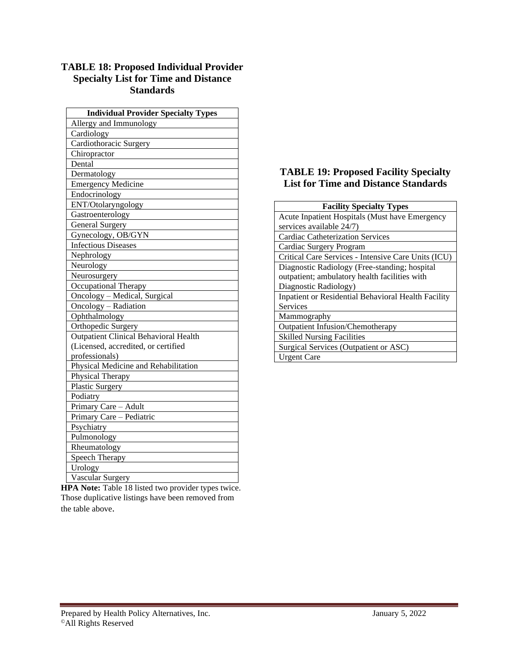#### **TABLE 18: Proposed Individual Provider Specialty List for Time and Distance Standards**

| <b>Individual Provider Specialty Types</b> |
|--------------------------------------------|
| Allergy and Immunology                     |
| Cardiology                                 |
| Cardiothoracic Surgery                     |
| Chiropractor                               |
| Dental                                     |
| Dermatology                                |
| <b>Emergency Medicine</b>                  |
| Endocrinology                              |
| ENT/Otolaryngology                         |
| Gastroenterology                           |
| <b>General Surgery</b>                     |
| Gynecology, OB/GYN                         |
| <b>Infectious Diseases</b>                 |
| Nephrology                                 |
| Neurology                                  |
| Neurosurgery                               |
| Occupational Therapy                       |
| Oncology - Medical, Surgical               |
| Oncology - Radiation                       |
| Ophthalmology                              |
| Orthopedic Surgery                         |
| Outpatient Clinical Behavioral Health      |
| (Licensed, accredited, or certified        |
| professionals)                             |
| Physical Medicine and Rehabilitation       |
| Physical Therapy                           |
| <b>Plastic Surgery</b>                     |
| Podiatry                                   |
| Primary Care - Adult                       |
| Primary Care - Pediatric                   |
| Psychiatry                                 |
| Pulmonology                                |
| Rheumatology                               |
| Speech Therapy                             |
| Urology                                    |
| Vascular Surgery                           |

**HPA Note:** Table 18 listed two provider types twice. Those duplicative listings have been removed from the table above.

#### **TABLE 19: Proposed Facility Specialty List for Time and Distance Standards**

| <b>Facility Specialty Types</b>                     |
|-----------------------------------------------------|
| Acute Inpatient Hospitals (Must have Emergency      |
| services available 24/7)                            |
| <b>Cardiac Catheterization Services</b>             |
| Cardiac Surgery Program                             |
| Critical Care Services - Intensive Care Units (ICU) |
| Diagnostic Radiology (Free-standing; hospital       |
| outpatient; ambulatory health facilities with       |
| Diagnostic Radiology)                               |
| Inpatient or Residential Behavioral Health Facility |
| Services                                            |
| Mammography                                         |
| <b>Outpatient Infusion/Chemotherapy</b>             |
| <b>Skilled Nursing Facilities</b>                   |
| Surgical Services (Outpatient or ASC)               |
| Urgent Care                                         |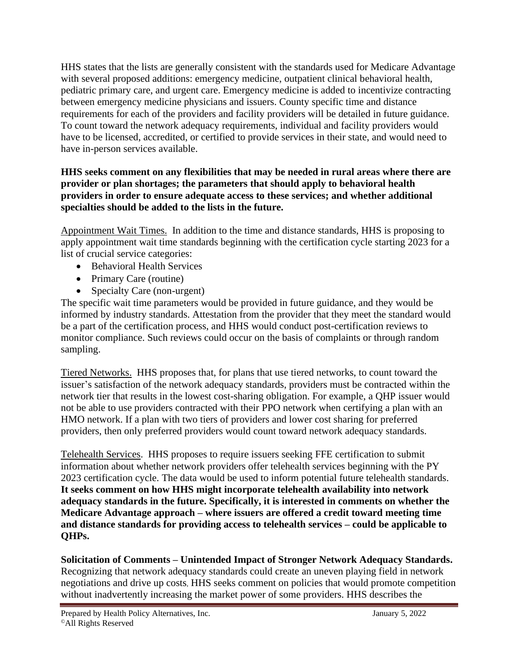HHS states that the lists are generally consistent with the standards used for Medicare Advantage with several proposed additions: emergency medicine, outpatient clinical behavioral health, pediatric primary care, and urgent care. Emergency medicine is added to incentivize contracting between emergency medicine physicians and issuers. County specific time and distance requirements for each of the providers and facility providers will be detailed in future guidance. To count toward the network adequacy requirements, individual and facility providers would have to be licensed, accredited, or certified to provide services in their state, and would need to have in-person services available.

#### **HHS seeks comment on any flexibilities that may be needed in rural areas where there are provider or plan shortages; the parameters that should apply to behavioral health providers in order to ensure adequate access to these services; and whether additional specialties should be added to the lists in the future.**

Appointment Wait Times. In addition to the time and distance standards, HHS is proposing to apply appointment wait time standards beginning with the certification cycle starting 2023 for a list of crucial service categories:

- Behavioral Health Services
- Primary Care (routine)
- Specialty Care (non-urgent)

The specific wait time parameters would be provided in future guidance, and they would be informed by industry standards. Attestation from the provider that they meet the standard would be a part of the certification process, and HHS would conduct post-certification reviews to monitor compliance. Such reviews could occur on the basis of complaints or through random sampling.

Tiered Networks.HHS proposes that, for plans that use tiered networks, to count toward the issuer's satisfaction of the network adequacy standards, providers must be contracted within the network tier that results in the lowest cost-sharing obligation. For example, a QHP issuer would not be able to use providers contracted with their PPO network when certifying a plan with an HMO network. If a plan with two tiers of providers and lower cost sharing for preferred providers, then only preferred providers would count toward network adequacy standards.

Telehealth Services. HHS proposes to require issuers seeking FFE certification to submit information about whether network providers offer telehealth services beginning with the PY 2023 certification cycle. The data would be used to inform potential future telehealth standards. **It seeks comment on how HHS might incorporate telehealth availability into network adequacy standards in the future. Specifically, it is interested in comments on whether the Medicare Advantage approach – where issuers are offered a credit toward meeting time and distance standards for providing access to telehealth services – could be applicable to QHPs.**

**Solicitation of Comments – Unintended Impact of Stronger Network Adequacy Standards.**  Recognizing that network adequacy standards could create an uneven playing field in network negotiations and drive up costs, HHS seeks comment on policies that would promote competition without inadvertently increasing the market power of some providers. HHS describes the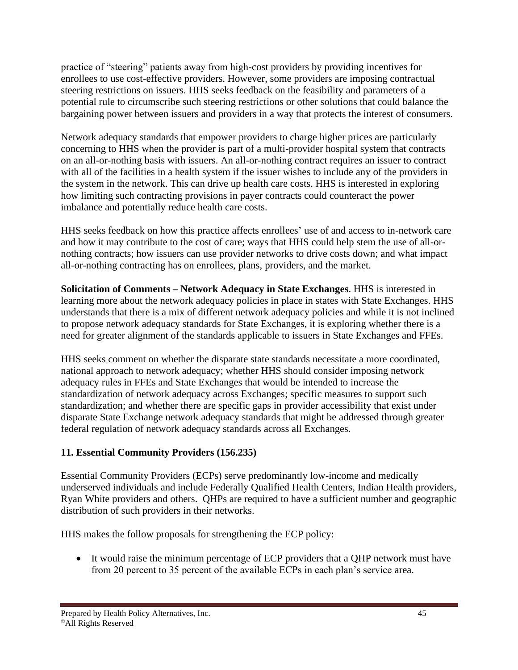practice of "steering" patients away from high-cost providers by providing incentives for enrollees to use cost-effective providers. However, some providers are imposing contractual steering restrictions on issuers. HHS seeks feedback on the feasibility and parameters of a potential rule to circumscribe such steering restrictions or other solutions that could balance the bargaining power between issuers and providers in a way that protects the interest of consumers.

Network adequacy standards that empower providers to charge higher prices are particularly concerning to HHS when the provider is part of a multi-provider hospital system that contracts on an all-or-nothing basis with issuers. An all-or-nothing contract requires an issuer to contract with all of the facilities in a health system if the issuer wishes to include any of the providers in the system in the network. This can drive up health care costs. HHS is interested in exploring how limiting such contracting provisions in payer contracts could counteract the power imbalance and potentially reduce health care costs.

HHS seeks feedback on how this practice affects enrollees' use of and access to in-network care and how it may contribute to the cost of care; ways that HHS could help stem the use of all-ornothing contracts; how issuers can use provider networks to drive costs down; and what impact all-or-nothing contracting has on enrollees, plans, providers, and the market.

**Solicitation of Comments – Network Adequacy in State Exchanges**. HHS is interested in learning more about the network adequacy policies in place in states with State Exchanges. HHS understands that there is a mix of different network adequacy policies and while it is not inclined to propose network adequacy standards for State Exchanges, it is exploring whether there is a need for greater alignment of the standards applicable to issuers in State Exchanges and FFEs.

HHS seeks comment on whether the disparate state standards necessitate a more coordinated, national approach to network adequacy; whether HHS should consider imposing network adequacy rules in FFEs and State Exchanges that would be intended to increase the standardization of network adequacy across Exchanges; specific measures to support such standardization; and whether there are specific gaps in provider accessibility that exist under disparate State Exchange network adequacy standards that might be addressed through greater federal regulation of network adequacy standards across all Exchanges.

## **11. Essential Community Providers (156.235)**

Essential Community Providers (ECPs) serve predominantly low-income and medically underserved individuals and include Federally Qualified Health Centers, Indian Health providers, Ryan White providers and others. QHPs are required to have a sufficient number and geographic distribution of such providers in their networks.

HHS makes the follow proposals for strengthening the ECP policy:

• It would raise the minimum percentage of ECP providers that a QHP network must have from 20 percent to 35 percent of the available ECPs in each plan's service area.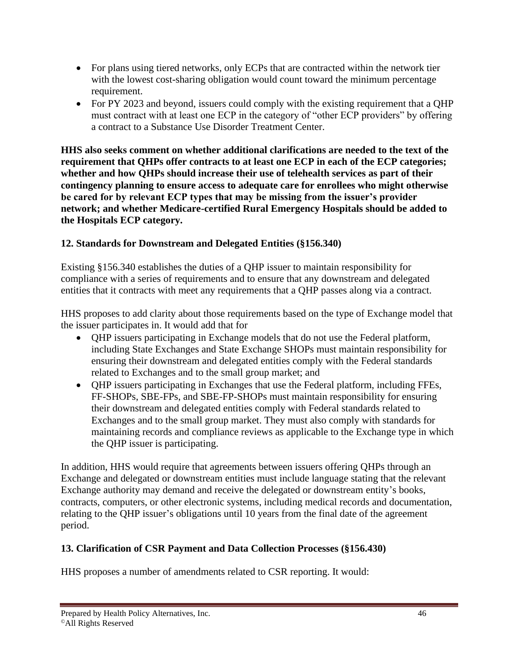- For plans using tiered networks, only ECPs that are contracted within the network tier with the lowest cost-sharing obligation would count toward the minimum percentage requirement.
- For PY 2023 and beyond, issuers could comply with the existing requirement that a QHP must contract with at least one ECP in the category of "other ECP providers" by offering a contract to a Substance Use Disorder Treatment Center.

**HHS also seeks comment on whether additional clarifications are needed to the text of the requirement that QHPs offer contracts to at least one ECP in each of the ECP categories; whether and how QHPs should increase their use of telehealth services as part of their contingency planning to ensure access to adequate care for enrollees who might otherwise be cared for by relevant ECP types that may be missing from the issuer's provider network; and whether Medicare-certified Rural Emergency Hospitals should be added to the Hospitals ECP category.**

#### **12. Standards for Downstream and Delegated Entities (§156.340)**

Existing §156.340 establishes the duties of a QHP issuer to maintain responsibility for compliance with a series of requirements and to ensure that any downstream and delegated entities that it contracts with meet any requirements that a QHP passes along via a contract.

HHS proposes to add clarity about those requirements based on the type of Exchange model that the issuer participates in. It would add that for

- QHP issuers participating in Exchange models that do not use the Federal platform, including State Exchanges and State Exchange SHOPs must maintain responsibility for ensuring their downstream and delegated entities comply with the Federal standards related to Exchanges and to the small group market; and
- QHP issuers participating in Exchanges that use the Federal platform, including FFEs, FF-SHOPs, SBE-FPs, and SBE-FP-SHOPs must maintain responsibility for ensuring their downstream and delegated entities comply with Federal standards related to Exchanges and to the small group market. They must also comply with standards for maintaining records and compliance reviews as applicable to the Exchange type in which the QHP issuer is participating.

In addition, HHS would require that agreements between issuers offering QHPs through an Exchange and delegated or downstream entities must include language stating that the relevant Exchange authority may demand and receive the delegated or downstream entity's books, contracts, computers, or other electronic systems, including medical records and documentation, relating to the QHP issuer's obligations until 10 years from the final date of the agreement period.

#### **13. Clarification of CSR Payment and Data Collection Processes (§156.430)**

HHS proposes a number of amendments related to CSR reporting. It would: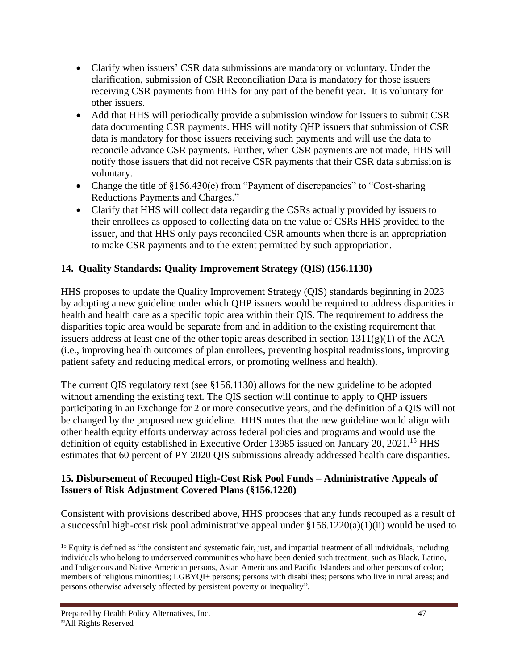- Clarify when issuers' CSR data submissions are mandatory or voluntary. Under the clarification, submission of CSR Reconciliation Data is mandatory for those issuers receiving CSR payments from HHS for any part of the benefit year. It is voluntary for other issuers.
- Add that HHS will periodically provide a submission window for issuers to submit CSR data documenting CSR payments. HHS will notify QHP issuers that submission of CSR data is mandatory for those issuers receiving such payments and will use the data to reconcile advance CSR payments. Further, when CSR payments are not made, HHS will notify those issuers that did not receive CSR payments that their CSR data submission is voluntary.
- Change the title of §156.430(e) from "Payment of discrepancies" to "Cost-sharing Reductions Payments and Charges."
- Clarify that HHS will collect data regarding the CSRs actually provided by issuers to their enrollees as opposed to collecting data on the value of CSRs HHS provided to the issuer, and that HHS only pays reconciled CSR amounts when there is an appropriation to make CSR payments and to the extent permitted by such appropriation.

## **14. Quality Standards: Quality Improvement Strategy (QIS) (156.1130)**

HHS proposes to update the Quality Improvement Strategy (QIS) standards beginning in 2023 by adopting a new guideline under which QHP issuers would be required to address disparities in health and health care as a specific topic area within their QIS. The requirement to address the disparities topic area would be separate from and in addition to the existing requirement that issuers address at least one of the other topic areas described in section  $1311(g)(1)$  of the ACA (i.e., improving health outcomes of plan enrollees, preventing hospital readmissions, improving patient safety and reducing medical errors, or promoting wellness and health).

The current QIS regulatory text (see §156.1130) allows for the new guideline to be adopted without amending the existing text. The QIS section will continue to apply to QHP issuers participating in an Exchange for 2 or more consecutive years, and the definition of a QIS will not be changed by the proposed new guideline. HHS notes that the new guideline would align with other health equity efforts underway across federal policies and programs and would use the definition of equity established in Executive Order 13985 issued on January 20, 2021.<sup>15</sup> HHS estimates that 60 percent of PY 2020 QIS submissions already addressed health care disparities.

#### **15. Disbursement of Recouped High-Cost Risk Pool Funds – Administrative Appeals of Issuers of Risk Adjustment Covered Plans (§156.1220)**

Consistent with provisions described above, HHS proposes that any funds recouped as a result of a successful high-cost risk pool administrative appeal under §156.1220(a)(1)(ii) would be used to

 $<sup>15</sup>$  Equity is defined as "the consistent and systematic fair, just, and impartial treatment of all individuals, including</sup> individuals who belong to underserved communities who have been denied such treatment, such as Black, Latino, and Indigenous and Native American persons, Asian Americans and Pacific Islanders and other persons of color; members of religious minorities; LGBYQI+ persons; persons with disabilities; persons who live in rural areas; and persons otherwise adversely affected by persistent poverty or inequality".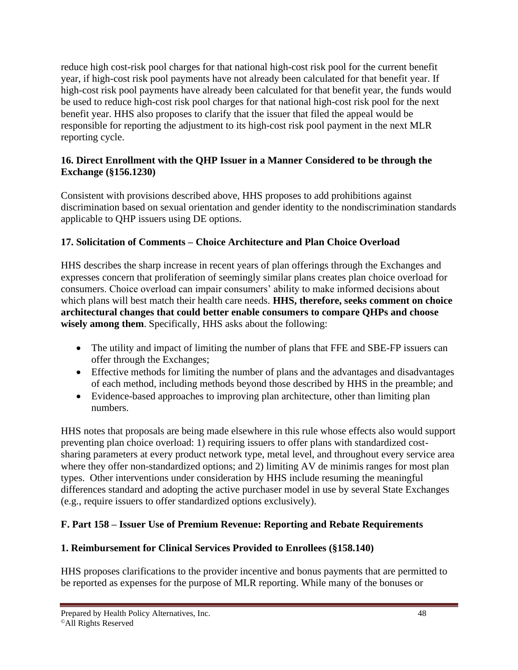reduce high cost-risk pool charges for that national high-cost risk pool for the current benefit year, if high-cost risk pool payments have not already been calculated for that benefit year. If high-cost risk pool payments have already been calculated for that benefit year, the funds would be used to reduce high-cost risk pool charges for that national high-cost risk pool for the next benefit year. HHS also proposes to clarify that the issuer that filed the appeal would be responsible for reporting the adjustment to its high-cost risk pool payment in the next MLR reporting cycle.

#### **16. Direct Enrollment with the QHP Issuer in a Manner Considered to be through the Exchange (§156.1230)**

Consistent with provisions described above, HHS proposes to add prohibitions against discrimination based on sexual orientation and gender identity to the nondiscrimination standards applicable to QHP issuers using DE options.

### **17. Solicitation of Comments – Choice Architecture and Plan Choice Overload**

HHS describes the sharp increase in recent years of plan offerings through the Exchanges and expresses concern that proliferation of seemingly similar plans creates plan choice overload for consumers. Choice overload can impair consumers' ability to make informed decisions about which plans will best match their health care needs. **HHS, therefore, seeks comment on choice architectural changes that could better enable consumers to compare QHPs and choose wisely among them**. Specifically, HHS asks about the following:

- The utility and impact of limiting the number of plans that FFE and SBE-FP issuers can offer through the Exchanges;
- Effective methods for limiting the number of plans and the advantages and disadvantages of each method, including methods beyond those described by HHS in the preamble; and
- Evidence-based approaches to improving plan architecture, other than limiting plan numbers.

HHS notes that proposals are being made elsewhere in this rule whose effects also would support preventing plan choice overload: 1) requiring issuers to offer plans with standardized costsharing parameters at every product network type, metal level, and throughout every service area where they offer non-standardized options; and 2) limiting AV de minimis ranges for most plan types. Other interventions under consideration by HHS include resuming the meaningful differences standard and adopting the active purchaser model in use by several State Exchanges (e.g., require issuers to offer standardized options exclusively).

## **F. Part 158 – Issuer Use of Premium Revenue: Reporting and Rebate Requirements**

#### **1. Reimbursement for Clinical Services Provided to Enrollees (§158.140)**

HHS proposes clarifications to the provider incentive and bonus payments that are permitted to be reported as expenses for the purpose of MLR reporting. While many of the bonuses or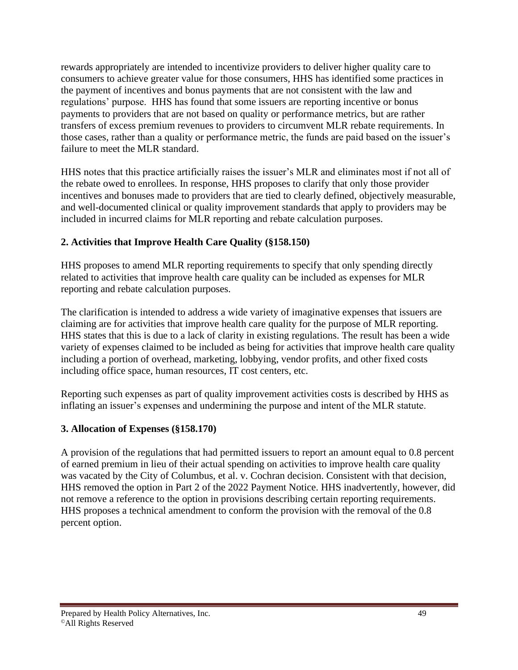rewards appropriately are intended to incentivize providers to deliver higher quality care to consumers to achieve greater value for those consumers, HHS has identified some practices in the payment of incentives and bonus payments that are not consistent with the law and regulations' purpose. HHS has found that some issuers are reporting incentive or bonus payments to providers that are not based on quality or performance metrics, but are rather transfers of excess premium revenues to providers to circumvent MLR rebate requirements. In those cases, rather than a quality or performance metric, the funds are paid based on the issuer's failure to meet the MLR standard.

HHS notes that this practice artificially raises the issuer's MLR and eliminates most if not all of the rebate owed to enrollees. In response, HHS proposes to clarify that only those provider incentives and bonuses made to providers that are tied to clearly defined, objectively measurable, and well-documented clinical or quality improvement standards that apply to providers may be included in incurred claims for MLR reporting and rebate calculation purposes.

### **2. Activities that Improve Health Care Quality (§158.150)**

HHS proposes to amend MLR reporting requirements to specify that only spending directly related to activities that improve health care quality can be included as expenses for MLR reporting and rebate calculation purposes.

The clarification is intended to address a wide variety of imaginative expenses that issuers are claiming are for activities that improve health care quality for the purpose of MLR reporting. HHS states that this is due to a lack of clarity in existing regulations. The result has been a wide variety of expenses claimed to be included as being for activities that improve health care quality including a portion of overhead, marketing, lobbying, vendor profits, and other fixed costs including office space, human resources, IT cost centers, etc.

Reporting such expenses as part of quality improvement activities costs is described by HHS as inflating an issuer's expenses and undermining the purpose and intent of the MLR statute.

#### **3. Allocation of Expenses (§158.170)**

A provision of the regulations that had permitted issuers to report an amount equal to 0.8 percent of earned premium in lieu of their actual spending on activities to improve health care quality was vacated by the City of Columbus, et al. v. Cochran decision. Consistent with that decision, HHS removed the option in Part 2 of the 2022 Payment Notice. HHS inadvertently, however, did not remove a reference to the option in provisions describing certain reporting requirements. HHS proposes a technical amendment to conform the provision with the removal of the 0.8 percent option.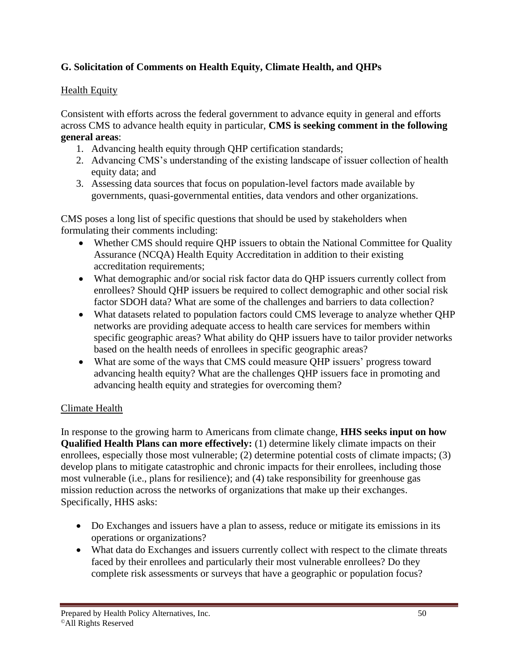# **G. Solicitation of Comments on Health Equity, Climate Health, and QHPs**

#### **Health Equity**

Consistent with efforts across the federal government to advance equity in general and efforts across CMS to advance health equity in particular, **CMS is seeking comment in the following general areas**:

- 1. Advancing health equity through QHP certification standards;
- 2. Advancing CMS's understanding of the existing landscape of issuer collection of health equity data; and
- 3. Assessing data sources that focus on population-level factors made available by governments, quasi-governmental entities, data vendors and other organizations.

CMS poses a long list of specific questions that should be used by stakeholders when formulating their comments including:

- Whether CMS should require QHP issuers to obtain the National Committee for Quality Assurance (NCQA) Health Equity Accreditation in addition to their existing accreditation requirements;
- What demographic and/or social risk factor data do QHP issuers currently collect from enrollees? Should QHP issuers be required to collect demographic and other social risk factor SDOH data? What are some of the challenges and barriers to data collection?
- What datasets related to population factors could CMS leverage to analyze whether QHP networks are providing adequate access to health care services for members within specific geographic areas? What ability do QHP issuers have to tailor provider networks based on the health needs of enrollees in specific geographic areas?
- What are some of the ways that CMS could measure OHP issuers' progress toward advancing health equity? What are the challenges QHP issuers face in promoting and advancing health equity and strategies for overcoming them?

#### Climate Health

In response to the growing harm to Americans from climate change, **HHS seeks input on how Qualified Health Plans can more effectively:** (1) determine likely climate impacts on their enrollees, especially those most vulnerable; (2) determine potential costs of climate impacts; (3) develop plans to mitigate catastrophic and chronic impacts for their enrollees, including those most vulnerable (i.e., plans for resilience); and (4) take responsibility for greenhouse gas mission reduction across the networks of organizations that make up their exchanges. Specifically, HHS asks:

- Do Exchanges and issuers have a plan to assess, reduce or mitigate its emissions in its operations or organizations?
- What data do Exchanges and issuers currently collect with respect to the climate threats faced by their enrollees and particularly their most vulnerable enrollees? Do they complete risk assessments or surveys that have a geographic or population focus?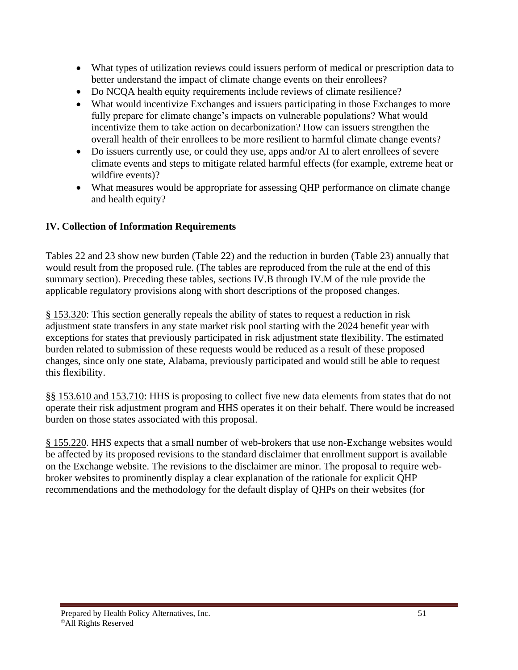- What types of utilization reviews could issuers perform of medical or prescription data to better understand the impact of climate change events on their enrollees?
- Do NCQA health equity requirements include reviews of climate resilience?
- What would incentivize Exchanges and issuers participating in those Exchanges to more fully prepare for climate change's impacts on vulnerable populations? What would incentivize them to take action on decarbonization? How can issuers strengthen the overall health of their enrollees to be more resilient to harmful climate change events?
- Do issuers currently use, or could they use, apps and/or AI to alert enrollees of severe climate events and steps to mitigate related harmful effects (for example, extreme heat or wildfire events)?
- What measures would be appropriate for assessing QHP performance on climate change and health equity?

### **IV. Collection of Information Requirements**

Tables 22 and 23 show new burden (Table 22) and the reduction in burden (Table 23) annually that would result from the proposed rule. (The tables are reproduced from the rule at the end of this summary section). Preceding these tables, sections IV.B through IV.M of the rule provide the applicable regulatory provisions along with short descriptions of the proposed changes.

§ 153.320: This section generally repeals the ability of states to request a reduction in risk adjustment state transfers in any state market risk pool starting with the 2024 benefit year with exceptions for states that previously participated in risk adjustment state flexibility. The estimated burden related to submission of these requests would be reduced as a result of these proposed changes, since only one state, Alabama, previously participated and would still be able to request this flexibility.

§§ 153.610 and 153.710: HHS is proposing to collect five new data elements from states that do not operate their risk adjustment program and HHS operates it on their behalf. There would be increased burden on those states associated with this proposal.

§ 155.220. HHS expects that a small number of web-brokers that use non-Exchange websites would be affected by its proposed revisions to the standard disclaimer that enrollment support is available on the Exchange website. The revisions to the disclaimer are minor. The proposal to require webbroker websites to prominently display a clear explanation of the rationale for explicit QHP recommendations and the methodology for the default display of QHPs on their websites (for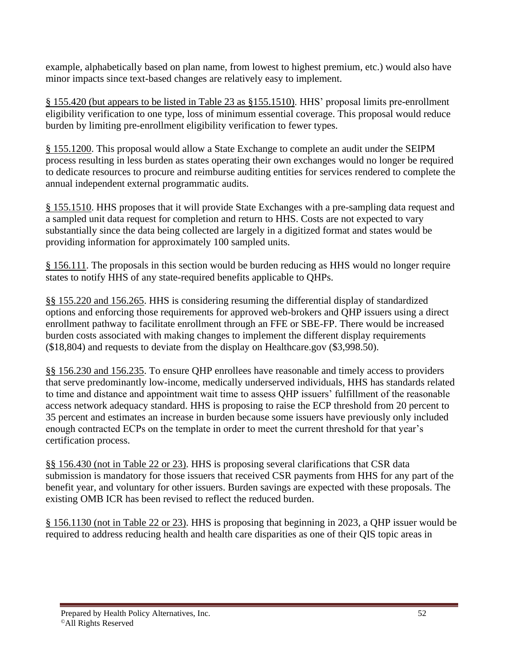example, alphabetically based on plan name, from lowest to highest premium, etc.) would also have minor impacts since text-based changes are relatively easy to implement.

§ 155.420 (but appears to be listed in Table 23 as §155.1510). HHS' proposal limits pre-enrollment eligibility verification to one type, loss of minimum essential coverage. This proposal would reduce burden by limiting pre-enrollment eligibility verification to fewer types.

§ 155.1200. This proposal would allow a State Exchange to complete an audit under the SEIPM process resulting in less burden as states operating their own exchanges would no longer be required to dedicate resources to procure and reimburse auditing entities for services rendered to complete the annual independent external programmatic audits.

§ 155.1510. HHS proposes that it will provide State Exchanges with a pre-sampling data request and a sampled unit data request for completion and return to HHS. Costs are not expected to vary substantially since the data being collected are largely in a digitized format and states would be providing information for approximately 100 sampled units.

§ 156.111. The proposals in this section would be burden reducing as HHS would no longer require states to notify HHS of any state-required benefits applicable to QHPs.

§§ 155.220 and 156.265. HHS is considering resuming the differential display of standardized options and enforcing those requirements for approved web-brokers and QHP issuers using a direct enrollment pathway to facilitate enrollment through an FFE or SBE-FP. There would be increased burden costs associated with making changes to implement the different display requirements (\$18,804) and requests to deviate from the display on Healthcare.gov (\$3,998.50).

§§ 156.230 and 156.235. To ensure QHP enrollees have reasonable and timely access to providers that serve predominantly low-income, medically underserved individuals, HHS has standards related to time and distance and appointment wait time to assess QHP issuers' fulfillment of the reasonable access network adequacy standard. HHS is proposing to raise the ECP threshold from 20 percent to 35 percent and estimates an increase in burden because some issuers have previously only included enough contracted ECPs on the template in order to meet the current threshold for that year's certification process.

§§ 156.430 (not in Table 22 or 23). HHS is proposing several clarifications that CSR data submission is mandatory for those issuers that received CSR payments from HHS for any part of the benefit year, and voluntary for other issuers. Burden savings are expected with these proposals. The existing OMB ICR has been revised to reflect the reduced burden.

§ 156.1130 (not in Table 22 or 23). HHS is proposing that beginning in 2023, a QHP issuer would be required to address reducing health and health care disparities as one of their QIS topic areas in

Prepared by Health Policy Alternatives, Inc. 52 ©All Rights Reserved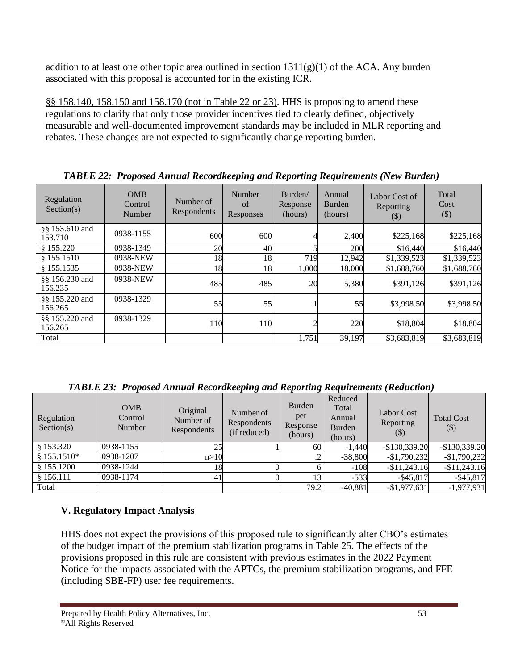addition to at least one other topic area outlined in section  $1311(g)(1)$  of the ACA. Any burden associated with this proposal is accounted for in the existing ICR.

§§ 158.140, 158.150 and 158.170 (not in Table 22 or 23). HHS is proposing to amend these regulations to clarify that only those provider incentives tied to clearly defined, objectively measurable and well-documented improvement standards may be included in MLR reporting and rebates. These changes are not expected to significantly change reporting burden.

| Regulation<br>Section(s)  | <b>OMB</b><br>Control<br>Number | Number of<br>Respondents | Number<br>of<br>Responses | Burden/<br>Response<br>(hours) | Annual<br>Burden<br>(hours) | Labor Cost of<br>Reporting<br>$(\boldsymbol{\mathcal{S}})$ | Total<br>Cost<br>$(\$)$ |
|---------------------------|---------------------------------|--------------------------|---------------------------|--------------------------------|-----------------------------|------------------------------------------------------------|-------------------------|
| §§ 153.610 and<br>153.710 | 0938-1155                       | 600                      | 600                       |                                | 2,400                       | \$225,168                                                  | \$225,168               |
| \$155.220                 | 0938-1349                       | 20                       | 40                        |                                | 200                         | \$16,440                                                   | \$16,440                |
| \$155.1510                | 0938-NEW                        | 18                       | 18                        | 719                            | 12,942                      | \$1,339,523                                                | \$1,339,523             |
| § 155.1535                | 0938-NEW                        | 18                       | 18                        | 1,000                          | 18,000                      | \$1,688,760                                                | \$1,688,760             |
| §§ 156.230 and<br>156.235 | 0938-NEW                        | 485                      | 485                       | 20                             | 5,380                       | \$391,126                                                  | \$391,126               |
| §§ 155.220 and<br>156.265 | 0938-1329                       | 55                       | 55                        |                                | 55                          | \$3,998.50                                                 | \$3,998.50              |
| §§ 155.220 and<br>156.265 | 0938-1329                       | 110                      | 110                       |                                | 220                         | \$18,804                                                   | \$18,804                |
| Total                     |                                 |                          |                           | 1,751                          | 39,197                      | \$3,683,819                                                | \$3,683,819             |

*TABLE 22: Proposed Annual Recordkeeping and Reporting Requirements (New Burden)*

*TABLE 23: Proposed Annual Recordkeeping and Reporting Requirements (Reduction)*

| Regulation<br>Section(s) | <b>OMB</b><br>Control<br>Number | Original<br>Number of<br>Respondents | Number of<br>Respondents<br>(if reduced) | Burden<br>per<br>Response<br>(hours) | Reduced<br>Total<br>Annual<br>Burden<br>(hours) | Labor Cost<br>Reporting<br>(S) | <b>Total Cost</b><br>$(\boldsymbol{\$})$ |
|--------------------------|---------------------------------|--------------------------------------|------------------------------------------|--------------------------------------|-------------------------------------------------|--------------------------------|------------------------------------------|
| \$153.320                | 0938-1155                       | 25                                   |                                          | 60                                   | $-1.440$                                        | $-$130,339.20$                 | $-$130,339.20$                           |
| $$155.1510*$             | 0938-1207                       | n>10                                 |                                          |                                      | $-38,800$                                       | $-$1,790,232$                  | $-$1,790,232$                            |
| \$155.1200               | 0938-1244                       |                                      |                                          |                                      | $-108$                                          | $-$11,243.16$                  | $-$11,243.16$                            |
| \$156.111                | 0938-1174                       | 41                                   |                                          |                                      | $-533$                                          | $-$ \$45,817                   | $-$ \$45,817                             |
| Total                    |                                 |                                      |                                          | 79.2                                 | $-40.881$                                       | $-$1,977,631$                  | $-1,977,931$                             |

# **V. Regulatory Impact Analysis**

HHS does not expect the provisions of this proposed rule to significantly alter CBO's estimates of the budget impact of the premium stabilization programs in Table 25. The effects of the provisions proposed in this rule are consistent with previous estimates in the 2022 Payment Notice for the impacts associated with the APTCs, the premium stabilization programs, and FFE (including SBE-FP) user fee requirements.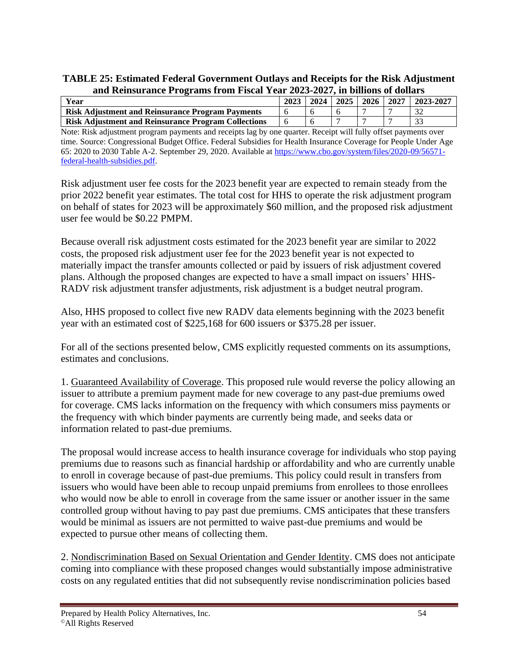**TABLE 25: Estimated Federal Government Outlays and Receipts for the Risk Adjustment and Reinsurance Programs from Fiscal Year 2023-2027, in billions of dollars**

| Year                                                       | 2023 | 2024 | 2025 | 2026 | 2027 | $2023 - 2027$ |
|------------------------------------------------------------|------|------|------|------|------|---------------|
| <b>Risk Adjustment and Reinsurance Program Payments</b>    |      |      |      |      |      |               |
| <b>Risk Adjustment and Reinsurance Program Collections</b> |      |      |      |      |      |               |

Note: Risk adjustment program payments and receipts lag by one quarter. Receipt will fully offset payments over time. Source: Congressional Budget Office. Federal Subsidies for Health Insurance Coverage for People Under Age 65: 2020 to 2030 Table A-2. September 29, 2020. Available a[t https://www.cbo.gov/system/files/2020-09/56571](https://www.cbo.gov/system/files/2020-09/56571-federal-health-subsidies.pdf) [federal-health-subsidies.pdf.](https://www.cbo.gov/system/files/2020-09/56571-federal-health-subsidies.pdf)

Risk adjustment user fee costs for the 2023 benefit year are expected to remain steady from the prior 2022 benefit year estimates. The total cost for HHS to operate the risk adjustment program on behalf of states for 2023 will be approximately \$60 million, and the proposed risk adjustment user fee would be \$0.22 PMPM.

Because overall risk adjustment costs estimated for the 2023 benefit year are similar to 2022 costs, the proposed risk adjustment user fee for the 2023 benefit year is not expected to materially impact the transfer amounts collected or paid by issuers of risk adjustment covered plans. Although the proposed changes are expected to have a small impact on issuers' HHS-RADV risk adjustment transfer adjustments, risk adjustment is a budget neutral program.

Also, HHS proposed to collect five new RADV data elements beginning with the 2023 benefit year with an estimated cost of \$225,168 for 600 issuers or \$375.28 per issuer.

For all of the sections presented below, CMS explicitly requested comments on its assumptions, estimates and conclusions.

1. Guaranteed Availability of Coverage. This proposed rule would reverse the policy allowing an issuer to attribute a premium payment made for new coverage to any past-due premiums owed for coverage. CMS lacks information on the frequency with which consumers miss payments or the frequency with which binder payments are currently being made, and seeks data or information related to past-due premiums.

The proposal would increase access to health insurance coverage for individuals who stop paying premiums due to reasons such as financial hardship or affordability and who are currently unable to enroll in coverage because of past-due premiums. This policy could result in transfers from issuers who would have been able to recoup unpaid premiums from enrollees to those enrollees who would now be able to enroll in coverage from the same issuer or another issuer in the same controlled group without having to pay past due premiums. CMS anticipates that these transfers would be minimal as issuers are not permitted to waive past-due premiums and would be expected to pursue other means of collecting them.

2. Nondiscrimination Based on Sexual Orientation and Gender Identity. CMS does not anticipate coming into compliance with these proposed changes would substantially impose administrative costs on any regulated entities that did not subsequently revise nondiscrimination policies based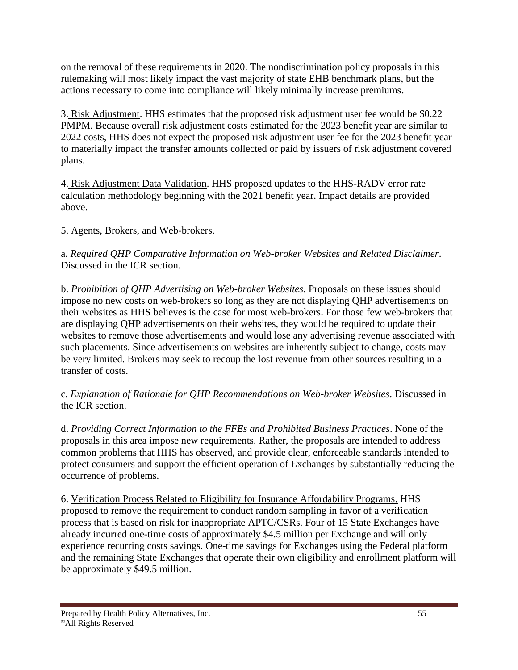on the removal of these requirements in 2020. The nondiscrimination policy proposals in this rulemaking will most likely impact the vast majority of state EHB benchmark plans, but the actions necessary to come into compliance will likely minimally increase premiums.

3. Risk Adjustment. HHS estimates that the proposed risk adjustment user fee would be \$0.22 PMPM. Because overall risk adjustment costs estimated for the 2023 benefit year are similar to 2022 costs, HHS does not expect the proposed risk adjustment user fee for the 2023 benefit year to materially impact the transfer amounts collected or paid by issuers of risk adjustment covered plans.

4. Risk Adjustment Data Validation. HHS proposed updates to the HHS-RADV error rate calculation methodology beginning with the 2021 benefit year. Impact details are provided above.

## 5. Agents, Brokers, and Web-brokers.

a. *Required QHP Comparative Information on Web-broker Websites and Related Disclaimer*. Discussed in the ICR section.

b. *Prohibition of QHP Advertising on Web-broker Websites*. Proposals on these issues should impose no new costs on web-brokers so long as they are not displaying QHP advertisements on their websites as HHS believes is the case for most web-brokers. For those few web-brokers that are displaying QHP advertisements on their websites, they would be required to update their websites to remove those advertisements and would lose any advertising revenue associated with such placements. Since advertisements on websites are inherently subject to change, costs may be very limited. Brokers may seek to recoup the lost revenue from other sources resulting in a transfer of costs.

#### c. *Explanation of Rationale for QHP Recommendations on Web-broker Websites*. Discussed in the ICR section.

d. *Providing Correct Information to the FFEs and Prohibited Business Practices*. None of the proposals in this area impose new requirements. Rather, the proposals are intended to address common problems that HHS has observed, and provide clear, enforceable standards intended to protect consumers and support the efficient operation of Exchanges by substantially reducing the occurrence of problems.

6. Verification Process Related to Eligibility for Insurance Affordability Programs. HHS proposed to remove the requirement to conduct random sampling in favor of a verification process that is based on risk for inappropriate APTC/CSRs. Four of 15 State Exchanges have already incurred one-time costs of approximately \$4.5 million per Exchange and will only experience recurring costs savings. One-time savings for Exchanges using the Federal platform and the remaining State Exchanges that operate their own eligibility and enrollment platform will be approximately \$49.5 million.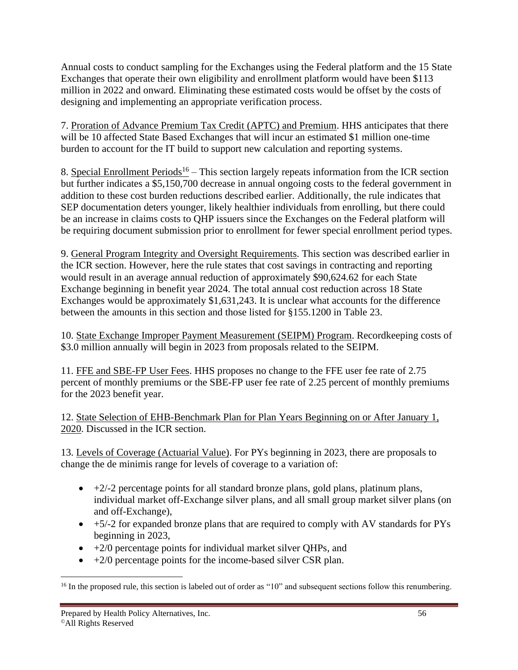Annual costs to conduct sampling for the Exchanges using the Federal platform and the 15 State Exchanges that operate their own eligibility and enrollment platform would have been \$113 million in 2022 and onward. Eliminating these estimated costs would be offset by the costs of designing and implementing an appropriate verification process.

7. Proration of Advance Premium Tax Credit (APTC) and Premium. HHS anticipates that there will be 10 affected State Based Exchanges that will incur an estimated \$1 million one-time burden to account for the IT build to support new calculation and reporting systems.

8. Special Enrollment Periods<sup>16</sup> – This section largely repeats information from the ICR section but further indicates a \$5,150,700 decrease in annual ongoing costs to the federal government in addition to these cost burden reductions described earlier. Additionally, the rule indicates that SEP documentation deters younger, likely healthier individuals from enrolling, but there could be an increase in claims costs to QHP issuers since the Exchanges on the Federal platform will be requiring document submission prior to enrollment for fewer special enrollment period types.

9. General Program Integrity and Oversight Requirements. This section was described earlier in the ICR section. However, here the rule states that cost savings in contracting and reporting would result in an average annual reduction of approximately \$90,624.62 for each State Exchange beginning in benefit year 2024. The total annual cost reduction across 18 State Exchanges would be approximately \$1,631,243. It is unclear what accounts for the difference between the amounts in this section and those listed for §155.1200 in Table 23.

10. State Exchange Improper Payment Measurement (SEIPM) Program. Recordkeeping costs of \$3.0 million annually will begin in 2023 from proposals related to the SEIPM.

11. FFE and SBE-FP User Fees. HHS proposes no change to the FFE user fee rate of 2.75 percent of monthly premiums or the SBE-FP user fee rate of 2.25 percent of monthly premiums for the 2023 benefit year.

12. State Selection of EHB-Benchmark Plan for Plan Years Beginning on or After January 1, 2020. Discussed in the ICR section.

13. Levels of Coverage (Actuarial Value). For PYs beginning in 2023, there are proposals to change the de minimis range for levels of coverage to a variation of:

- $\bullet$  +2/-2 percentage points for all standard bronze plans, gold plans, platinum plans, individual market off-Exchange silver plans, and all small group market silver plans (on and off-Exchange),
- +5/-2 for expanded bronze plans that are required to comply with AV standards for PYs beginning in 2023,
- $\bullet$  +2/0 percentage points for individual market silver QHPs, and
- $\bullet$  +2/0 percentage points for the income-based silver CSR plan.

<sup>&</sup>lt;sup>16</sup> In the proposed rule, this section is labeled out of order as "10" and subsequent sections follow this renumbering.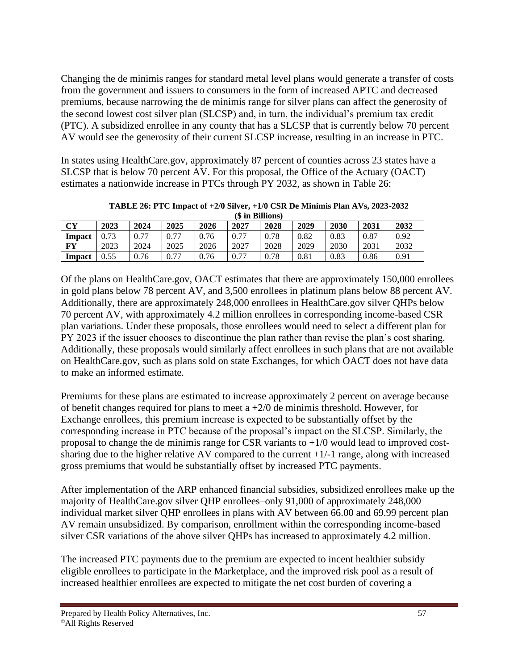Changing the de minimis ranges for standard metal level plans would generate a transfer of costs from the government and issuers to consumers in the form of increased APTC and decreased premiums, because narrowing the de minimis range for silver plans can affect the generosity of the second lowest cost silver plan (SLCSP) and, in turn, the individual's premium tax credit (PTC). A subsidized enrollee in any county that has a SLCSP that is currently below 70 percent AV would see the generosity of their current SLCSP increase, resulting in an increase in PTC.

In states using HealthCare.gov, approximately 87 percent of counties across 23 states have a SLCSP that is below 70 percent AV. For this proposal, the Office of the Actuary (OACT) estimates a nationwide increase in PTCs through PY 2032, as shown in Table 26:

|        | (\$ in Billions) |      |      |      |      |      |      |      |      |      |
|--------|------------------|------|------|------|------|------|------|------|------|------|
| CY     | 2023             | 2024 | 2025 | 2026 | 2027 | 2028 | 2029 | 2030 | 2031 | 2032 |
| Impact | 0.73             | 0.77 | 0.77 | 0.76 | 0.77 | 0.78 | 0.82 | 0.83 | 0.87 | 0.92 |
| FY     | 2023             | 2024 | 2025 | 2026 | 2027 | 2028 | 2029 | 2030 | 2031 | 2032 |
| Impact | 0.55             | 0.76 | 0.77 | 0.76 | 0.77 | 0.78 | 0.81 | 0.83 | 0.86 | 0.91 |

**TABLE 26: PTC Impact of +2/0 Silver, +1/0 CSR De Minimis Plan AVs, 2023-2032**

Of the plans on HealthCare.gov, OACT estimates that there are approximately 150,000 enrollees in gold plans below 78 percent AV, and 3,500 enrollees in platinum plans below 88 percent AV. Additionally, there are approximately 248,000 enrollees in HealthCare.gov silver QHPs below 70 percent AV, with approximately 4.2 million enrollees in corresponding income-based CSR plan variations. Under these proposals, those enrollees would need to select a different plan for PY 2023 if the issuer chooses to discontinue the plan rather than revise the plan's cost sharing. Additionally, these proposals would similarly affect enrollees in such plans that are not available on HealthCare.gov, such as plans sold on state Exchanges, for which OACT does not have data to make an informed estimate.

Premiums for these plans are estimated to increase approximately 2 percent on average because of benefit changes required for plans to meet a  $+2/0$  de minimis threshold. However, for Exchange enrollees, this premium increase is expected to be substantially offset by the corresponding increase in PTC because of the proposal's impact on the SLCSP. Similarly, the proposal to change the de minimis range for CSR variants to  $+1/0$  would lead to improved costsharing due to the higher relative AV compared to the current  $+1/-1$  range, along with increased gross premiums that would be substantially offset by increased PTC payments.

After implementation of the ARP enhanced financial subsidies, subsidized enrollees make up the majority of HealthCare.gov silver QHP enrollees–only 91,000 of approximately 248,000 individual market silver QHP enrollees in plans with AV between 66.00 and 69.99 percent plan AV remain unsubsidized. By comparison, enrollment within the corresponding income-based silver CSR variations of the above silver QHPs has increased to approximately 4.2 million.

The increased PTC payments due to the premium are expected to incent healthier subsidy eligible enrollees to participate in the Marketplace, and the improved risk pool as a result of increased healthier enrollees are expected to mitigate the net cost burden of covering a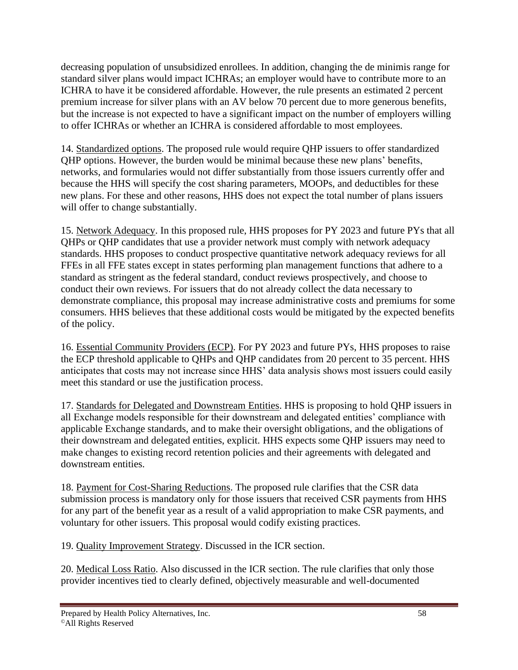decreasing population of unsubsidized enrollees. In addition, changing the de minimis range for standard silver plans would impact ICHRAs; an employer would have to contribute more to an ICHRA to have it be considered affordable. However, the rule presents an estimated 2 percent premium increase for silver plans with an AV below 70 percent due to more generous benefits, but the increase is not expected to have a significant impact on the number of employers willing to offer ICHRAs or whether an ICHRA is considered affordable to most employees.

14. Standardized options. The proposed rule would require QHP issuers to offer standardized QHP options. However, the burden would be minimal because these new plans' benefits, networks, and formularies would not differ substantially from those issuers currently offer and because the HHS will specify the cost sharing parameters, MOOPs, and deductibles for these new plans. For these and other reasons, HHS does not expect the total number of plans issuers will offer to change substantially.

15. Network Adequacy. In this proposed rule, HHS proposes for PY 2023 and future PYs that all QHPs or QHP candidates that use a provider network must comply with network adequacy standards. HHS proposes to conduct prospective quantitative network adequacy reviews for all FFEs in all FFE states except in states performing plan management functions that adhere to a standard as stringent as the federal standard, conduct reviews prospectively, and choose to conduct their own reviews. For issuers that do not already collect the data necessary to demonstrate compliance, this proposal may increase administrative costs and premiums for some consumers. HHS believes that these additional costs would be mitigated by the expected benefits of the policy.

16. Essential Community Providers (ECP). For PY 2023 and future PYs, HHS proposes to raise the ECP threshold applicable to QHPs and QHP candidates from 20 percent to 35 percent. HHS anticipates that costs may not increase since HHS' data analysis shows most issuers could easily meet this standard or use the justification process.

17. Standards for Delegated and Downstream Entities. HHS is proposing to hold QHP issuers in all Exchange models responsible for their downstream and delegated entities' compliance with applicable Exchange standards, and to make their oversight obligations, and the obligations of their downstream and delegated entities, explicit. HHS expects some QHP issuers may need to make changes to existing record retention policies and their agreements with delegated and downstream entities.

18. Payment for Cost-Sharing Reductions. The proposed rule clarifies that the CSR data submission process is mandatory only for those issuers that received CSR payments from HHS for any part of the benefit year as a result of a valid appropriation to make CSR payments, and voluntary for other issuers. This proposal would codify existing practices.

19. Quality Improvement Strategy. Discussed in the ICR section.

20. Medical Loss Ratio. Also discussed in the ICR section. The rule clarifies that only those provider incentives tied to clearly defined, objectively measurable and well-documented